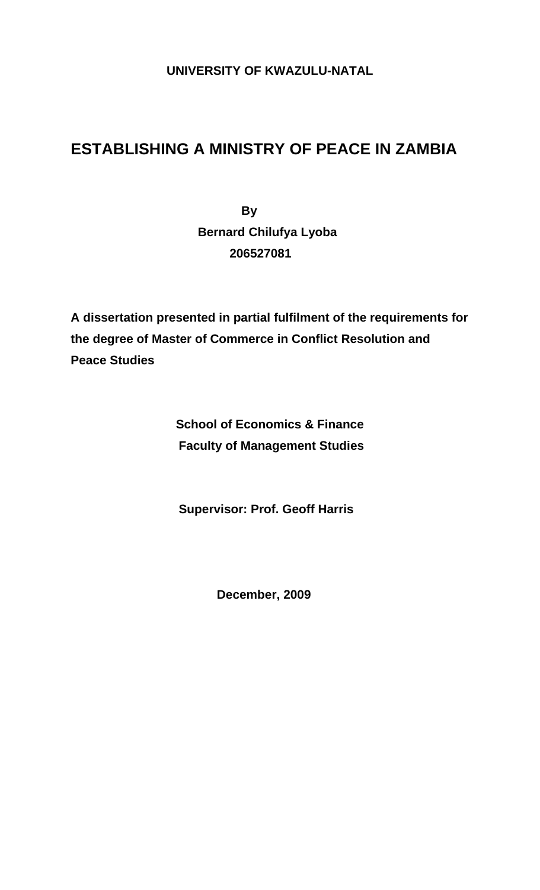### **UNIVERSITY OF KWAZULU-NATAL**

# **ESTABLISHING A MINISTRY OF PEACE IN ZAMBIA**

 **By Bernard Chilufya Lyoba 206527081** 

**A dissertation presented in partial fulfilment of the requirements for the degree of Master of Commerce in Conflict Resolution and Peace Studies** 

> **School of Economics & Finance Faculty of Management Studies**

**Supervisor: Prof. Geoff Harris** 

**December, 2009**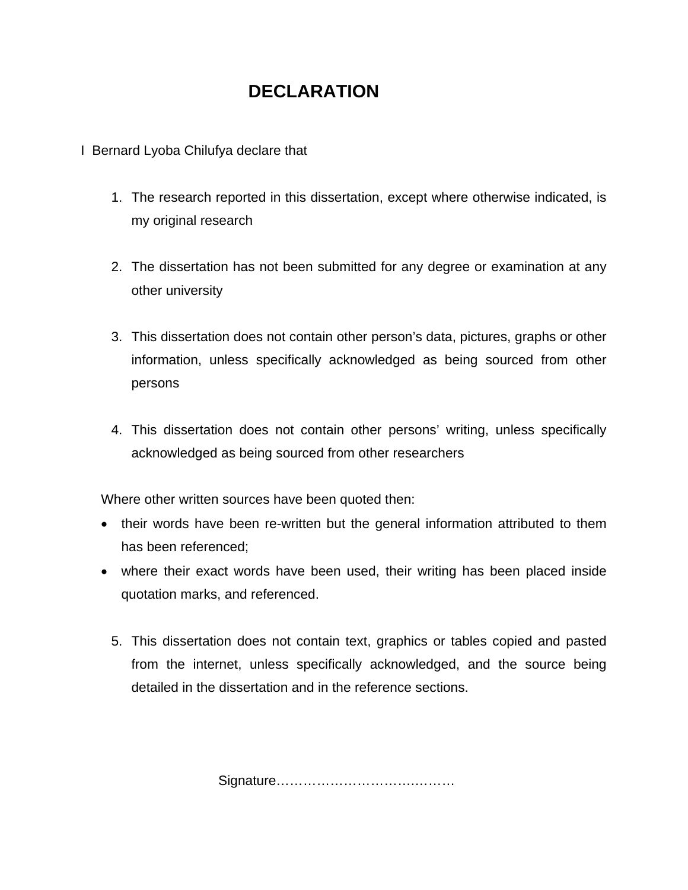## **DECLARATION**

I Bernard Lyoba Chilufya declare that

- 1. The research reported in this dissertation, except where otherwise indicated, is my original research
- 2. The dissertation has not been submitted for any degree or examination at any other university
- 3. This dissertation does not contain other person's data, pictures, graphs or other information, unless specifically acknowledged as being sourced from other persons
- 4. This dissertation does not contain other persons' writing, unless specifically acknowledged as being sourced from other researchers

Where other written sources have been quoted then:

- their words have been re-written but the general information attributed to them has been referenced;
- where their exact words have been used, their writing has been placed inside quotation marks, and referenced.
	- 5. This dissertation does not contain text, graphics or tables copied and pasted from the internet, unless specifically acknowledged, and the source being detailed in the dissertation and in the reference sections.

Signature………………………….………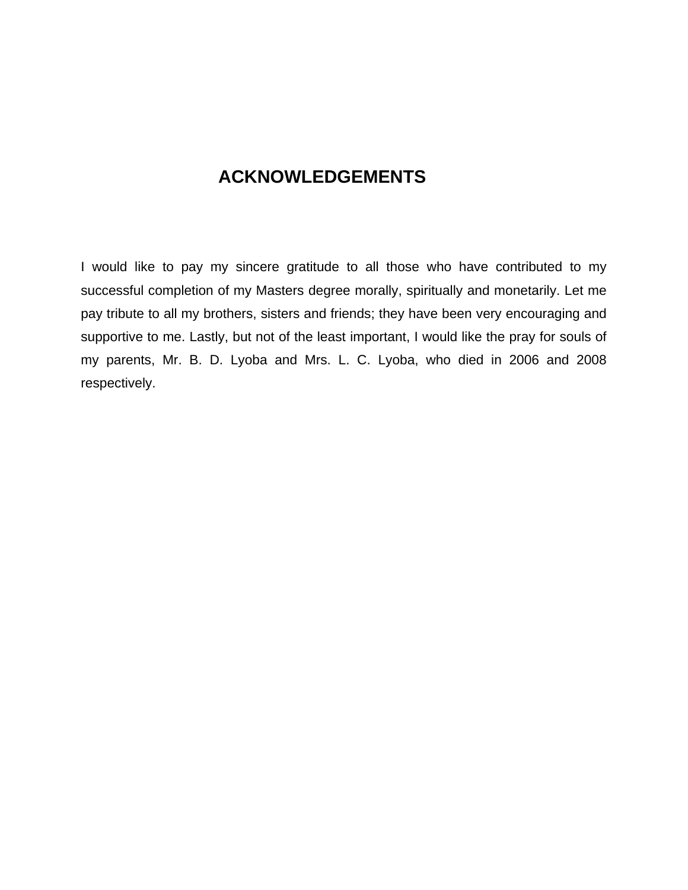### **ACKNOWLEDGEMENTS**

I would like to pay my sincere gratitude to all those who have contributed to my successful completion of my Masters degree morally, spiritually and monetarily. Let me pay tribute to all my brothers, sisters and friends; they have been very encouraging and supportive to me. Lastly, but not of the least important, I would like the pray for souls of my parents, Mr. B. D. Lyoba and Mrs. L. C. Lyoba, who died in 2006 and 2008 respectively.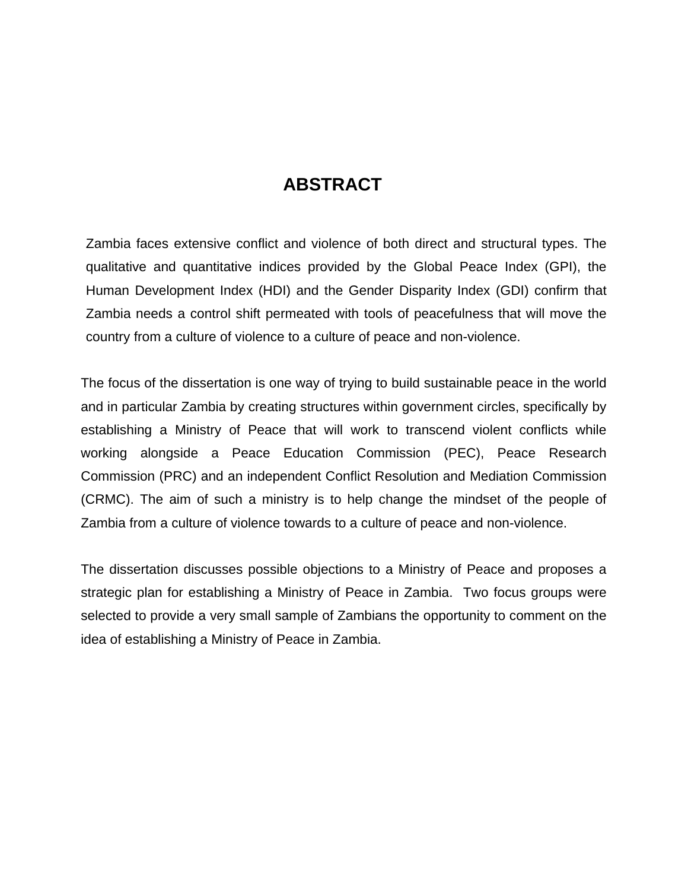### **ABSTRACT**

Zambia faces extensive conflict and violence of both direct and structural types. The qualitative and quantitative indices provided by the Global Peace Index (GPI), the Human Development Index (HDI) and the Gender Disparity Index (GDI) confirm that Zambia needs a control shift permeated with tools of peacefulness that will move the country from a culture of violence to a culture of peace and non-violence.

The focus of the dissertation is one way of trying to build sustainable peace in the world and in particular Zambia by creating structures within government circles, specifically by establishing a Ministry of Peace that will work to transcend violent conflicts while working alongside a Peace Education Commission (PEC), Peace Research Commission (PRC) and an independent Conflict Resolution and Mediation Commission (CRMC). The aim of such a ministry is to help change the mindset of the people of Zambia from a culture of violence towards to a culture of peace and non-violence.

The dissertation discusses possible objections to a Ministry of Peace and proposes a strategic plan for establishing a Ministry of Peace in Zambia. Two focus groups were selected to provide a very small sample of Zambians the opportunity to comment on the idea of establishing a Ministry of Peace in Zambia.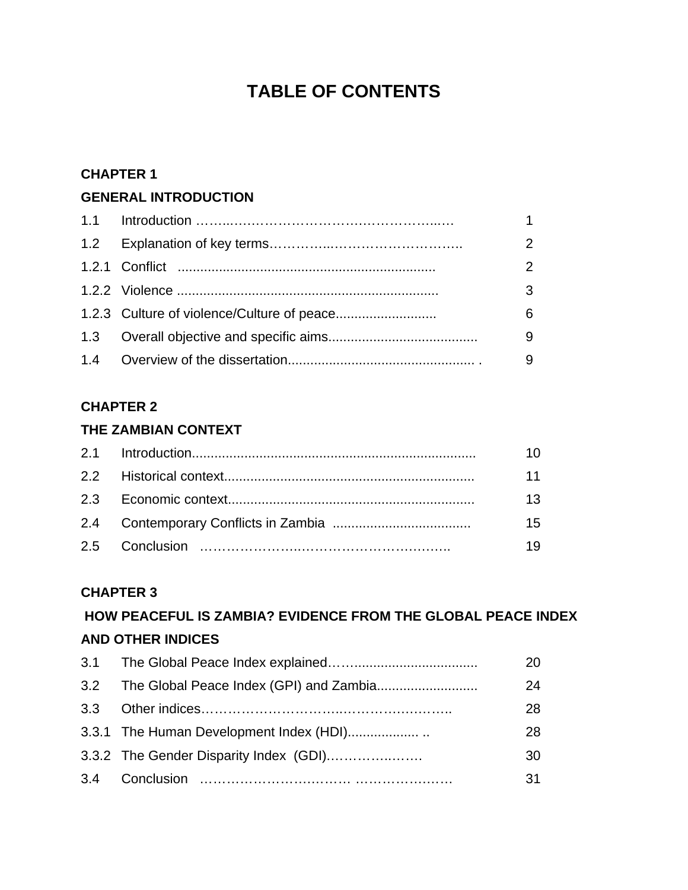## **TABLE OF CONTENTS**

#### **CHAPTER 1**

#### **GENERAL INTRODUCTION**

|  | 1.             |
|--|----------------|
|  | $\overline{2}$ |
|  | $\mathcal{P}$  |
|  | 3              |
|  | 6              |
|  | 9              |
|  | 9              |

### **CHAPTER 2**

### **THE ZAMBIAN CONTEXT**

| 11              |
|-----------------|
| 13 <sup>°</sup> |
| 15              |
| 19.             |
|                 |

#### **CHAPTER 3**

### **HOW PEACEFUL IS ZAMBIA? EVIDENCE FROM THE GLOBAL PEACE INDEX AND OTHER INDICES**

| 20 |
|----|
| 24 |
| 28 |
| 28 |
| 30 |
| 31 |
|    |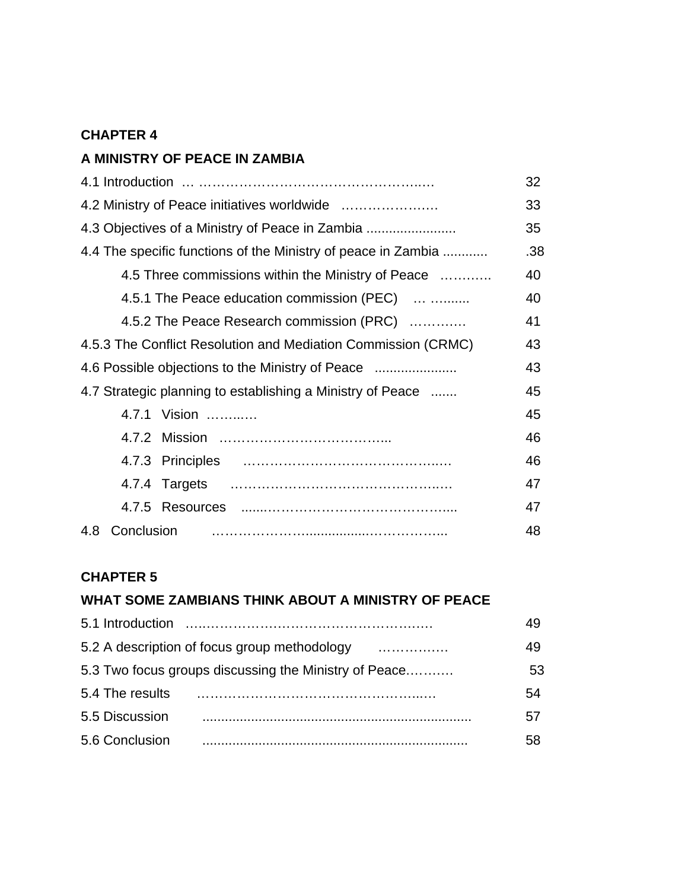#### **CHAPTER 4**

### **A MINISTRY OF PEACE IN ZAMBIA**

|                                                               | 32  |
|---------------------------------------------------------------|-----|
|                                                               | 33  |
| 4.3 Objectives of a Ministry of Peace in Zambia               | 35  |
| 4.4 The specific functions of the Ministry of peace in Zambia | .38 |
| 4.5 Three commissions within the Ministry of Peace            | 40  |
| 4.5.1 The Peace education commission (PEC)                    | 40  |
| 4.5.2 The Peace Research commission (PRC)                     | 41  |
| 4.5.3 The Conflict Resolution and Mediation Commission (CRMC) | 43  |
| 4.6 Possible objections to the Ministry of Peace              | 43  |
| 4.7 Strategic planning to establishing a Ministry of Peace    | 45  |
| 4.7.1 Vision                                                  | 45  |
|                                                               | 46  |
|                                                               | 46  |
|                                                               | 47  |
|                                                               | 47  |
| 4.8 Conclusion                                                | 48  |

### **CHAPTER 5**

#### **WHAT SOME ZAMBIANS THINK ABOUT A MINISTRY OF PEACE**

| 5.1 Introduction                                      |    |
|-------------------------------------------------------|----|
| 5.2 A description of focus group methodology<br>.     |    |
| 5.3 Two focus groups discussing the Ministry of Peace | 53 |
| 5.4 The results                                       | 54 |
| 5.5 Discussion                                        | 57 |
| 5.6 Conclusion                                        | 58 |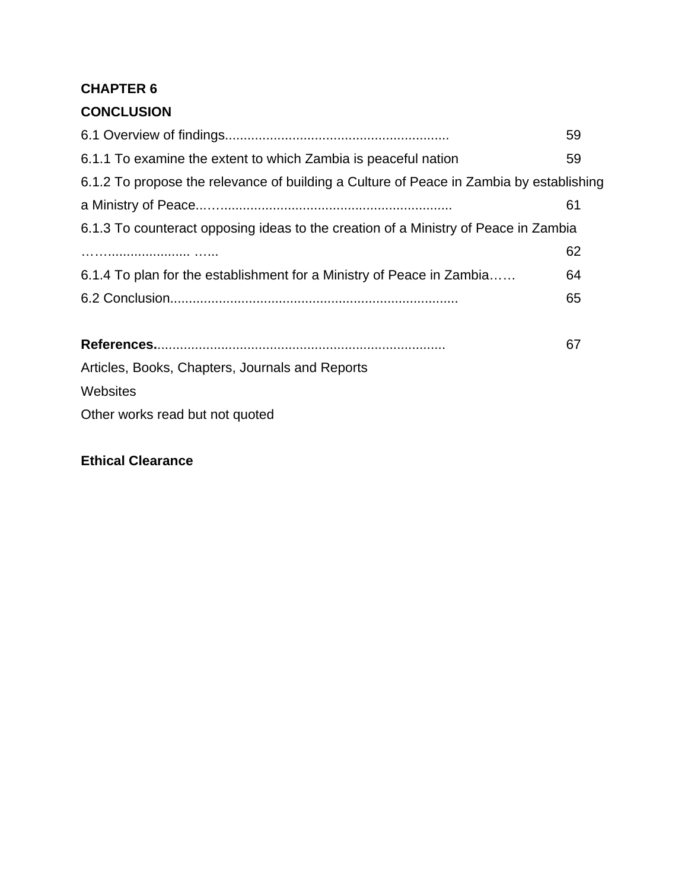### **CHAPTER 6**

### **CONCLUSION**

|                                                                                         | 59 |  |  |
|-----------------------------------------------------------------------------------------|----|--|--|
| 6.1.1 To examine the extent to which Zambia is peaceful nation                          | 59 |  |  |
| 6.1.2 To propose the relevance of building a Culture of Peace in Zambia by establishing |    |  |  |
|                                                                                         | 61 |  |  |
| 6.1.3 To counteract opposing ideas to the creation of a Ministry of Peace in Zambia     |    |  |  |
|                                                                                         | 62 |  |  |
| 6.1.4 To plan for the establishment for a Ministry of Peace in Zambia                   | 64 |  |  |
|                                                                                         | 65 |  |  |
|                                                                                         | 67 |  |  |
| Articles, Books, Chapters, Journals and Reports                                         |    |  |  |
|                                                                                         |    |  |  |
| Websites                                                                                |    |  |  |
| Other works read but not quoted                                                         |    |  |  |

### **Ethical Clearance**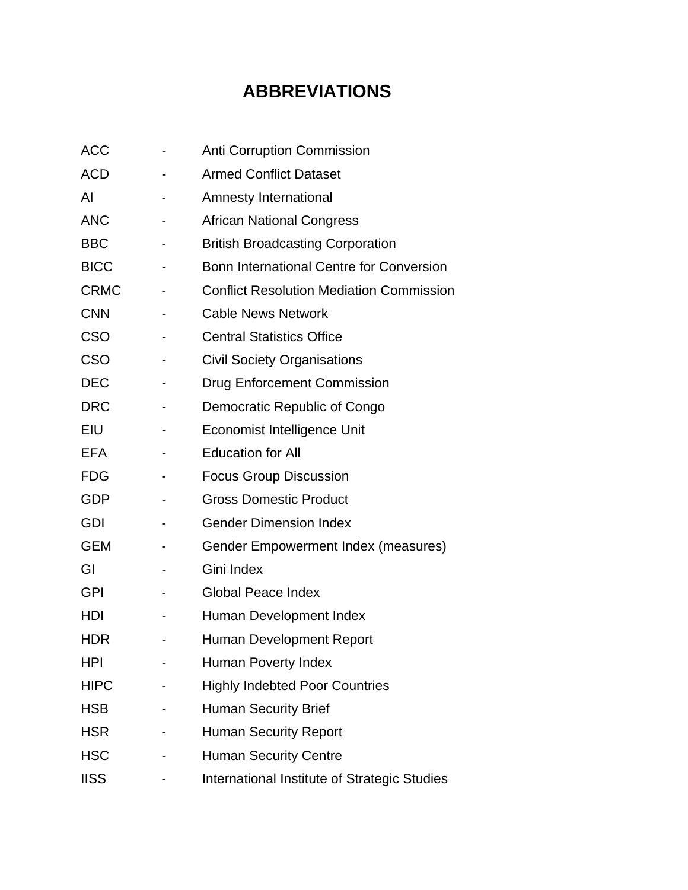# **ABBREVIATIONS**

| <b>ACC</b>  | <b>Anti Corruption Commission</b>               |
|-------------|-------------------------------------------------|
| <b>ACD</b>  | <b>Armed Conflict Dataset</b>                   |
| AI          | Amnesty International                           |
| <b>ANC</b>  | <b>African National Congress</b>                |
| <b>BBC</b>  | <b>British Broadcasting Corporation</b>         |
| <b>BICC</b> | Bonn International Centre for Conversion        |
| <b>CRMC</b> | <b>Conflict Resolution Mediation Commission</b> |
| <b>CNN</b>  | <b>Cable News Network</b>                       |
| <b>CSO</b>  | <b>Central Statistics Office</b>                |
| CSO         | <b>Civil Society Organisations</b>              |
| <b>DEC</b>  | <b>Drug Enforcement Commission</b>              |
| <b>DRC</b>  | Democratic Republic of Congo                    |
| <b>EIU</b>  | <b>Economist Intelligence Unit</b>              |
| <b>EFA</b>  | <b>Education for All</b>                        |
| <b>FDG</b>  | <b>Focus Group Discussion</b>                   |
| <b>GDP</b>  | <b>Gross Domestic Product</b>                   |
| <b>GDI</b>  | <b>Gender Dimension Index</b>                   |
| <b>GEM</b>  | Gender Empowerment Index (measures)             |
| GI          | Gini Index                                      |
| <b>GPI</b>  | <b>Global Peace Index</b>                       |
| HDI         | Human Development Index                         |
| <b>HDR</b>  | Human Development Report                        |
| HPI         | Human Poverty Index                             |
| <b>HIPC</b> | <b>Highly Indebted Poor Countries</b>           |
| <b>HSB</b>  | <b>Human Security Brief</b>                     |
| <b>HSR</b>  | <b>Human Security Report</b>                    |
| <b>HSC</b>  | <b>Human Security Centre</b>                    |
| <b>IISS</b> | International Institute of Strategic Studies    |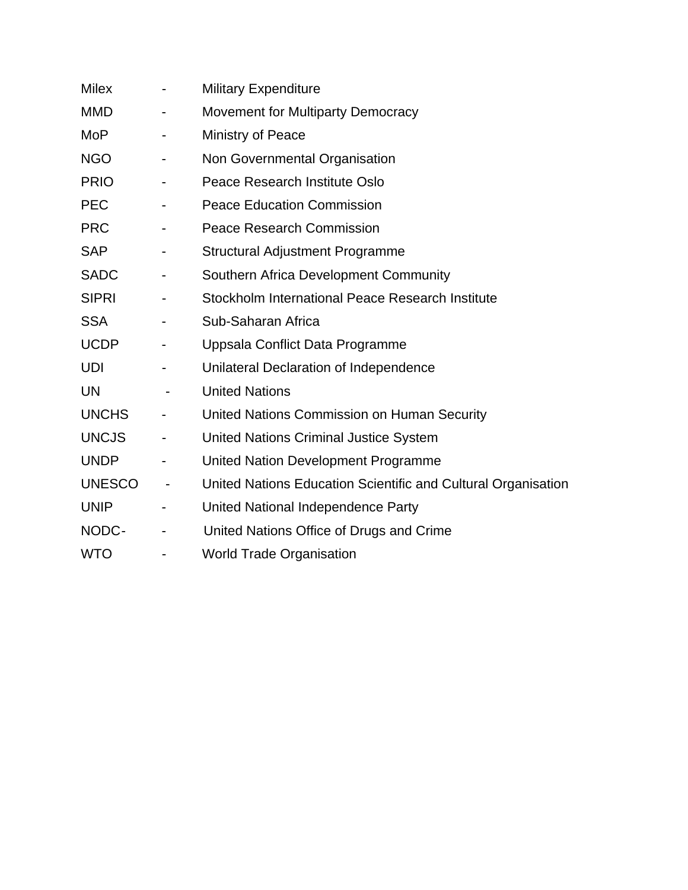| <b>Milex</b>  |                              | <b>Military Expenditure</b>                                   |
|---------------|------------------------------|---------------------------------------------------------------|
| <b>MMD</b>    |                              | <b>Movement for Multiparty Democracy</b>                      |
| <b>MoP</b>    |                              | Ministry of Peace                                             |
| <b>NGO</b>    |                              | Non Governmental Organisation                                 |
| <b>PRIO</b>   |                              | Peace Research Institute Oslo                                 |
| <b>PEC</b>    | $\blacksquare$               | <b>Peace Education Commission</b>                             |
| <b>PRC</b>    |                              | <b>Peace Research Commission</b>                              |
| <b>SAP</b>    |                              | <b>Structural Adjustment Programme</b>                        |
| <b>SADC</b>   | $\overline{\phantom{0}}$     | Southern Africa Development Community                         |
| <b>SIPRI</b>  |                              | Stockholm International Peace Research Institute              |
| <b>SSA</b>    |                              | Sub-Saharan Africa                                            |
| <b>UCDP</b>   |                              | Uppsala Conflict Data Programme                               |
| UDI           |                              | Unilateral Declaration of Independence                        |
| <b>UN</b>     | $\overline{\phantom{0}}$     | <b>United Nations</b>                                         |
| <b>UNCHS</b>  | $\overline{\phantom{0}}$     | United Nations Commission on Human Security                   |
| <b>UNCJS</b>  | $\overline{\phantom{a}}$     | <b>United Nations Criminal Justice System</b>                 |
| <b>UNDP</b>   |                              | United Nation Development Programme                           |
| <b>UNESCO</b> | ۰                            | United Nations Education Scientific and Cultural Organisation |
| <b>UNIP</b>   |                              | United National Independence Party                            |
| NODC-         | $\qquad \qquad \blacksquare$ | United Nations Office of Drugs and Crime                      |
| <b>WTO</b>    |                              | <b>World Trade Organisation</b>                               |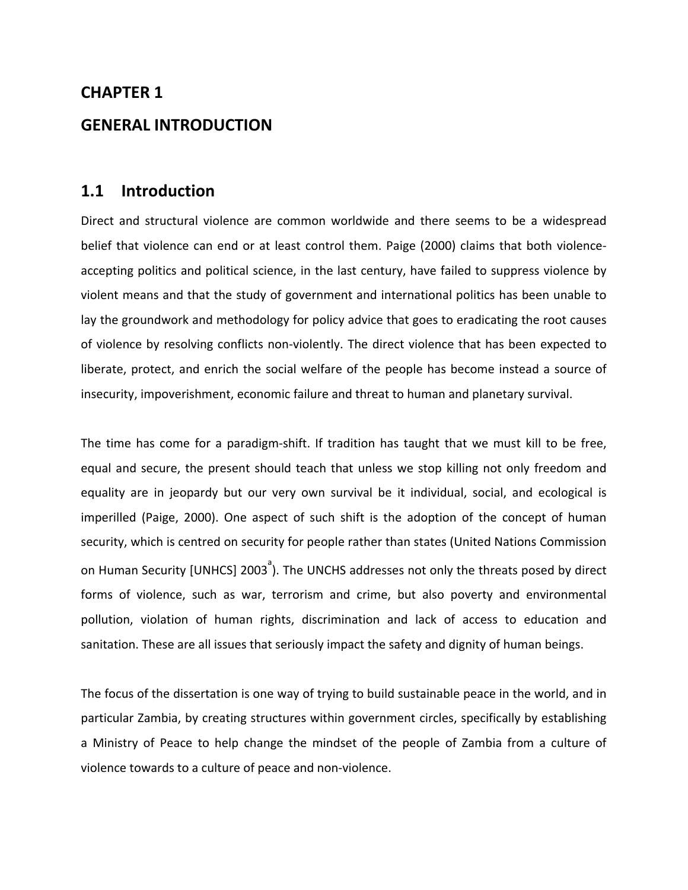# **CHAPTER 1 GENERAL INTRODUCTION**

### **1.1 Introduction**

Direct and structural violence are common worldwide and there seems to be a widespread belief that violence can end or at least control them. Paige (2000) claims that both violence‐ accepting politics and political science, in the last century, have failed to suppress violence by violent means and that the study of government and international politics has been unable to lay the groundwork and methodology for policy advice that goes to eradicating the root causes of violence by resolving conflicts non‐violently. The direct violence that has been expected to liberate, protect, and enrich the social welfare of the people has become instead a source of insecurity, impoverishment, economic failure and threat to human and planetary survival.

The time has come for a paradigm-shift. If tradition has taught that we must kill to be free, equal and secure, the present should teach that unless we stop killing not only freedom and equality are in jeopardy but our very own survival be it individual, social, and ecological is imperilled (Paige, 2000). One aspect of such shift is the adoption of the concept of human security, which is centred on security for people rather than states (United Nations Commission on Human Security [UNHCS] 2003<sup>a</sup>). The UNCHS addresses not only the threats posed by direct forms of violence, such as war, terrorism and crime, but also poverty and environmental pollution, violation of human rights, discrimination and lack of access to education and sanitation. These are all issues that seriously impact the safety and dignity of human beings.

The focus of the dissertation is one way of trying to build sustainable peace in the world, and in particular Zambia, by creating structures within government circles, specifically by establishing a Ministry of Peace to help change the mindset of the people of Zambia from a culture of violence towards to a culture of peace and non‐violence.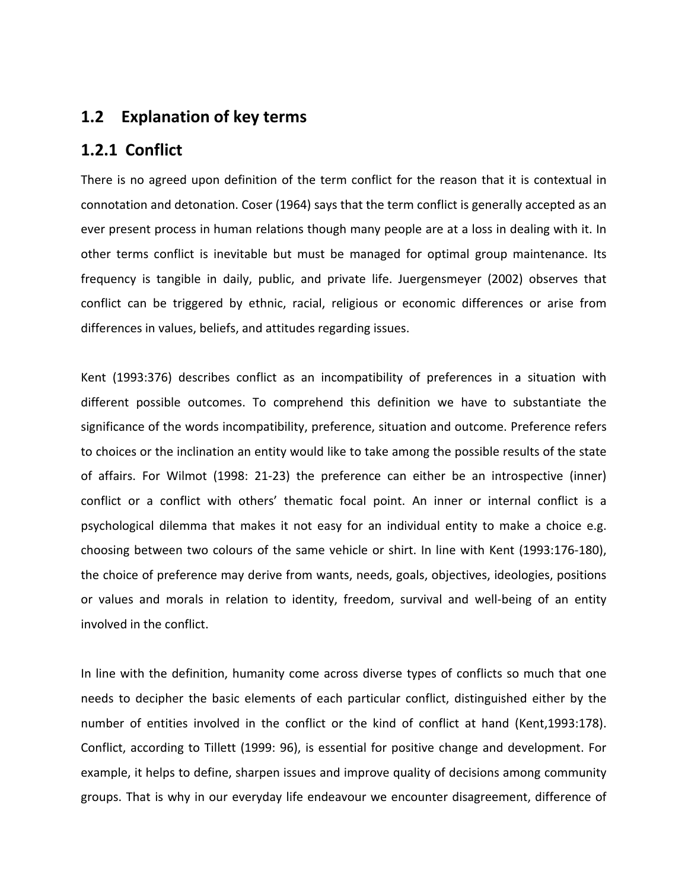### **1.2 Explanation of key terms**

### **1.2.1 Conflict**

There is no agreed upon definition of the term conflict for the reason that it is contextual in connotation and detonation. Coser (1964) says that the term conflict is generally accepted as an ever present process in human relations though many people are at a loss in dealing with it. In other terms conflict is inevitable but must be managed for optimal group maintenance. Its frequency is tangible in daily, public, and private life. Juergensmeyer (2002) observes that conflict can be triggered by ethnic, racial, religious or economic differences or arise from differences in values, beliefs, and attitudes regarding issues.

Kent (1993:376) describes conflict as an incompatibility of preferences in a situation with different possible outcomes. To comprehend this definition we have to substantiate the significance of the words incompatibility, preference, situation and outcome. Preference refers to choices or the inclination an entity would like to take among the possible results of the state of affairs. For Wilmot (1998: 21‐23) the preference can either be an introspective (inner) conflict or a conflict with others' thematic focal point. An inner or internal conflict is a psychological dilemma that makes it not easy for an individual entity to make a choice e.g. choosing between two colours of the same vehicle or shirt. In line with Kent (1993:176‐180), the choice of preference may derive from wants, needs, goals, objectives, ideologies, positions or values and morals in relation to identity, freedom, survival and well‐being of an entity involved in the conflict.

In line with the definition, humanity come across diverse types of conflicts so much that one needs to decipher the basic elements of each particular conflict, distinguished either by the number of entities involved in the conflict or the kind of conflict at hand (Kent,1993:178). Conflict, according to Tillett (1999: 96), is essential for positive change and development. For example, it helps to define, sharpen issues and improve quality of decisions among community groups. That is why in our everyday life endeavour we encounter disagreement, difference of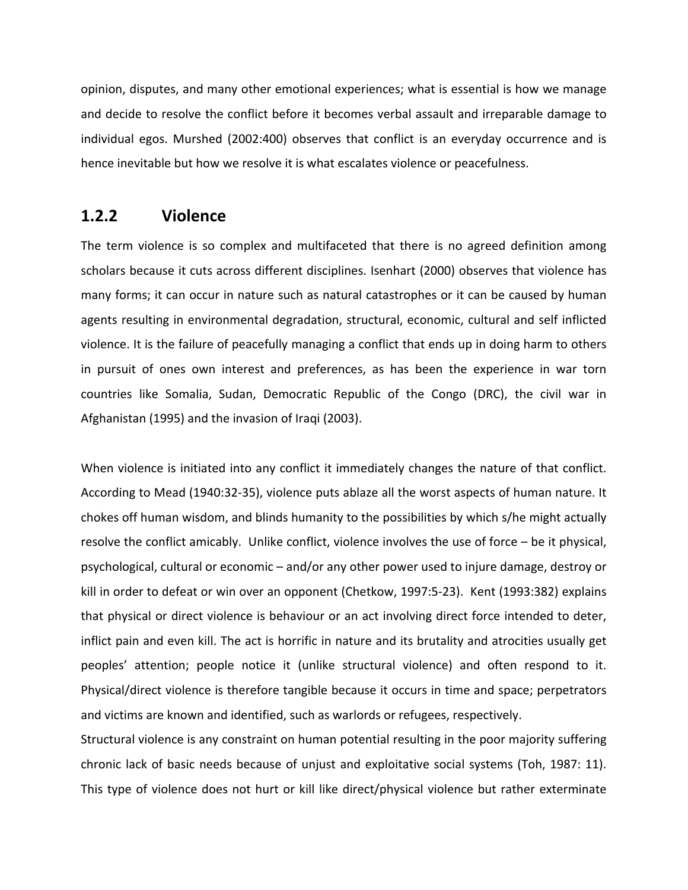opinion, disputes, and many other emotional experiences; what is essential is how we manage and decide to resolve the conflict before it becomes verbal assault and irreparable damage to individual egos. Murshed (2002:400) observes that conflict is an everyday occurrence and is hence inevitable but how we resolve it is what escalates violence or peacefulness.

#### **1.2.2 Violence**

The term violence is so complex and multifaceted that there is no agreed definition among scholars because it cuts across different disciplines. Isenhart (2000) observes that violence has many forms; it can occur in nature such as natural catastrophes or it can be caused by human agents resulting in environmental degradation, structural, economic, cultural and self inflicted violence. It is the failure of peacefully managing a conflict that ends up in doing harm to others in pursuit of ones own interest and preferences, as has been the experience in war torn countries like Somalia, Sudan, Democratic Republic of the Congo (DRC), the civil war in Afghanistan (1995) and the invasion of Iraqi (2003).

When violence is initiated into any conflict it immediately changes the nature of that conflict. According to Mead (1940:32‐35), violence puts ablaze all the worst aspects of human nature. It chokes off human wisdom, and blinds humanity to the possibilities by which s/he might actually resolve the conflict amicably. Unlike conflict, violence involves the use of force – be it physical, psychological, cultural or economic – and/or any other power used to injure damage, destroy or kill in order to defeat or win over an opponent (Chetkow, 1997:5‐23). Kent (1993:382) explains that physical or direct violence is behaviour or an act involving direct force intended to deter, inflict pain and even kill. The act is horrific in nature and its brutality and atrocities usually get peoples' attention; people notice it (unlike structural violence) and often respond to it. Physical/direct violence is therefore tangible because it occurs in time and space; perpetrators and victims are known and identified, such as warlords or refugees, respectively.

Structural violence is any constraint on human potential resulting in the poor majority suffering chronic lack of basic needs because of unjust and exploitative social systems (Toh, 1987: 11). This type of violence does not hurt or kill like direct/physical violence but rather exterminate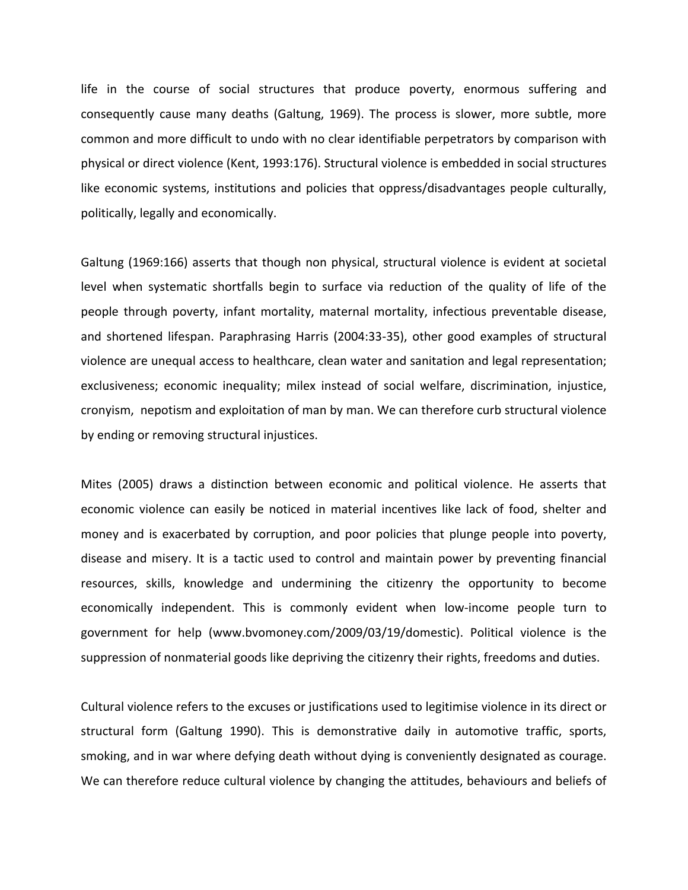life in the course of social structures that produce poverty, enormous suffering and consequently cause many deaths (Galtung, 1969). The process is slower, more subtle, more common and more difficult to undo with no clear identifiable perpetrators by comparison with physical or direct violence (Kent, 1993:176). Structural violence is embedded in social structures like economic systems, institutions and policies that oppress/disadvantages people culturally, politically, legally and economically.

Galtung (1969:166) asserts that though non physical, structural violence is evident at societal level when systematic shortfalls begin to surface via reduction of the quality of life of the people through poverty, infant mortality, maternal mortality, infectious preventable disease, and shortened lifespan. Paraphrasing Harris (2004:33‐35), other good examples of structural violence are unequal access to healthcare, clean water and sanitation and legal representation; exclusiveness; economic inequality; milex instead of social welfare, discrimination, injustice, cronyism, nepotism and exploitation of man by man. We can therefore curb structural violence by ending or removing structural injustices.

Mites (2005) draws a distinction between economic and political violence. He asserts that economic violence can easily be noticed in material incentives like lack of food, shelter and money and is exacerbated by corruption, and poor policies that plunge people into poverty, disease and misery. It is a tactic used to control and maintain power by preventing financial resources, skills, knowledge and undermining the citizenry the opportunity to become economically independent. This is commonly evident when low‐income people turn to government for help (www.bvomoney.com/2009/03/19/domestic). Political violence is the suppression of nonmaterial goods like depriving the citizenry their rights, freedoms and duties.

Cultural violence refers to the excuses or justifications used to legitimise violence in its direct or structural form (Galtung 1990). This is demonstrative daily in automotive traffic, sports, smoking, and in war where defying death without dying is conveniently designated as courage. We can therefore reduce cultural violence by changing the attitudes, behaviours and beliefs of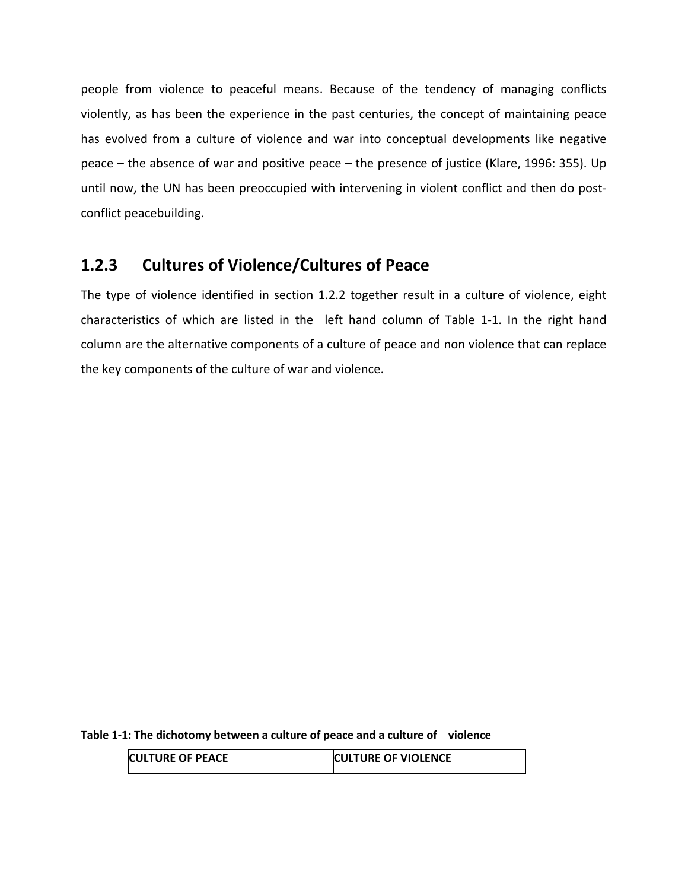people from violence to peaceful means. Because of the tendency of managing conflicts violently, as has been the experience in the past centuries, the concept of maintaining peace has evolved from a culture of violence and war into conceptual developments like negative peace – the absence of war and positive peace – the presence of justice (Klare, 1996: 355). Up until now, the UN has been preoccupied with intervening in violent conflict and then do postconflict peacebuilding.

### **1.2.3 Cultures of Violence/Cultures of Peace**

The type of violence identified in section 1.2.2 together result in a culture of violence, eight characteristics of which are listed in the left hand column of Table 1-1. In the right hand column are the alternative components of a culture of peace and non violence that can replace the key components of the culture of war and violence.

**Table 1‐1: The dichotomy between a culture of peace and a culture of violence**

| <b>CULTURE OF PEACE</b> | <b>CULTURE OF VIOLENCE</b> |
|-------------------------|----------------------------|
|                         |                            |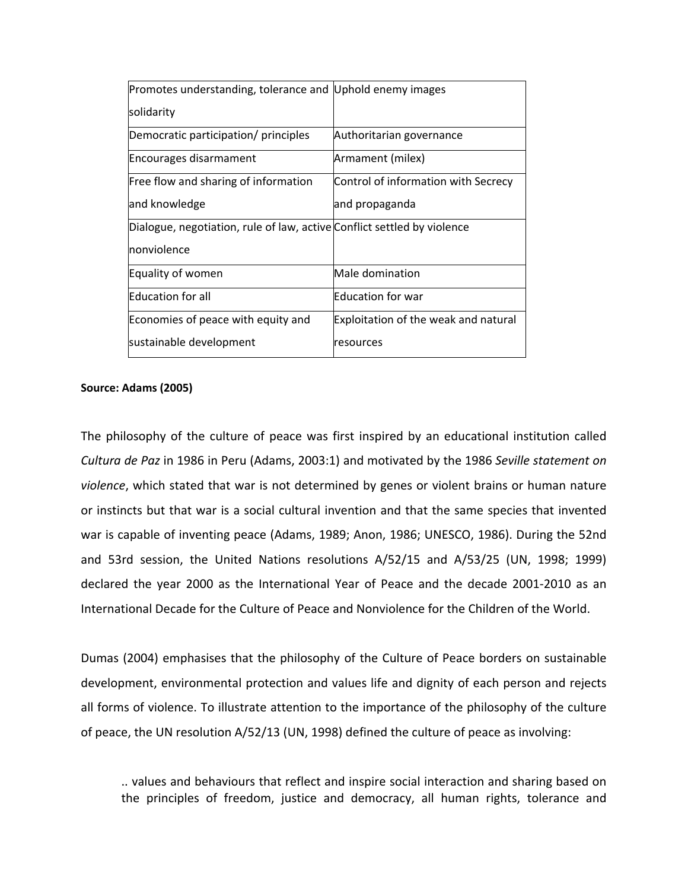| Promotes understanding, tolerance and Uphold enemy images               |                                      |  |
|-------------------------------------------------------------------------|--------------------------------------|--|
| solidarity                                                              |                                      |  |
| Democratic participation/ principles                                    | Authoritarian governance             |  |
| Encourages disarmament                                                  | Armament (milex)                     |  |
| Free flow and sharing of information                                    | Control of information with Secrecy  |  |
| and knowledge                                                           | and propaganda                       |  |
| Dialogue, negotiation, rule of law, active Conflict settled by violence |                                      |  |
| nonviolence                                                             |                                      |  |
| Equality of women                                                       | Male domination                      |  |
| <b>Education for all</b>                                                | Education for war                    |  |
| Economies of peace with equity and                                      | Exploitation of the weak and natural |  |
| sustainable development                                                 | resources                            |  |

#### **Source: Adams (2005)**

The philosophy of the culture of peace was first inspired by an educational institution called *Cultura de Paz* in 1986 in Peru (Adams, 2003:1) and motivated by the 1986 *Seville statement on violence*, which stated that war is not determined by genes or violent brains or human nature or instincts but that war is a social cultural invention and that the same species that invented war is capable of inventing peace (Adams, 1989; Anon, 1986; UNESCO, 1986). During the 52nd and 53rd session, the United Nations resolutions A/52/15 and A/53/25 (UN, 1998; 1999) declared the year 2000 as the International Year of Peace and the decade 2001‐2010 as an International Decade for the Culture of Peace and Nonviolence for the Children of the World.

Dumas (2004) emphasises that the philosophy of the Culture of Peace borders on sustainable development, environmental protection and values life and dignity of each person and rejects all forms of violence. To illustrate attention to the importance of the philosophy of the culture of peace, the UN resolution A/52/13 (UN, 1998) defined the culture of peace as involving:

.. values and behaviours that reflect and inspire social interaction and sharing based on the principles of freedom, justice and democracy, all human rights, tolerance and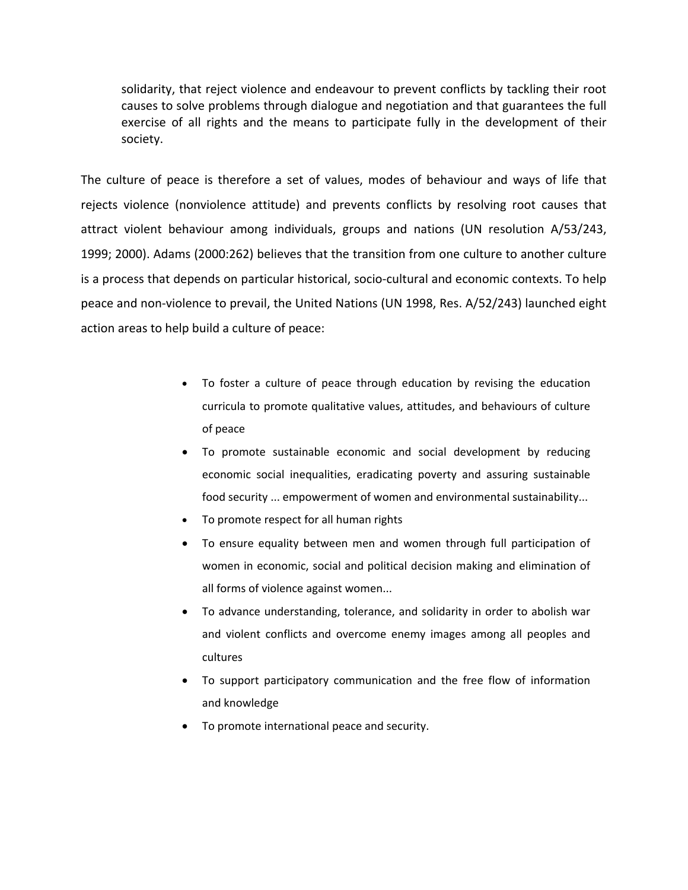solidarity, that reject violence and endeavour to prevent conflicts by tackling their root causes to solve problems through dialogue and negotiation and that guarantees the full exercise of all rights and the means to participate fully in the development of their society.

The culture of peace is therefore a set of values, modes of behaviour and ways of life that rejects violence (nonviolence attitude) and prevents conflicts by resolving root causes that attract violent behaviour among individuals, groups and nations (UN resolution A/53/243, 1999; 2000). Adams (2000:262) believes that the transition from one culture to another culture is a process that depends on particular historical, socio‐cultural and economic contexts. To help peace and non‐violence to prevail, the United Nations (UN 1998, Res. A/52/243) launched eight action areas to help build a culture of peace:

- To foster a culture of peace through education by revising the education curricula to promote qualitative values, attitudes, and behaviours of culture of peace
- To promote sustainable economic and social development by reducing economic social inequalities, eradicating poverty and assuring sustainable food security ... empowerment of women and environmental sustainability...
- To promote respect for all human rights
- To ensure equality between men and women through full participation of women in economic, social and political decision making and elimination of all forms of violence against women...
- To advance understanding, tolerance, and solidarity in order to abolish war and violent conflicts and overcome enemy images among all peoples and cultures
- To support participatory communication and the free flow of information and knowledge
- To promote international peace and security.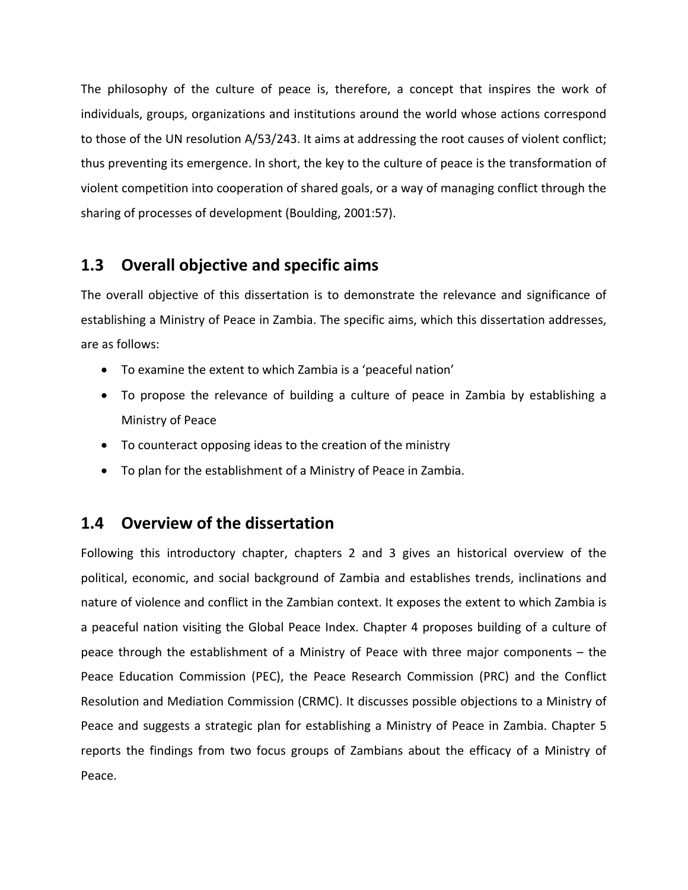The philosophy of the culture of peace is, therefore, a concept that inspires the work of individuals, groups, organizations and institutions around the world whose actions correspond to those of the UN resolution A/53/243. It aims at addressing the root causes of violent conflict; thus preventing its emergence. In short, the key to the culture of peace is the transformation of violent competition into cooperation of shared goals, or a way of managing conflict through the sharing of processes of development (Boulding, 2001:57).

### **1.3 Overall objective and specific aims**

The overall objective of this dissertation is to demonstrate the relevance and significance of establishing a Ministry of Peace in Zambia. The specific aims, which this dissertation addresses, are as follows:

- To examine the extent to which Zambia is a 'peaceful nation'
- To propose the relevance of building a culture of peace in Zambia by establishing a Ministry of Peace
- To counteract opposing ideas to the creation of the ministry
- To plan for the establishment of a Ministry of Peace in Zambia.

### **1.4 Overview of the dissertation**

Following this introductory chapter, chapters 2 and 3 gives an historical overview of the political, economic, and social background of Zambia and establishes trends, inclinations and nature of violence and conflict in the Zambian context. It exposes the extent to which Zambia is a peaceful nation visiting the Global Peace Index. Chapter 4 proposes building of a culture of peace through the establishment of a Ministry of Peace with three major components – the Peace Education Commission (PEC), the Peace Research Commission (PRC) and the Conflict Resolution and Mediation Commission (CRMC). It discusses possible objections to a Ministry of Peace and suggests a strategic plan for establishing a Ministry of Peace in Zambia. Chapter 5 reports the findings from two focus groups of Zambians about the efficacy of a Ministry of Peace.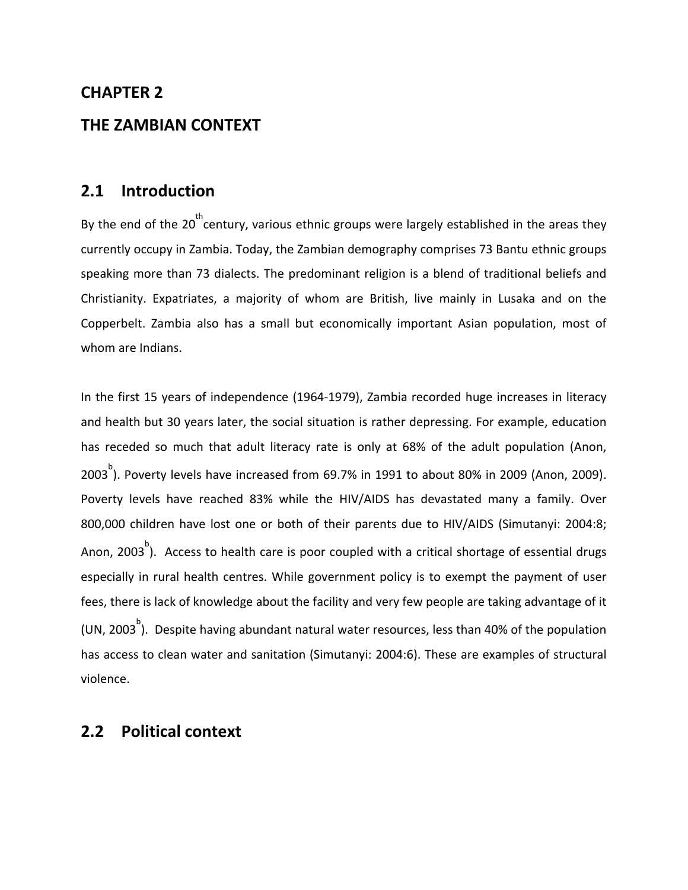### **CHAPTER 2**

#### **THE ZAMBIAN CONTEXT**

### **2.1 Introduction**

By the end of the 20<sup>th</sup> century, various ethnic groups were largely established in the areas they currently occupy in Zambia. Today, the Zambian demography comprises 73 Bantu ethnic groups speaking more than 73 dialects. The predominant religion is a blend of traditional beliefs and Christianity. Expatriates, a majority of whom are British, live mainly in Lusaka and on the Copperbelt. Zambia also has a small but economically important Asian population, most of whom are Indians.

In the first 15 years of independence (1964‐1979), Zambia recorded huge increases in literacy and health but 30 years later, the social situation is rather depressing. For example, education has receded so much that adult literacy rate is only at 68% of the adult population (Anon, 2003 $^{\circ}$ ). Poverty levels have increased from 69.7% in 1991 to about 80% in 2009 (Anon, 2009). Poverty levels have reached 83% while the HIV/AIDS has devastated many a family. Over 800,000 children have lost one or both of their parents due to HIV/AIDS (Simutanyi: 2004:8; Anon, 2003<sup>b</sup>). Access to health care is poor coupled with a critical shortage of essential drugs especially in rural health centres. While government policy is to exempt the payment of user fees, there is lack of knowledge about the facility and very few people are taking advantage of it (UN, 2003<sup>b</sup>). Despite having abundant natural water resources, less than 40% of the population has access to clean water and sanitation (Simutanyi: 2004:6). These are examples of structural violence.

#### **2.2 Political context**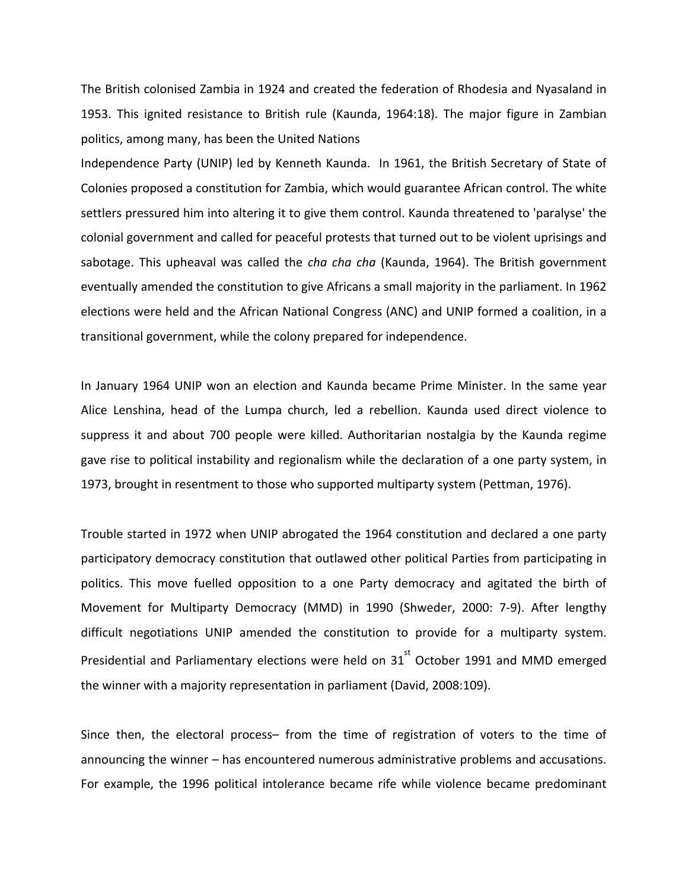The British colonised Zambia in 1924 and created the federation of Rhodesia and Nyasaland in 1953. This ignited resistance to British rule (Kaunda, 1964:18). The major figure in Zambian politics, among many, has been the United Nations

Independence Party (UNIP) led by Kenneth Kaunda. In 1961, the British Secretary of State of Colonies proposed a constitution for Zambia, which would guarantee African control. The white settlers pressured him into altering it to give them control. Kaunda threatened to 'paralyse' the colonial government and called for peaceful protests that turned out to be violent uprisings and sabotage. This upheaval was called the *cha cha cha* (Kaunda, 1964). The British government eventually amended the constitution to give Africans a small majority in the parliament. In 1962 elections were held and the African National Congress (ANC) and UNIP formed a coalition, in a transitional government, while the colony prepared for independence.

In January 1964 UNIP won an election and Kaunda became Prime Minister. In the same year Alice Lenshina, head of the Lumpa church, led a rebellion. Kaunda used direct violence to suppress it and about 700 people were killed. Authoritarian nostalgia by the Kaunda regime gave rise to political instability and regionalism while the declaration of a one party system, in 1973, brought in resentment to those who supported multiparty system (Pettman, 1976).

Trouble started in 1972 when UNIP abrogated the 1964 constitution and declared a one party participatory democracy constitution that outlawed other political Parties from participating in politics. This move fuelled opposition to a one Party democracy and agitated the birth of Movement for Multiparty Democracy (MMD) in 1990 (Shweder, 2000: 7‐9). After lengthy difficult negotiations UNIP amended the constitution to provide for a multiparty system. Presidential and Parliamentary elections were held on  $31^{st}$  October 1991 and MMD emerged the winner with a majority representation in parliament (David, 2008:109).

Since then, the electoral process– from the time of registration of voters to the time of announcing the winner – has encountered numerous administrative problems and accusations. For example, the 1996 political intolerance became rife while violence became predominant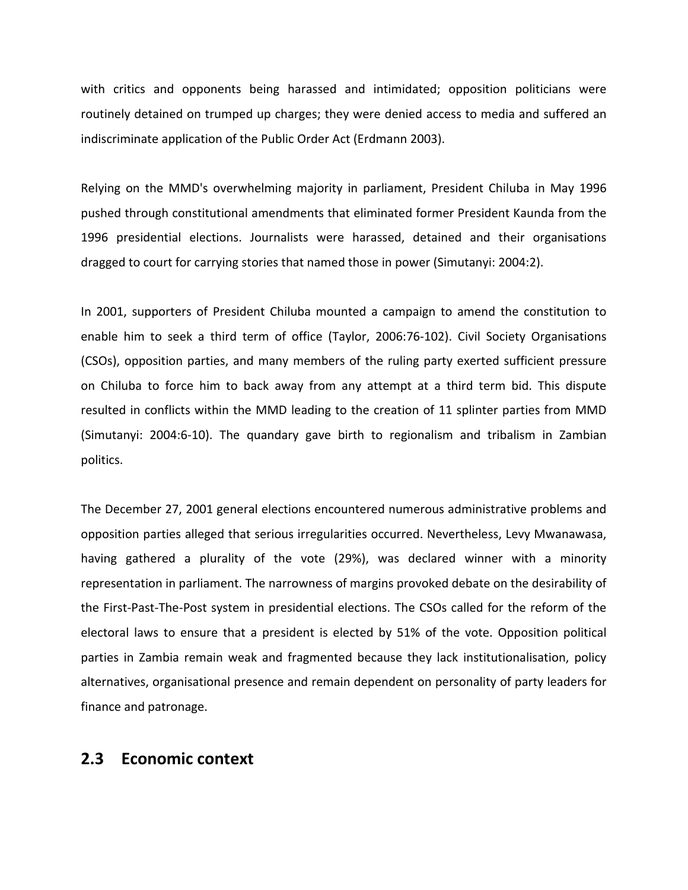with critics and opponents being harassed and intimidated; opposition politicians were routinely detained on trumped up charges; they were denied access to media and suffered an indiscriminate application of the Public Order Act (Erdmann 2003).

Relying on the MMD's overwhelming majority in parliament, President Chiluba in May 1996 pushed through constitutional amendments that eliminated former President Kaunda from the 1996 presidential elections. Journalists were harassed, detained and their organisations dragged to court for carrying stories that named those in power (Simutanyi: 2004:2).

In 2001, supporters of President Chiluba mounted a campaign to amend the constitution to enable him to seek a third term of office (Taylor, 2006:76‐102). Civil Society Organisations (CSOs), opposition parties, and many members of the ruling party exerted sufficient pressure on Chiluba to force him to back away from any attempt at a third term bid. This dispute resulted in conflicts within the MMD leading to the creation of 11 splinter parties from MMD (Simutanyi: 2004:6‐10). The quandary gave birth to regionalism and tribalism in Zambian politics.

The December 27, 2001 general elections encountered numerous administrative problems and opposition parties alleged that serious irregularities occurred. Nevertheless, Levy Mwanawasa, having gathered a plurality of the vote (29%), was declared winner with a minority representation in parliament. The narrowness of margins provoked debate on the desirability of the First‐Past‐The‐Post system in presidential elections. The CSOs called for the reform of the electoral laws to ensure that a president is elected by 51% of the vote. Opposition political parties in Zambia remain weak and fragmented because they lack institutionalisation, policy alternatives, organisational presence and remain dependent on personality of party leaders for finance and patronage.

#### **2.3 Economic context**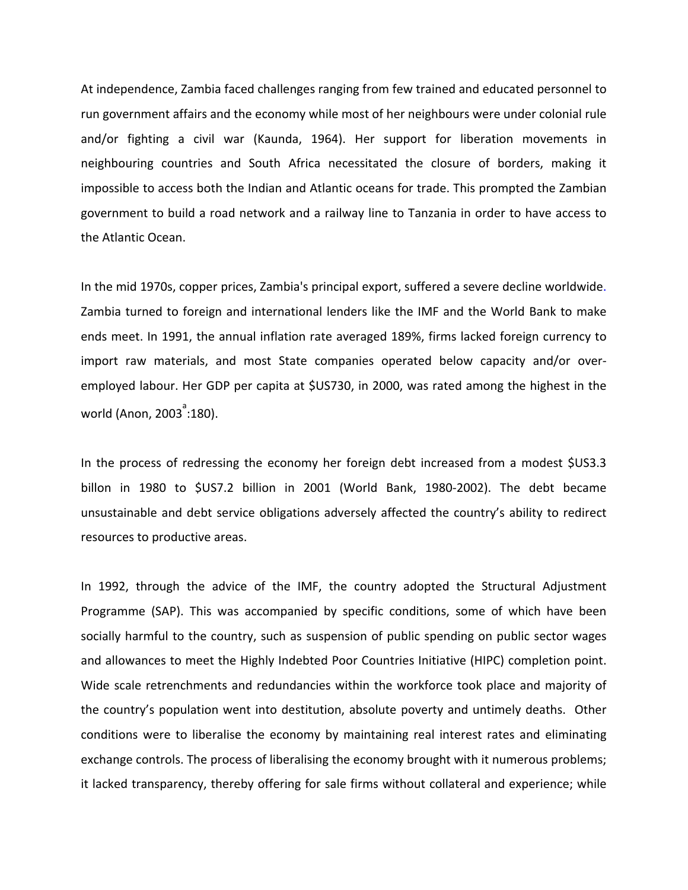At independence, Zambia faced challenges ranging from few trained and educated personnel to run government affairs and the economy while most of her neighbours were under colonial rule and/or fighting a civil war (Kaunda, 1964). Her support for liberation movements in neighbouring countries and South Africa necessitated the closure of borders, making it impossible to access both the Indian and Atlantic oceans for trade. This prompted the Zambian government to build a road network and a railway line to Tanzania in order to have access to the Atlantic Ocean.

In the mid 1970s, copper prices, Zambia's principal export, suffered a severe decline worldwide. Zambia turned to foreign and international lenders like the IMF and the World Bank to make ends meet. In 1991, the annual inflation rate averaged 189%, firms lacked foreign currency to import raw materials, and most State companies operated below capacity and/or over‐ employed labour. Her GDP per capita at \$US730, in 2000, was rated among the highest in the world (Anon, 2003 $^{\rm a}$ :180).

In the process of redressing the economy her foreign debt increased from a modest \$US3.3 billon in 1980 to \$US7.2 billion in 2001 (World Bank, 1980‐2002). The debt became unsustainable and debt service obligations adversely affected the country's ability to redirect resources to productive areas.

In 1992, through the advice of the IMF, the country adopted the Structural Adjustment Programme (SAP). This was accompanied by specific conditions, some of which have been socially harmful to the country, such as suspension of public spending on public sector wages and allowances to meet the Highly Indebted Poor Countries Initiative (HIPC) completion point. Wide scale retrenchments and redundancies within the workforce took place and majority of the country's population went into destitution, absolute poverty and untimely deaths. Other conditions were to liberalise the economy by maintaining real interest rates and eliminating exchange controls. The process of liberalising the economy brought with it numerous problems; it lacked transparency, thereby offering for sale firms without collateral and experience; while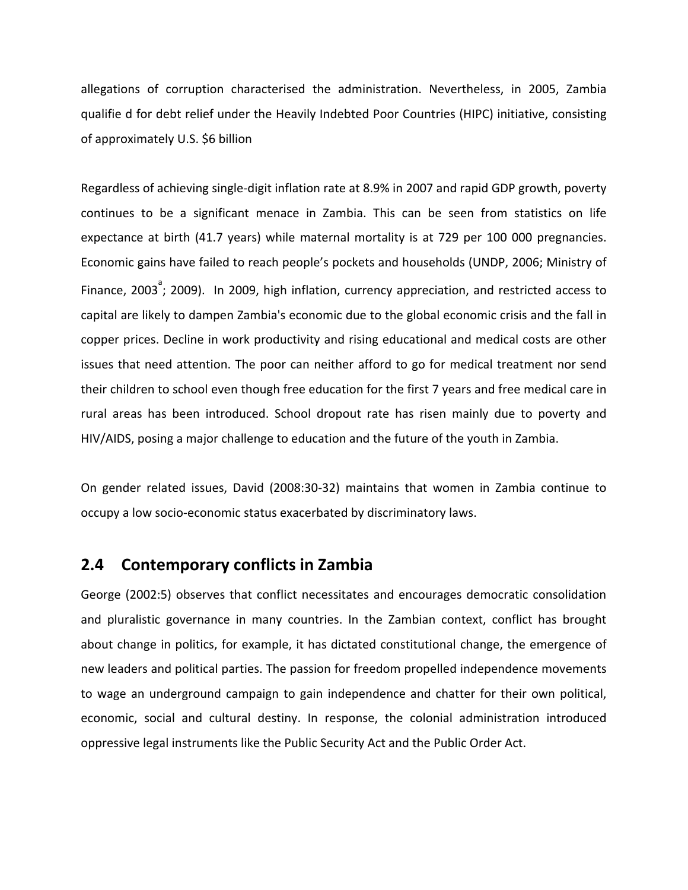allegations of corruption characterised the administration. Nevertheless, in 2005, Zambia qualifie d for debt relief under the Heavily Indebted Poor Countries (HIPC) initiative, consisting of approximately U.S. \$6 billion

Regardless of achieving single‐digit inflation rate at 8.9% in 2007 and rapid GDP growth, poverty continues to be a significant menace in Zambia. This can be seen from statistics on life expectance at birth (41.7 years) while maternal mortality is at 729 per 100 000 pregnancies. Economic gains have failed to reach people's pockets and households (UNDP, 2006; Ministry of Finance, 2003<sup>3</sup>; 2009). In 2009, high inflation, currency appreciation, and restricted access to capital are likely to dampen Zambia's economic due to the global economic crisis and the fall in copper prices. Decline in work productivity and rising educational and medical costs are other issues that need attention. The poor can neither afford to go for medical treatment nor send their children to school even though free education for the first 7 years and free medical care in rural areas has been introduced. School dropout rate has risen mainly due to poverty and HIV/AIDS, posing a major challenge to education and the future of the youth in Zambia.

On gender related issues, David (2008:30‐32) maintains that women in Zambia continue to occupy a low socio‐economic status exacerbated by discriminatory laws.

### **2.4 Contemporary conflicts in Zambia**

George (2002:5) observes that conflict necessitates and encourages democratic consolidation and pluralistic governance in many countries. In the Zambian context, conflict has brought about change in politics, for example, it has dictated constitutional change, the emergence of new leaders and political parties. The passion for freedom propelled independence movements to wage an underground campaign to gain independence and chatter for their own political, economic, social and cultural destiny. In response, the colonial administration introduced oppressive legal instruments like the Public Security Act and the Public Order Act.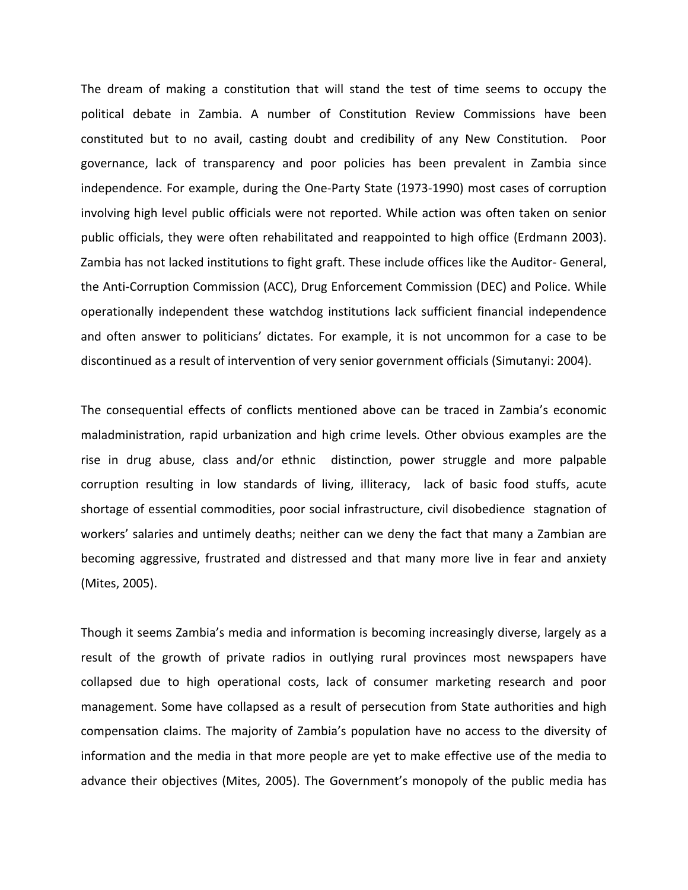The dream of making a constitution that will stand the test of time seems to occupy the political debate in Zambia. A number of Constitution Review Commissions have been constituted but to no avail, casting doubt and credibility of any New Constitution. Poor governance, lack of transparency and poor policies has been prevalent in Zambia since independence. For example, during the One-Party State (1973-1990) most cases of corruption involving high level public officials were not reported. While action was often taken on senior public officials, they were often rehabilitated and reappointed to high office (Erdmann 2003). Zambia has not lacked institutions to fight graft. These include offices like the Auditor‐ General, the Anti‐Corruption Commission (ACC), Drug Enforcement Commission (DEC) and Police. While operationally independent these watchdog institutions lack sufficient financial independence and often answer to politicians' dictates. For example, it is not uncommon for a case to be discontinued as a result of intervention of very senior government officials (Simutanyi: 2004).

The consequential effects of conflicts mentioned above can be traced in Zambia's economic maladministration, rapid urbanization and high crime levels. Other obvious examples are the rise in drug abuse, class and/or ethnic distinction, power struggle and more palpable corruption resulting in low standards of living, illiteracy, lack of basic food stuffs, acute shortage of essential commodities, poor social infrastructure, civil disobedience stagnation of workers' salaries and untimely deaths; neither can we deny the fact that many a Zambian are becoming aggressive, frustrated and distressed and that many more live in fear and anxiety (Mites, 2005).

Though it seems Zambia's media and information is becoming increasingly diverse, largely as a result of the growth of private radios in outlying rural provinces most newspapers have collapsed due to high operational costs, lack of consumer marketing research and poor management. Some have collapsed as a result of persecution from State authorities and high compensation claims. The majority of Zambia's population have no access to the diversity of information and the media in that more people are yet to make effective use of the media to advance their objectives (Mites, 2005). The Government's monopoly of the public media has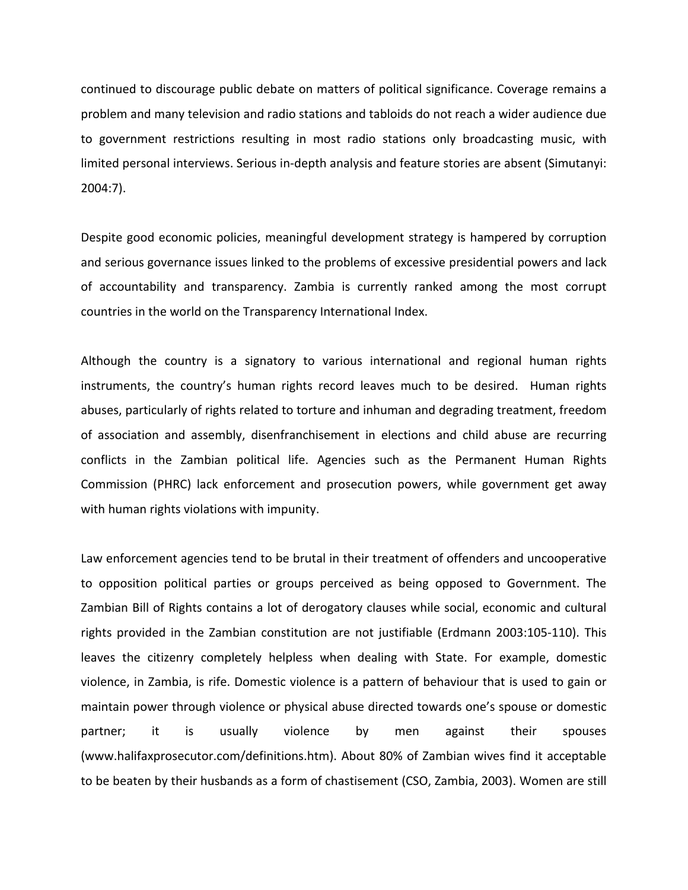continued to discourage public debate on matters of political significance. Coverage remains a problem and many television and radio stations and tabloids do not reach a wider audience due to government restrictions resulting in most radio stations only broadcasting music, with limited personal interviews. Serious in‐depth analysis and feature stories are absent (Simutanyi: 2004:7).

Despite good economic policies, meaningful development strategy is hampered by corruption and serious governance issues linked to the problems of excessive presidential powers and lack of accountability and transparency. Zambia is currently ranked among the most corrupt countries in the world on the Transparency International Index.

Although the country is a signatory to various international and regional human rights instruments, the country's human rights record leaves much to be desired. Human rights abuses, particularly of rights related to torture and inhuman and degrading treatment, freedom of association and assembly, disenfranchisement in elections and child abuse are recurring conflicts in the Zambian political life. Agencies such as the Permanent Human Rights Commission (PHRC) lack enforcement and prosecution powers, while government get away with human rights violations with impunity.

Law enforcement agencies tend to be brutal in their treatment of offenders and uncooperative to opposition political parties or groups perceived as being opposed to Government. The Zambian Bill of Rights contains a lot of derogatory clauses while social, economic and cultural rights provided in the Zambian constitution are not justifiable (Erdmann 2003:105‐110). This leaves the citizenry completely helpless when dealing with State. For example, domestic violence, in Zambia, is rife. Domestic violence is a pattern of behaviour that is used to gain or maintain power through violence or physical abuse directed towards one's spouse or domestic partner; it is usually violence by men against their spouses (www.halifaxprosecutor.com/definitions.htm). About 80% of Zambian wives find it acceptable to be beaten by their husbands as a form of chastisement (CSO, Zambia, 2003). Women are still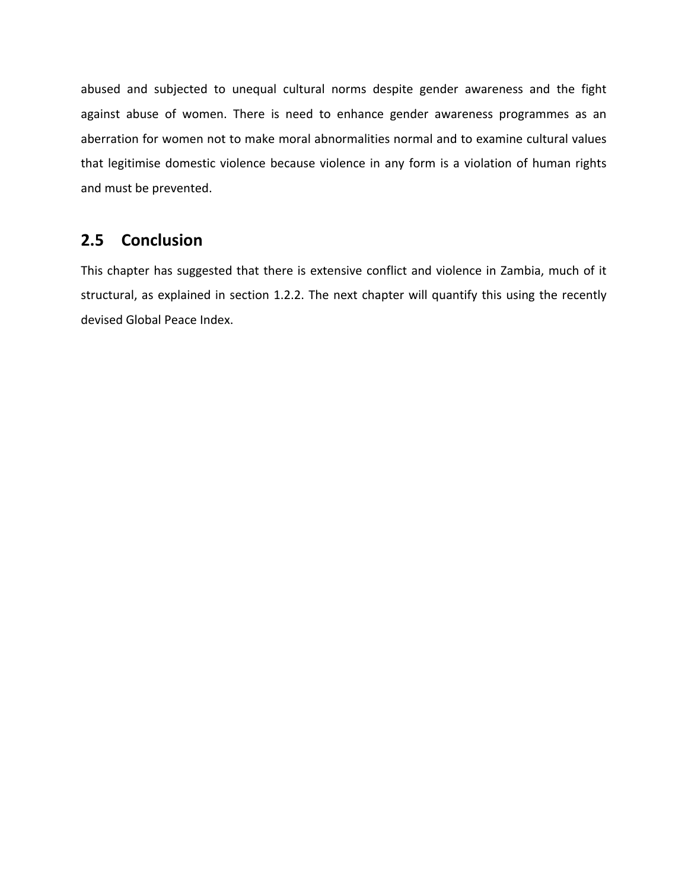abused and subjected to unequal cultural norms despite gender awareness and the fight against abuse of women. There is need to enhance gender awareness programmes as an aberration for women not to make moral abnormalities normal and to examine cultural values that legitimise domestic violence because violence in any form is a violation of human rights and must be prevented.

#### **2.5 Conclusion**

This chapter has suggested that there is extensive conflict and violence in Zambia, much of it structural, as explained in section 1.2.2. The next chapter will quantify this using the recently devised Global Peace Index.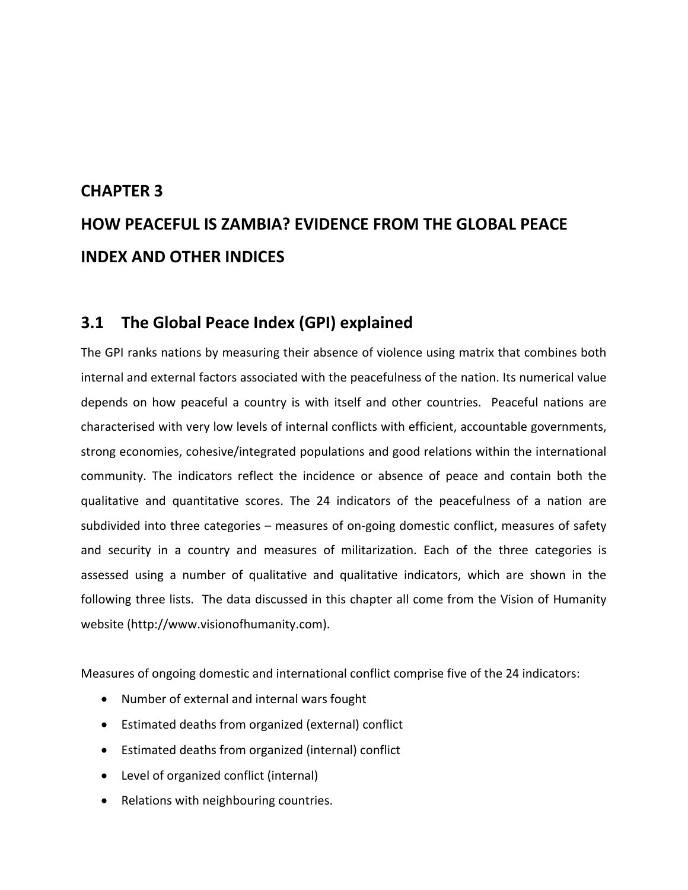# **CHAPTER 3 HOW PEACEFUL IS ZAMBIA? EVIDENCE FROM THE GLOBAL PEACE INDEX AND OTHER INDICES**

### **3.1 The Global Peace Index (GPI) explained**

The GPI ranks nations by measuring their absence of violence using matrix that combines both internal and external factors associated with the peacefulness of the nation. Its numerical value depends on how peaceful a country is with itself and other countries. Peaceful nations are characterised with very low levels of internal conflicts with efficient, accountable governments, strong economies, cohesive/integrated populations and good relations within the international community. The indicators reflect the incidence or absence of peace and contain both the qualitative and quantitative scores. The 24 indicators of the peacefulness of a nation are subdivided into three categories – measures of on‐going domestic conflict, measures of safety and security in a country and measures of militarization. Each of the three categories is assessed using a number of qualitative and qualitative indicators, which are shown in the following three lists. The data discussed in this chapter all come from the Vision of Humanity website (http://www.visionofhumanity.com).

Measures of ongoing domestic and international conflict comprise five of the 24 indicators:

- Number of external and internal wars fought
- Estimated deaths from organized (external) conflict
- Estimated deaths from organized (internal) conflict
- Level of organized conflict (internal)
- Relations with neighbouring countries.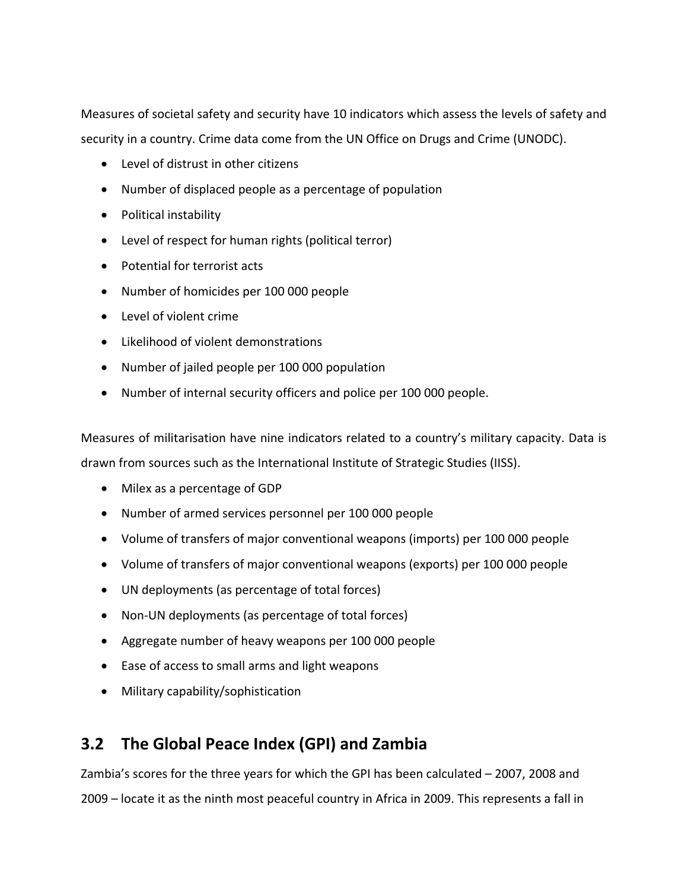Measures of societal safety and security have 10 indicators which assess the levels of safety and security in a country. Crime data come from the UN Office on Drugs and Crime (UNODC).

- Level of distrust in other citizens
- Number of displaced people as a percentage of population
- Political instability
- Level of respect for human rights (political terror)
- Potential for terrorist acts
- Number of homicides per 100 000 people
- Level of violent crime
- Likelihood of violent demonstrations
- Number of jailed people per 100 000 population
- Number of internal security officers and police per 100 000 people.

Measures of militarisation have nine indicators related to a country's military capacity. Data is drawn from sources such as the International Institute of Strategic Studies (IISS).

- Milex as a percentage of GDP
- Number of armed services personnel per 100 000 people
- Volume of transfers of major conventional weapons (imports) per 100 000 people
- Volume of transfers of major conventional weapons (exports) per 100 000 people
- UN deployments (as percentage of total forces)
- Non-UN deployments (as percentage of total forces)
- Aggregate number of heavy weapons per 100 000 people
- Ease of access to small arms and light weapons
- Military capability/sophistication

### **3.2 The Global Peace Index (GPI) and Zambia**

Zambia's scores for the three years for which the GPI has been calculated – 2007, 2008 and 2009 – locate it as the ninth most peaceful country in Africa in 2009. This represents a fall in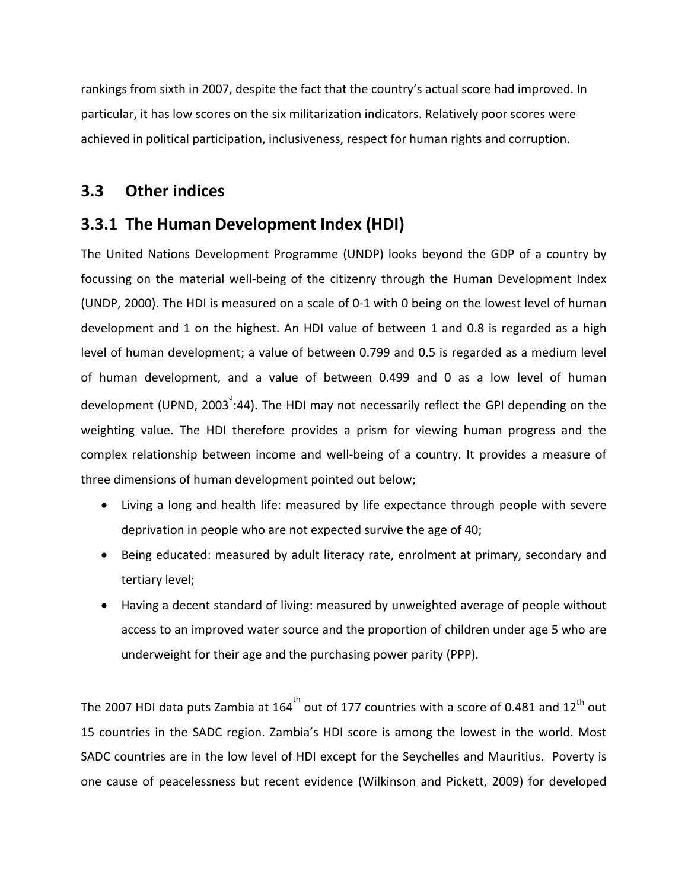rankings from sixth in 2007, despite the fact that the country's actual score had improved. In particular, it has low scores on the six militarization indicators. Relatively poor scores were achieved in political participation, inclusiveness, respect for human rights and corruption.

### **3.3 Other indices**

### **3.3.1 The Human Development Index (HDI)**

The United Nations Development Programme (UNDP) looks beyond the GDP of a country by focussing on the material well‐being of the citizenry through the Human Development Index (UNDP, 2000). The HDI is measured on a scale of 0-1 with 0 being on the lowest level of human development and 1 on the highest. An HDI value of between 1 and 0.8 is regarded as a high level of human development; a value of between 0.799 and 0.5 is regarded as a medium level of human development, and a value of between 0.499 and 0 as a low level of human development (UPND, 2003<sup><sup>a</sup>:44). The HDI may not necessarily reflect the GPI depending on the</sup> weighting value. The HDI therefore provides a prism for viewing human progress and the complex relationship between income and well‐being of a country. It provides a measure of three dimensions of human development pointed out below;

- Living a long and health life: measured by life expectance through people with severe deprivation in people who are not expected survive the age of 40;
- Being educated: measured by adult literacy rate, enrolment at primary, secondary and tertiary level;
- Having a decent standard of living: measured by unweighted average of people without access to an improved water source and the proportion of children under age 5 who are underweight for their age and the purchasing power parity (PPP).

The 2007 HDI data puts Zambia at 164<sup>th</sup> out of 177 countries with a score of 0.481 and 12<sup>th</sup> out 15 countries in the SADC region. Zambia's HDI score is among the lowest in the world. Most SADC countries are in the low level of HDI except for the Seychelles and Mauritius. Poverty is one cause of peacelessness but recent evidence (Wilkinson and Pickett, 2009) for developed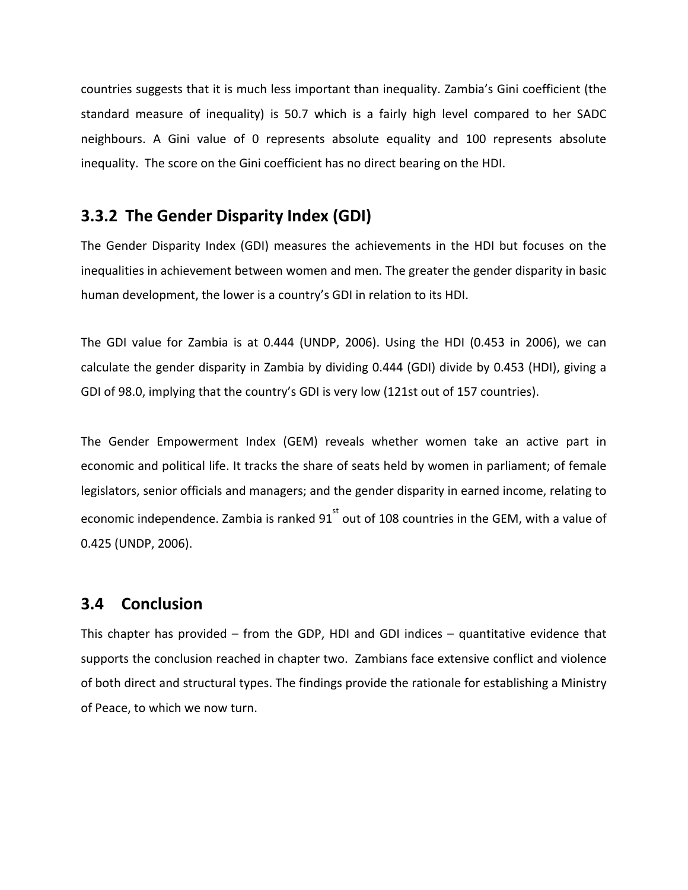countries suggests that it is much less important than inequality. Zambia's Gini coefficient (the standard measure of inequality) is 50.7 which is a fairly high level compared to her SADC neighbours. A Gini value of 0 represents absolute equality and 100 represents absolute inequality. The score on the Gini coefficient has no direct bearing on the HDI.

### **3.3.2 The Gender Disparity Index (GDI)**

The Gender Disparity Index (GDI) measures the achievements in the HDI but focuses on the inequalities in achievement between women and men. The greater the gender disparity in basic human development, the lower is a country's GDI in relation to its HDI.

The GDI value for Zambia is at 0.444 (UNDP, 2006). Using the HDI (0.453 in 2006), we can calculate the gender disparity in Zambia by dividing 0.444 (GDI) divide by 0.453 (HDI), giving a GDI of 98.0, implying that the country's GDI is very low (121st out of 157 countries).

The Gender Empowerment Index (GEM) reveals whether women take an active part in economic and political life. It tracks the share of seats held by women in parliament; of female legislators, senior officials and managers; and the gender disparity in earned income, relating to economic independence. Zambia is ranked 91 $^{st}$  out of 108 countries in the GEM, with a value of 0.425 (UNDP, 2006).

### **3.4 Conclusion**

This chapter has provided – from the GDP, HDI and GDI indices – quantitative evidence that supports the conclusion reached in chapter two. Zambians face extensive conflict and violence of both direct and structural types. The findings provide the rationale for establishing a Ministry of Peace, to which we now turn.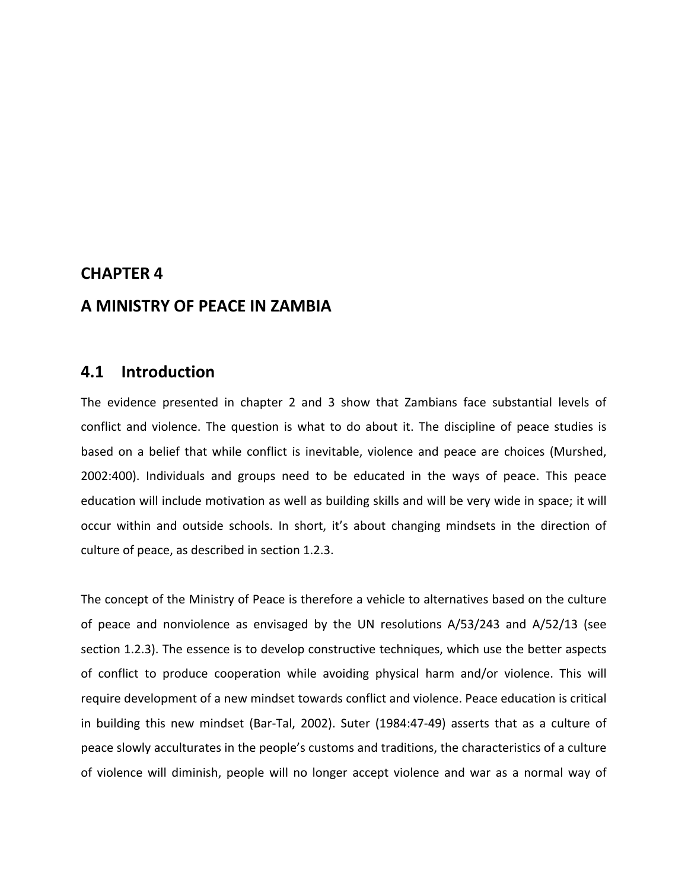#### **CHAPTER 4**

#### **A MINISTRY OF PEACE IN ZAMBIA**

#### **4.1 Introduction**

The evidence presented in chapter 2 and 3 show that Zambians face substantial levels of conflict and violence. The question is what to do about it. The discipline of peace studies is based on a belief that while conflict is inevitable, violence and peace are choices (Murshed, 2002:400). Individuals and groups need to be educated in the ways of peace. This peace education will include motivation as well as building skills and will be very wide in space; it will occur within and outside schools. In short, it's about changing mindsets in the direction of culture of peace, as described in section 1.2.3.

The concept of the Ministry of Peace is therefore a vehicle to alternatives based on the culture of peace and nonviolence as envisaged by the UN resolutions A/53/243 and A/52/13 (see section 1.2.3). The essence is to develop constructive techniques, which use the better aspects of conflict to produce cooperation while avoiding physical harm and/or violence. This will require development of a new mindset towards conflict and violence. Peace education is critical in building this new mindset (Bar‐Tal, 2002). Suter (1984:47‐49) asserts that as a culture of peace slowly acculturates in the people's customs and traditions, the characteristics of a culture of violence will diminish, people will no longer accept violence and war as a normal way of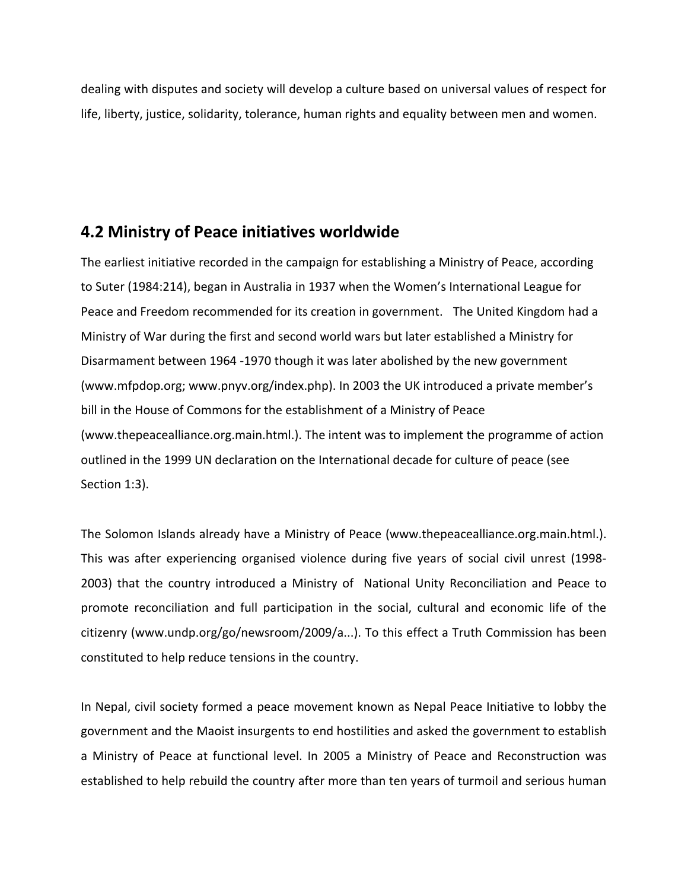dealing with disputes and society will develop a culture based on universal values of respect for life, liberty, justice, solidarity, tolerance, human rights and equality between men and women.

### **4.2 Ministry of Peace initiatives worldwide**

The earliest initiative recorded in the campaign for establishing a Ministry of Peace, according to Suter (1984:214), began in Australia in 1937 when the Women's International League for Peace and Freedom recommended for its creation in government. The United Kingdom had a Ministry of War during the first and second world wars but later established a Ministry for Disarmament between 1964 ‐1970 though it was later abolished by the new government (www.mfpdop.org; www.pnyv.org/index.php). In 2003 the UK introduced a private member's bill in the House of Commons for the establishment of a Ministry of Peace (www.thepeacealliance.org.main.html.). The intent was to implement the programme of action outlined in the 1999 UN declaration on the International decade for culture of peace (see Section 1:3).

The Solomon Islands already have a Ministry of Peace (www.thepeacealliance.org.main.html.). This was after experiencing organised violence during five years of social civil unrest (1998‐ 2003) that the country introduced a Ministry of National Unity Reconciliation and Peace to promote reconciliation and full participation in the social, cultural and economic life of the citizenry (www.undp.org/go/newsroom/2009/a...). To this effect a Truth Commission has been constituted to help reduce tensions in the country.

In Nepal, civil society formed a peace movement known as Nepal Peace Initiative to lobby the government and the Maoist insurgents to end hostilities and asked the government to establish a Ministry of Peace at functional level. In 2005 a Ministry of Peace and Reconstruction was established to help rebuild the country after more than ten years of turmoil and serious human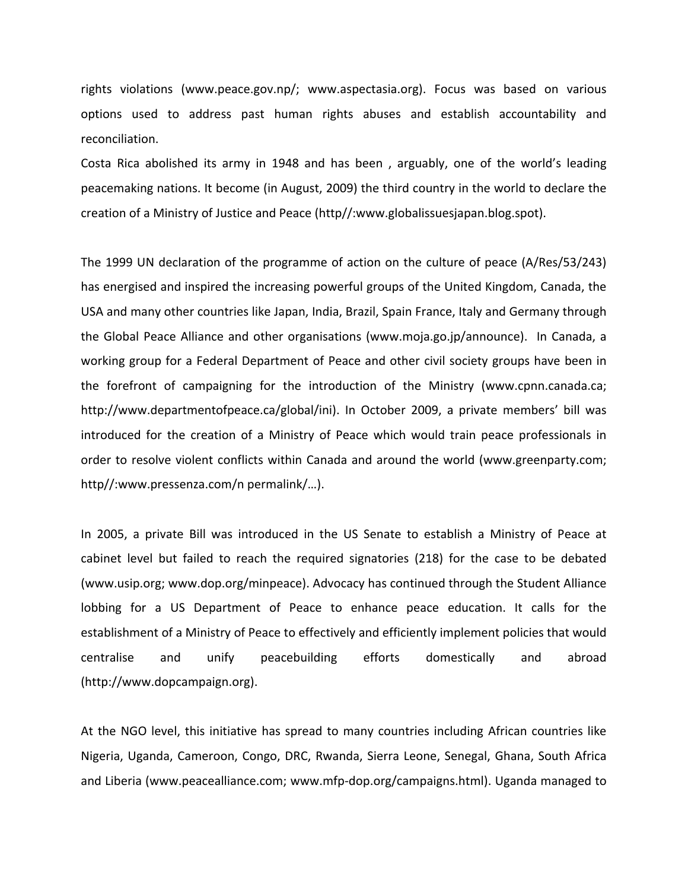rights violations (www.peace.gov.np/; www.aspectasia.org). Focus was based on various options used to address past human rights abuses and establish accountability and reconciliation.

Costa Rica abolished its army in 1948 and has been , arguably, one of the world's leading peacemaking nations. It become (in August, 2009) the third country in the world to declare the creation of a Ministry of Justice and Peace (http//:www.globalissuesjapan.blog.spot).

The 1999 UN declaration of the programme of action on the culture of peace (A/Res/53/243) has energised and inspired the increasing powerful groups of the United Kingdom, Canada, the USA and many other countries like Japan, India, Brazil, Spain France, Italy and Germany through the Global Peace Alliance and other organisations (www.moja.go.jp/announce). In Canada, a working group for a Federal Department of Peace and other civil society groups have been in the forefront of campaigning for the introduction of the Ministry (www.cpnn.canada.ca; http://www.departmentofpeace.ca/global/ini). In October 2009, a private members' bill was introduced for the creation of a Ministry of Peace which would train peace professionals in order to resolve violent conflicts within Canada and around the world (www.greenparty.com; http//:www.pressenza.com/n permalink/…).

In 2005, a private Bill was introduced in the US Senate to establish a Ministry of Peace at cabinet level but failed to reach the required signatories (218) for the case to be debated (www.usip.org; www.dop.org/minpeace). Advocacy has continued through the Student Alliance lobbing for a US Department of Peace to enhance peace education. It calls for the establishment of a Ministry of Peace to effectively and efficiently implement policies that would centralise and unify peacebuilding efforts domestically and abroad (http://www.dopcampaign.org).

At the NGO level, this initiative has spread to many countries including African countries like Nigeria, Uganda, Cameroon, Congo, DRC, Rwanda, Sierra Leone, Senegal, Ghana, South Africa and Liberia (www.peacealliance.com; www.mfp‐dop.org/campaigns.html). Uganda managed to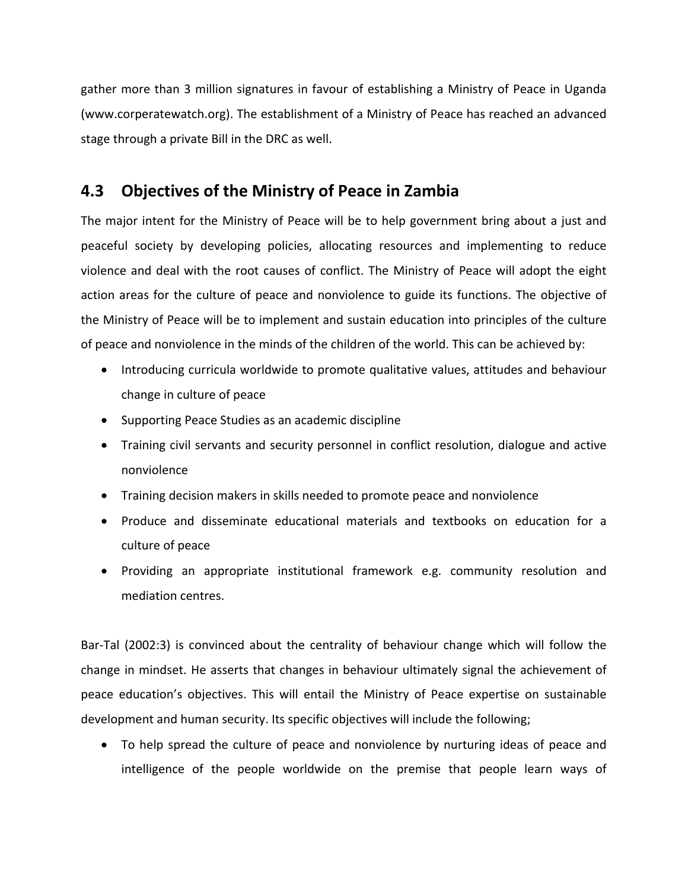gather more than 3 million signatures in favour of establishing a Ministry of Peace in Uganda (www.corperatewatch.org). The establishment of a Ministry of Peace has reached an advanced stage through a private Bill in the DRC as well.

### **4.3 Objectives of the Ministry of Peace in Zambia**

The major intent for the Ministry of Peace will be to help government bring about a just and peaceful society by developing policies, allocating resources and implementing to reduce violence and deal with the root causes of conflict. The Ministry of Peace will adopt the eight action areas for the culture of peace and nonviolence to guide its functions. The objective of the Ministry of Peace will be to implement and sustain education into principles of the culture of peace and nonviolence in the minds of the children of the world. This can be achieved by:

- Introducing curricula worldwide to promote qualitative values, attitudes and behaviour change in culture of peace
- Supporting Peace Studies as an academic discipline
- Training civil servants and security personnel in conflict resolution, dialogue and active nonviolence
- Training decision makers in skills needed to promote peace and nonviolence
- Produce and disseminate educational materials and textbooks on education for a culture of peace
- Providing an appropriate institutional framework e.g. community resolution and mediation centres.

Bar‐Tal (2002:3) is convinced about the centrality of behaviour change which will follow the change in mindset. He asserts that changes in behaviour ultimately signal the achievement of peace education's objectives. This will entail the Ministry of Peace expertise on sustainable development and human security. Its specific objectives will include the following;

 To help spread the culture of peace and nonviolence by nurturing ideas of peace and intelligence of the people worldwide on the premise that people learn ways of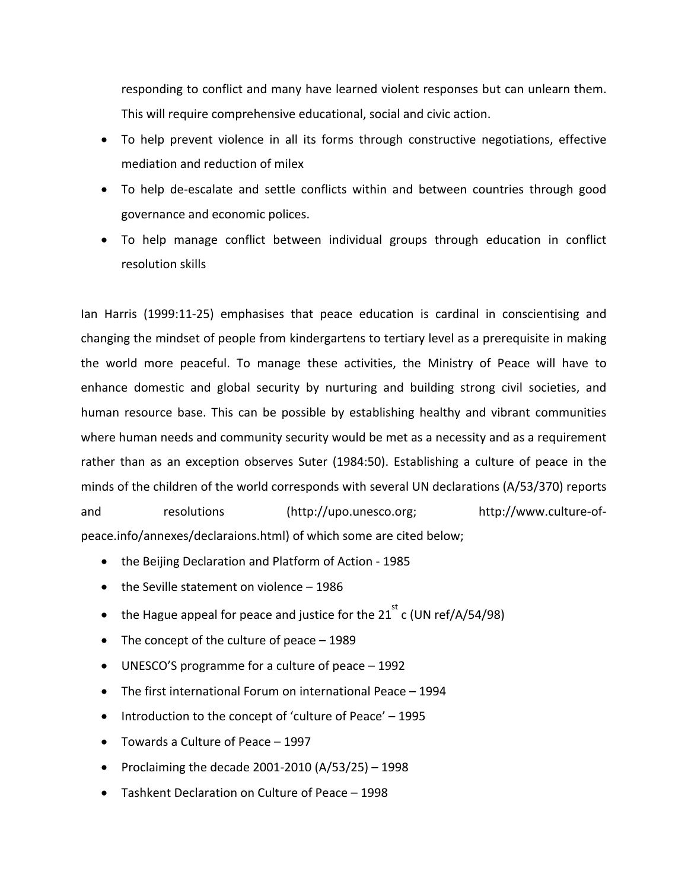responding to conflict and many have learned violent responses but can unlearn them. This will require comprehensive educational, social and civic action.

- To help prevent violence in all its forms through constructive negotiations, effective mediation and reduction of milex
- To help de-escalate and settle conflicts within and between countries through good governance and economic polices.
- To help manage conflict between individual groups through education in conflict resolution skills

Ian Harris (1999:11‐25) emphasises that peace education is cardinal in conscientising and changing the mindset of people from kindergartens to tertiary level as a prerequisite in making the world more peaceful. To manage these activities, the Ministry of Peace will have to enhance domestic and global security by nurturing and building strong civil societies, and human resource base. This can be possible by establishing healthy and vibrant communities where human needs and community security would be met as a necessity and as a requirement rather than as an exception observes Suter (1984:50). Establishing a culture of peace in the minds of the children of the world corresponds with several UN declarations (A/53/370) reports and resolutions (http://upo.unesco.org; http://www.culture-ofpeace.info/annexes/declaraions.html) of which some are cited below;

- the Beijing Declaration and Platform of Action 1985
- the Seville statement on violence 1986
- the Hague appeal for peace and justice for the 21<sup>st</sup> c (UN ref/A/54/98)
- The concept of the culture of peace 1989
- UNESCO'S programme for a culture of peace 1992
- The first international Forum on international Peace 1994
- Introduction to the concept of 'culture of Peace' 1995
- Towards a Culture of Peace 1997
- Proclaiming the decade 2001-2010 (A/53/25) 1998
- Tashkent Declaration on Culture of Peace 1998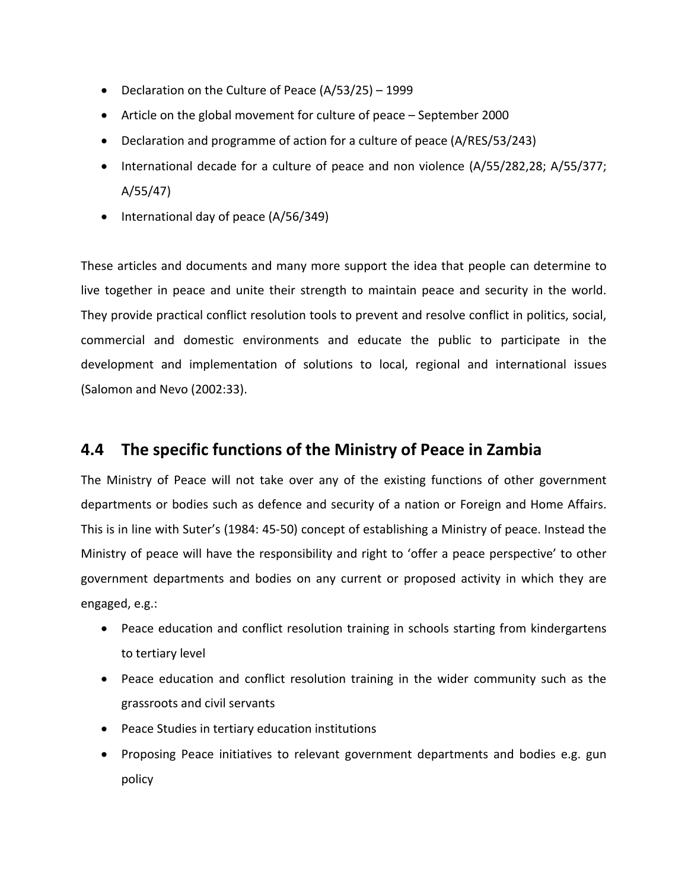- Declaration on the Culture of Peace (A/53/25) 1999
- Article on the global movement for culture of peace September 2000
- Declaration and programme of action for a culture of peace (A/RES/53/243)
- International decade for a culture of peace and non violence (A/55/282,28; A/55/377; A/55/47)
- International day of peace (A/56/349)

These articles and documents and many more support the idea that people can determine to live together in peace and unite their strength to maintain peace and security in the world. They provide practical conflict resolution tools to prevent and resolve conflict in politics, social, commercial and domestic environments and educate the public to participate in the development and implementation of solutions to local, regional and international issues (Salomon and Nevo (2002:33).

### **4.4 The specific functions of the Ministry of Peace in Zambia**

The Ministry of Peace will not take over any of the existing functions of other government departments or bodies such as defence and security of a nation or Foreign and Home Affairs. This is in line with Suter's (1984: 45‐50) concept of establishing a Ministry of peace. Instead the Ministry of peace will have the responsibility and right to 'offer a peace perspective' to other government departments and bodies on any current or proposed activity in which they are engaged, e.g.:

- Peace education and conflict resolution training in schools starting from kindergartens to tertiary level
- Peace education and conflict resolution training in the wider community such as the grassroots and civil servants
- Peace Studies in tertiary education institutions
- Proposing Peace initiatives to relevant government departments and bodies e.g. gun policy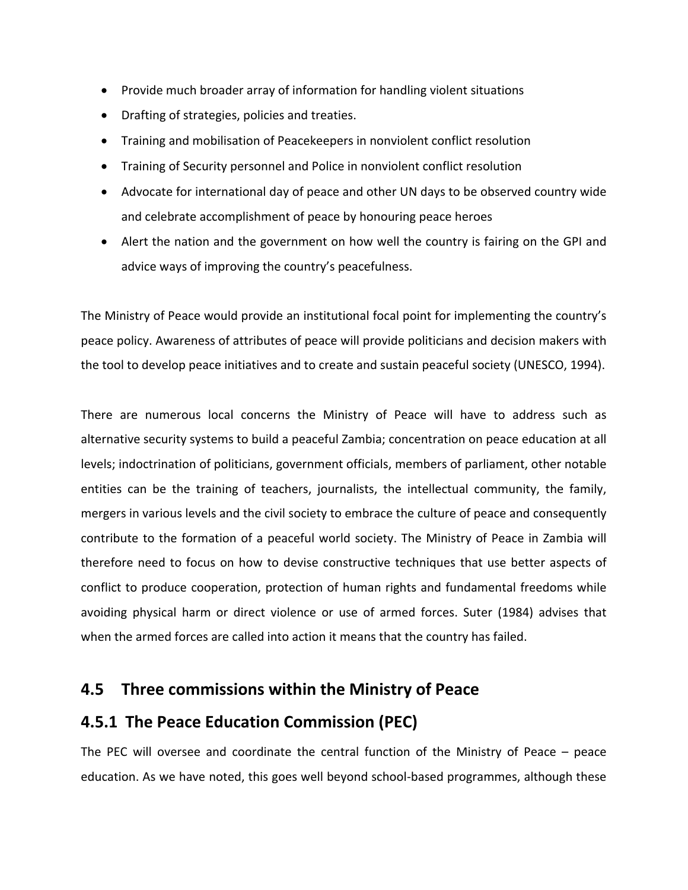- Provide much broader array of information for handling violent situations
- Drafting of strategies, policies and treaties.
- Training and mobilisation of Peacekeepers in nonviolent conflict resolution
- Training of Security personnel and Police in nonviolent conflict resolution
- Advocate for international day of peace and other UN days to be observed country wide and celebrate accomplishment of peace by honouring peace heroes
- Alert the nation and the government on how well the country is fairing on the GPI and advice ways of improving the country's peacefulness.

The Ministry of Peace would provide an institutional focal point for implementing the country's peace policy. Awareness of attributes of peace will provide politicians and decision makers with the tool to develop peace initiatives and to create and sustain peaceful society (UNESCO, 1994).

There are numerous local concerns the Ministry of Peace will have to address such as alternative security systems to build a peaceful Zambia; concentration on peace education at all levels; indoctrination of politicians, government officials, members of parliament, other notable entities can be the training of teachers, journalists, the intellectual community, the family, mergers in various levels and the civil society to embrace the culture of peace and consequently contribute to the formation of a peaceful world society. The Ministry of Peace in Zambia will therefore need to focus on how to devise constructive techniques that use better aspects of conflict to produce cooperation, protection of human rights and fundamental freedoms while avoiding physical harm or direct violence or use of armed forces. Suter (1984) advises that when the armed forces are called into action it means that the country has failed.

### **4.5 Three commissions within the Ministry of Peace**

### **4.5.1 The Peace Education Commission (PEC)**

The PEC will oversee and coordinate the central function of the Ministry of Peace – peace education. As we have noted, this goes well beyond school‐based programmes, although these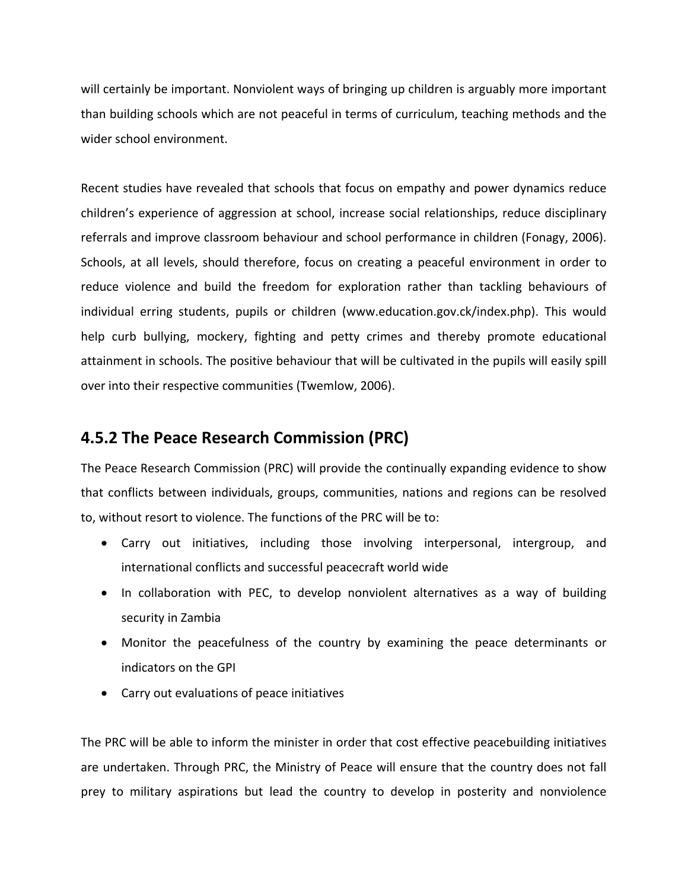will certainly be important. Nonviolent ways of bringing up children is arguably more important than building schools which are not peaceful in terms of curriculum, teaching methods and the wider school environment.

Recent studies have revealed that schools that focus on empathy and power dynamics reduce children's experience of aggression at school, increase social relationships, reduce disciplinary referrals and improve classroom behaviour and school performance in children (Fonagy, 2006). Schools, at all levels, should therefore, focus on creating a peaceful environment in order to reduce violence and build the freedom for exploration rather than tackling behaviours of individual erring students, pupils or children (www.education.gov.ck/index.php). This would help curb bullying, mockery, fighting and petty crimes and thereby promote educational attainment in schools. The positive behaviour that will be cultivated in the pupils will easily spill over into their respective communities (Twemlow, 2006).

### **4.5.2 The Peace Research Commission (PRC)**

The Peace Research Commission (PRC) will provide the continually expanding evidence to show that conflicts between individuals, groups, communities, nations and regions can be resolved to, without resort to violence. The functions of the PRC will be to:

- Carry out initiatives, including those involving interpersonal, intergroup, and international conflicts and successful peacecraft world wide
- In collaboration with PEC, to develop nonviolent alternatives as a way of building security in Zambia
- Monitor the peacefulness of the country by examining the peace determinants or indicators on the GPI
- Carry out evaluations of peace initiatives

The PRC will be able to inform the minister in order that cost effective peacebuilding initiatives are undertaken. Through PRC, the Ministry of Peace will ensure that the country does not fall prey to military aspirations but lead the country to develop in posterity and nonviolence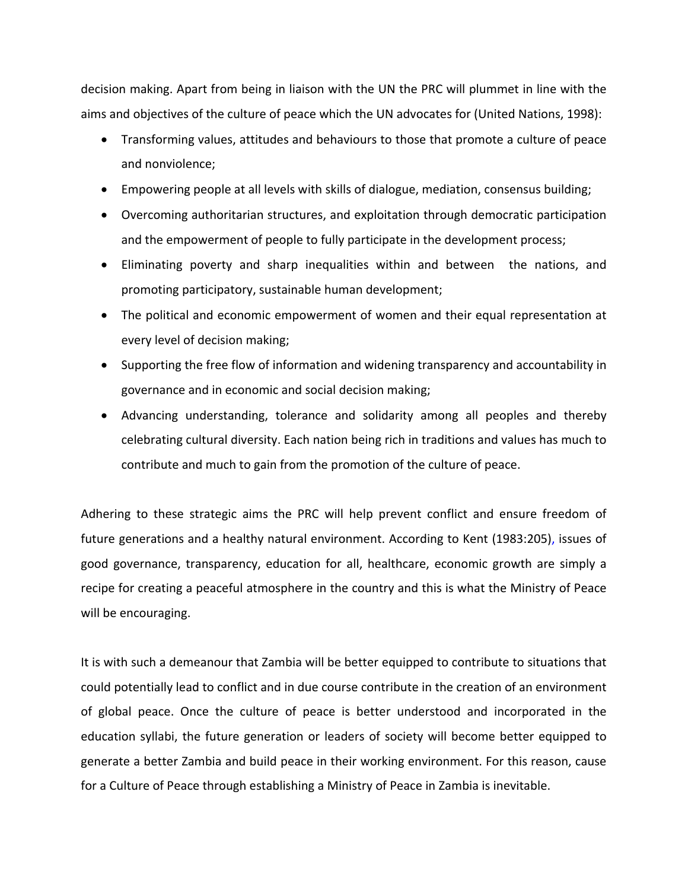decision making. Apart from being in liaison with the UN the PRC will plummet in line with the aims and objectives of the culture of peace which the UN advocates for (United Nations, 1998):

- Transforming values, attitudes and behaviours to those that promote a culture of peace and nonviolence;
- Empowering people at all levels with skills of dialogue, mediation, consensus building;
- Overcoming authoritarian structures, and exploitation through democratic participation and the empowerment of people to fully participate in the development process;
- Eliminating poverty and sharp inequalities within and between the nations, and promoting participatory, sustainable human development;
- The political and economic empowerment of women and their equal representation at every level of decision making;
- Supporting the free flow of information and widening transparency and accountability in governance and in economic and social decision making;
- Advancing understanding, tolerance and solidarity among all peoples and thereby celebrating cultural diversity. Each nation being rich in traditions and values has much to contribute and much to gain from the promotion of the culture of peace.

Adhering to these strategic aims the PRC will help prevent conflict and ensure freedom of future generations and a healthy natural environment. According to Kent (1983:205), issues of good governance, transparency, education for all, healthcare, economic growth are simply a recipe for creating a peaceful atmosphere in the country and this is what the Ministry of Peace will be encouraging.

It is with such a demeanour that Zambia will be better equipped to contribute to situations that could potentially lead to conflict and in due course contribute in the creation of an environment of global peace. Once the culture of peace is better understood and incorporated in the education syllabi, the future generation or leaders of society will become better equipped to generate a better Zambia and build peace in their working environment. For this reason, cause for a Culture of Peace through establishing a Ministry of Peace in Zambia is inevitable.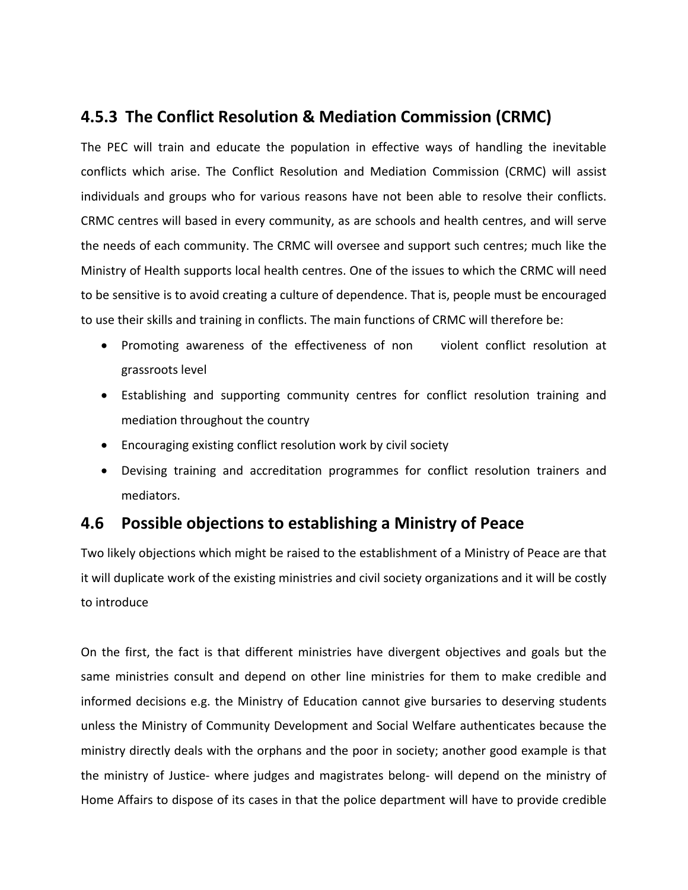### **4.5.3 The Conflict Resolution & Mediation Commission (CRMC)**

The PEC will train and educate the population in effective ways of handling the inevitable conflicts which arise. The Conflict Resolution and Mediation Commission (CRMC) will assist individuals and groups who for various reasons have not been able to resolve their conflicts. CRMC centres will based in every community, as are schools and health centres, and will serve the needs of each community. The CRMC will oversee and support such centres; much like the Ministry of Health supports local health centres. One of the issues to which the CRMC will need to be sensitive is to avoid creating a culture of dependence. That is, people must be encouraged to use their skills and training in conflicts. The main functions of CRMC will therefore be:

- Promoting awareness of the effectiveness of non violent conflict resolution at grassroots level
- Establishing and supporting community centres for conflict resolution training and mediation throughout the country
- Encouraging existing conflict resolution work by civil society
- Devising training and accreditation programmes for conflict resolution trainers and mediators.

### **4.6 Possible objections to establishing a Ministry of Peace**

Two likely objections which might be raised to the establishment of a Ministry of Peace are that it will duplicate work of the existing ministries and civil society organizations and it will be costly to introduce

On the first, the fact is that different ministries have divergent objectives and goals but the same ministries consult and depend on other line ministries for them to make credible and informed decisions e.g. the Ministry of Education cannot give bursaries to deserving students unless the Ministry of Community Development and Social Welfare authenticates because the ministry directly deals with the orphans and the poor in society; another good example is that the ministry of Justice‐ where judges and magistrates belong‐ will depend on the ministry of Home Affairs to dispose of its cases in that the police department will have to provide credible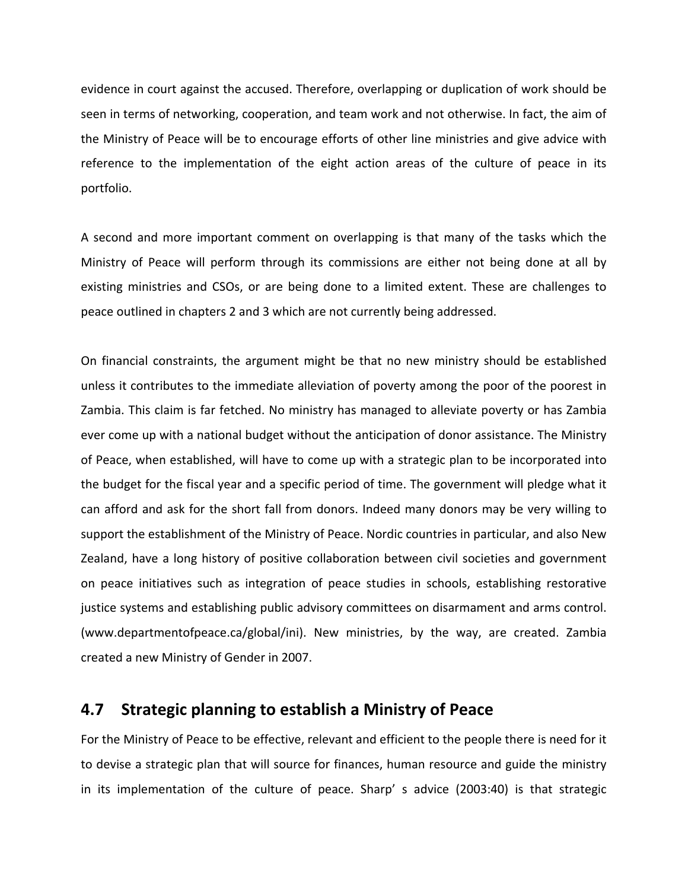evidence in court against the accused. Therefore, overlapping or duplication of work should be seen in terms of networking, cooperation, and team work and not otherwise. In fact, the aim of the Ministry of Peace will be to encourage efforts of other line ministries and give advice with reference to the implementation of the eight action areas of the culture of peace in its portfolio.

A second and more important comment on overlapping is that many of the tasks which the Ministry of Peace will perform through its commissions are either not being done at all by existing ministries and CSOs, or are being done to a limited extent. These are challenges to peace outlined in chapters 2 and 3 which are not currently being addressed.

On financial constraints, the argument might be that no new ministry should be established unless it contributes to the immediate alleviation of poverty among the poor of the poorest in Zambia. This claim is far fetched. No ministry has managed to alleviate poverty or has Zambia ever come up with a national budget without the anticipation of donor assistance. The Ministry of Peace, when established, will have to come up with a strategic plan to be incorporated into the budget for the fiscal year and a specific period of time. The government will pledge what it can afford and ask for the short fall from donors. Indeed many donors may be very willing to support the establishment of the Ministry of Peace. Nordic countries in particular, and also New Zealand, have a long history of positive collaboration between civil societies and government on peace initiatives such as integration of peace studies in schools, establishing restorative justice systems and establishing public advisory committees on disarmament and arms control. (www.departmentofpeace.ca/global/ini). New ministries, by the way, are created. Zambia created a new Ministry of Gender in 2007.

#### **4.7 Strategic planning to establish a Ministry of Peace**

For the Ministry of Peace to be effective, relevant and efficient to the people there is need for it to devise a strategic plan that will source for finances, human resource and guide the ministry in its implementation of the culture of peace. Sharp' s advice (2003:40) is that strategic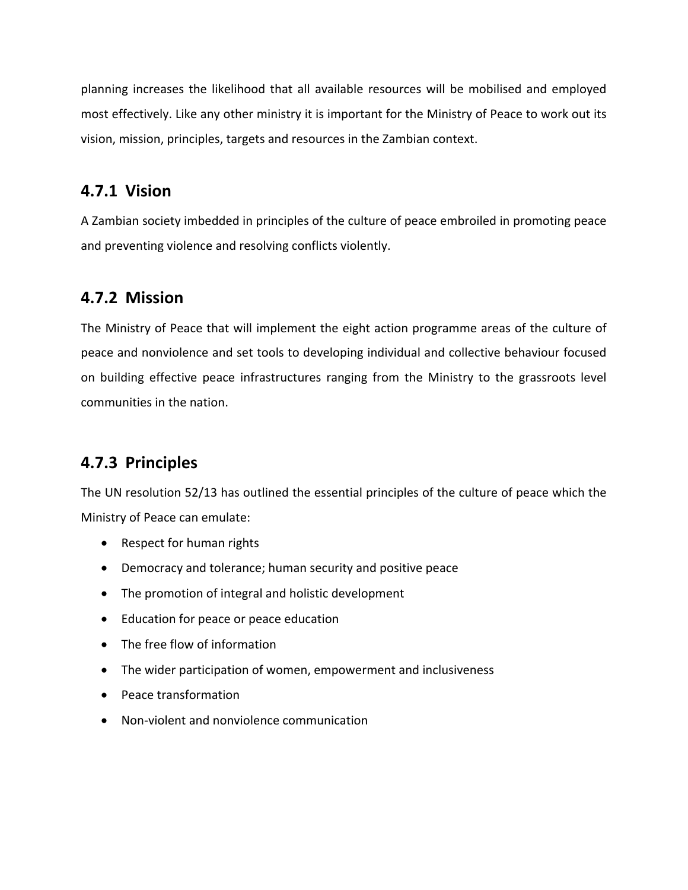planning increases the likelihood that all available resources will be mobilised and employed most effectively. Like any other ministry it is important for the Ministry of Peace to work out its vision, mission, principles, targets and resources in the Zambian context.

### **4.7.1 Vision**

A Zambian society imbedded in principles of the culture of peace embroiled in promoting peace and preventing violence and resolving conflicts violently.

### **4.7.2 Mission**

The Ministry of Peace that will implement the eight action programme areas of the culture of peace and nonviolence and set tools to developing individual and collective behaviour focused on building effective peace infrastructures ranging from the Ministry to the grassroots level communities in the nation.

### **4.7.3 Principles**

The UN resolution 52/13 has outlined the essential principles of the culture of peace which the Ministry of Peace can emulate:

- Respect for human rights
- Democracy and tolerance; human security and positive peace
- The promotion of integral and holistic development
- Education for peace or peace education
- The free flow of information
- The wider participation of women, empowerment and inclusiveness
- Peace transformation
- Non-violent and nonviolence communication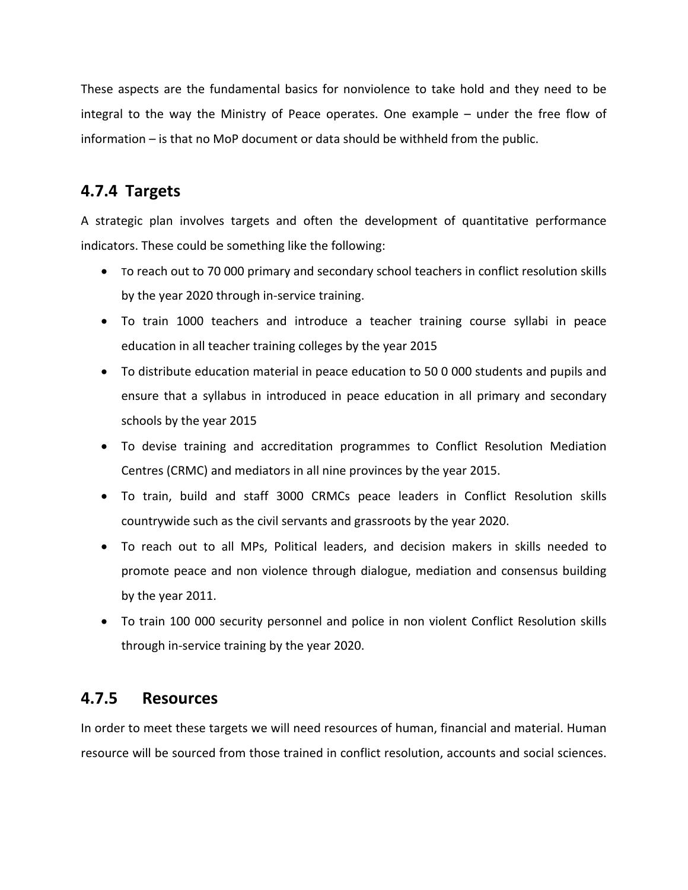These aspects are the fundamental basics for nonviolence to take hold and they need to be integral to the way the Ministry of Peace operates. One example – under the free flow of information – is that no MoP document or data should be withheld from the public.

### **4.7.4 Targets**

A strategic plan involves targets and often the development of quantitative performance indicators. These could be something like the following:

- To reach out to 70 000 primary and secondary school teachers in conflict resolution skills by the year 2020 through in‐service training.
- To train 1000 teachers and introduce a teacher training course syllabi in peace education in all teacher training colleges by the year 2015
- To distribute education material in peace education to 50 0 000 students and pupils and ensure that a syllabus in introduced in peace education in all primary and secondary schools by the year 2015
- To devise training and accreditation programmes to Conflict Resolution Mediation Centres (CRMC) and mediators in all nine provinces by the year 2015.
- To train, build and staff 3000 CRMCs peace leaders in Conflict Resolution skills countrywide such as the civil servants and grassroots by the year 2020.
- To reach out to all MPs, Political leaders, and decision makers in skills needed to promote peace and non violence through dialogue, mediation and consensus building by the year 2011.
- To train 100 000 security personnel and police in non violent Conflict Resolution skills through in‐service training by the year 2020.

### **4.7.5 Resources**

In order to meet these targets we will need resources of human, financial and material. Human resource will be sourced from those trained in conflict resolution, accounts and social sciences.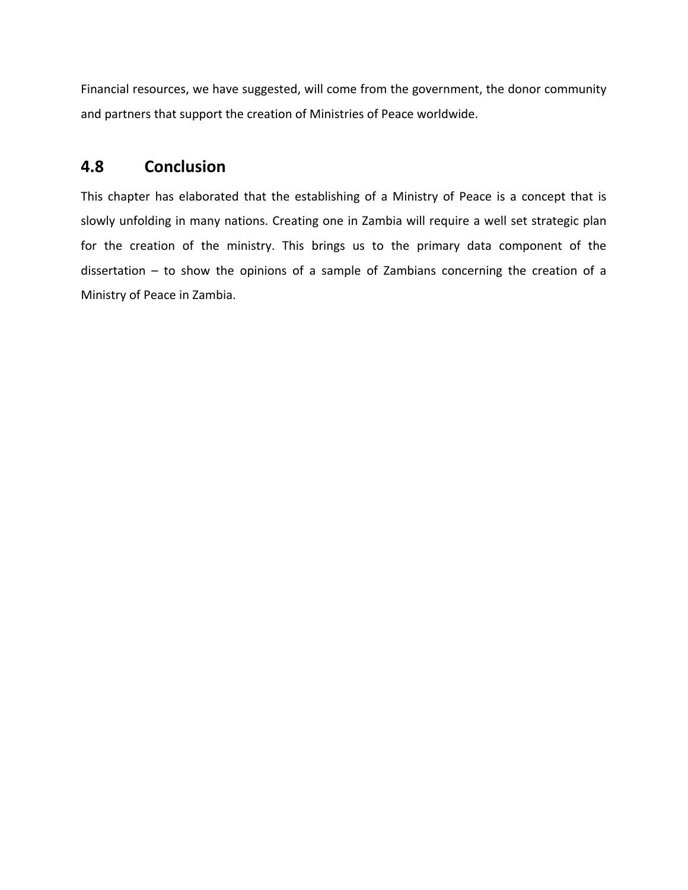Financial resources, we have suggested, will come from the government, the donor community and partners that support the creation of Ministries of Peace worldwide.

### **4.8 Conclusion**

This chapter has elaborated that the establishing of a Ministry of Peace is a concept that is slowly unfolding in many nations. Creating one in Zambia will require a well set strategic plan for the creation of the ministry. This brings us to the primary data component of the dissertation – to show the opinions of a sample of Zambians concerning the creation of a Ministry of Peace in Zambia.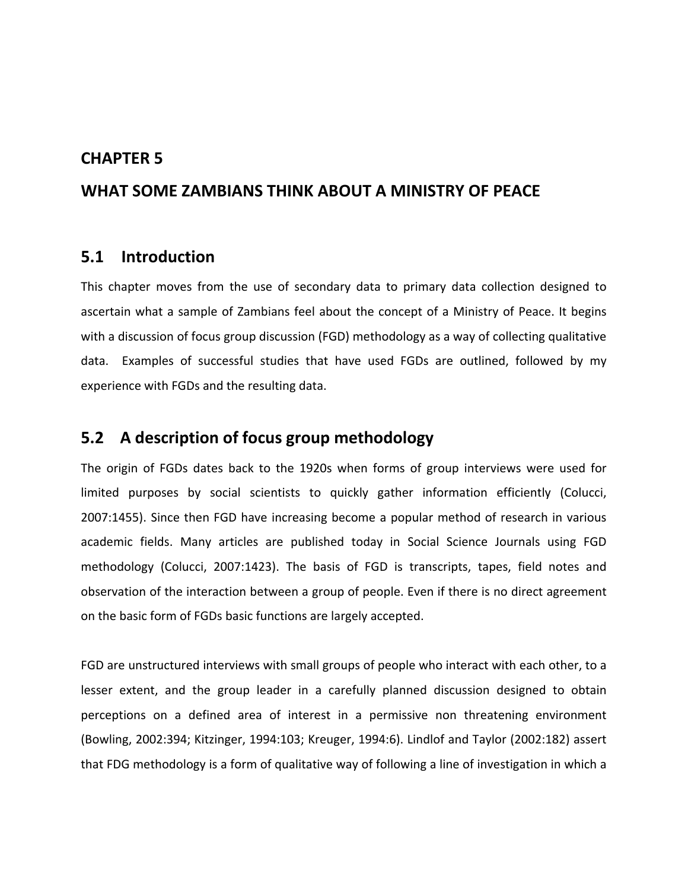#### **CHAPTER 5**

#### **WHAT SOME ZAMBIANS THINK ABOUT A MINISTRY OF PEACE**

#### **5.1 Introduction**

This chapter moves from the use of secondary data to primary data collection designed to ascertain what a sample of Zambians feel about the concept of a Ministry of Peace. It begins with a discussion of focus group discussion (FGD) methodology as a way of collecting qualitative data. Examples of successful studies that have used FGDs are outlined, followed by my experience with FGDs and the resulting data.

#### **5.2 A description of focus group methodology**

The origin of FGDs dates back to the 1920s when forms of group interviews were used for limited purposes by social scientists to quickly gather information efficiently (Colucci, 2007:1455). Since then FGD have increasing become a popular method of research in various academic fields. Many articles are published today in Social Science Journals using FGD methodology (Colucci, 2007:1423). The basis of FGD is transcripts, tapes, field notes and observation of the interaction between a group of people. Even if there is no direct agreement on the basic form of FGDs basic functions are largely accepted.

FGD are unstructured interviews with small groups of people who interact with each other, to a lesser extent, and the group leader in a carefully planned discussion designed to obtain perceptions on a defined area of interest in a permissive non threatening environment (Bowling, 2002:394; Kitzinger, 1994:103; Kreuger, 1994:6). Lindlof and Taylor (2002:182) assert that FDG methodology is a form of qualitative way of following a line of investigation in which a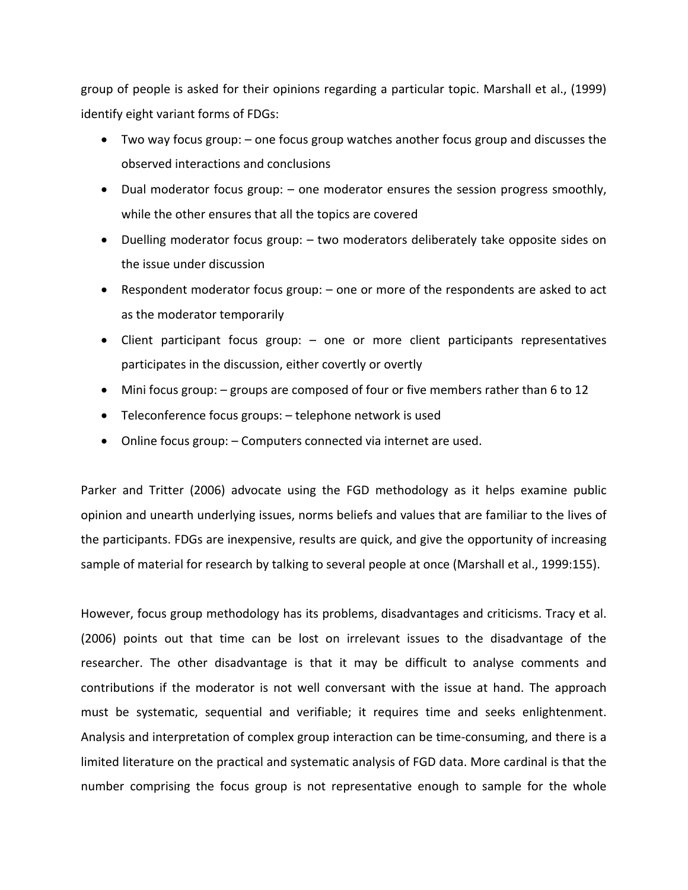group of people is asked for their opinions regarding a particular topic. Marshall et al., (1999) identify eight variant forms of FDGs:

- Two way focus group: one focus group watches another focus group and discusses the observed interactions and conclusions
- Dual moderator focus group: one moderator ensures the session progress smoothly, while the other ensures that all the topics are covered
- Duelling moderator focus group: two moderators deliberately take opposite sides on the issue under discussion
- Respondent moderator focus group: one or more of the respondents are asked to act as the moderator temporarily
- Client participant focus group: one or more client participants representatives participates in the discussion, either covertly or overtly
- Mini focus group: groups are composed of four or five members rather than 6 to 12
- Teleconference focus groups: telephone network is used
- Online focus group: Computers connected via internet are used.

Parker and Tritter (2006) advocate using the FGD methodology as it helps examine public opinion and unearth underlying issues, norms beliefs and values that are familiar to the lives of the participants. FDGs are inexpensive, results are quick, and give the opportunity of increasing sample of material for research by talking to several people at once (Marshall et al., 1999:155).

However, focus group methodology has its problems, disadvantages and criticisms. Tracy et al. (2006) points out that time can be lost on irrelevant issues to the disadvantage of the researcher. The other disadvantage is that it may be difficult to analyse comments and contributions if the moderator is not well conversant with the issue at hand. The approach must be systematic, sequential and verifiable; it requires time and seeks enlightenment. Analysis and interpretation of complex group interaction can be time‐consuming, and there is a limited literature on the practical and systematic analysis of FGD data. More cardinal is that the number comprising the focus group is not representative enough to sample for the whole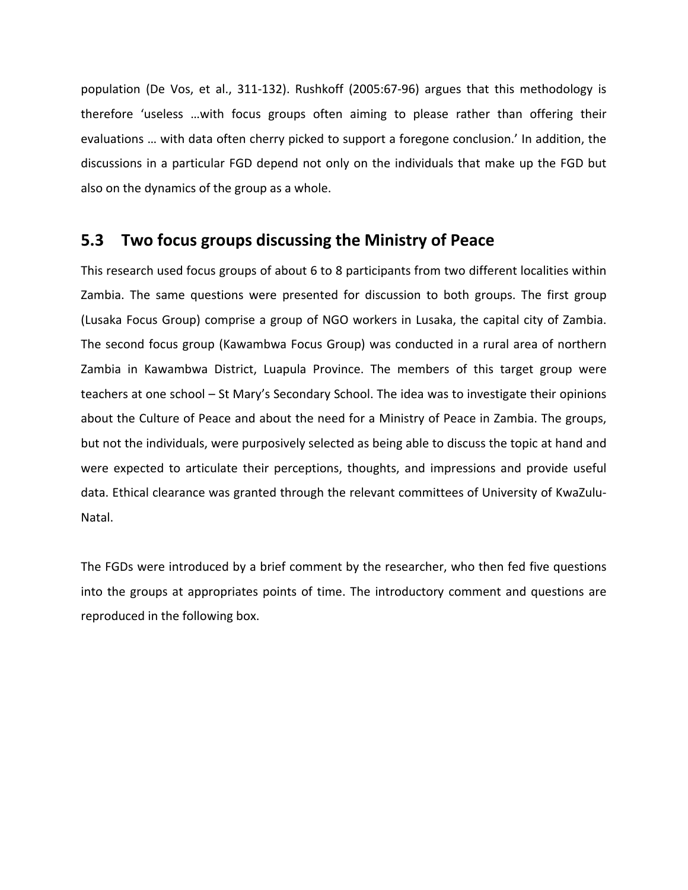population (De Vos, et al., 311‐132). Rushkoff (2005:67‐96) argues that this methodology is therefore 'useless …with focus groups often aiming to please rather than offering their evaluations … with data often cherry picked to support a foregone conclusion.' In addition, the discussions in a particular FGD depend not only on the individuals that make up the FGD but also on the dynamics of the group as a whole.

### **5.3 Two focus groups discussing the Ministry of Peace**

This research used focus groups of about 6 to 8 participants from two different localities within Zambia. The same questions were presented for discussion to both groups. The first group (Lusaka Focus Group) comprise a group of NGO workers in Lusaka, the capital city of Zambia. The second focus group (Kawambwa Focus Group) was conducted in a rural area of northern Zambia in Kawambwa District, Luapula Province. The members of this target group were teachers at one school – St Mary's Secondary School. The idea was to investigate their opinions about the Culture of Peace and about the need for a Ministry of Peace in Zambia. The groups, but not the individuals, were purposively selected as being able to discuss the topic at hand and were expected to articulate their perceptions, thoughts, and impressions and provide useful data. Ethical clearance was granted through the relevant committees of University of KwaZulu‐ Natal.

The FGDs were introduced by a brief comment by the researcher, who then fed five questions into the groups at appropriates points of time. The introductory comment and questions are reproduced in the following box.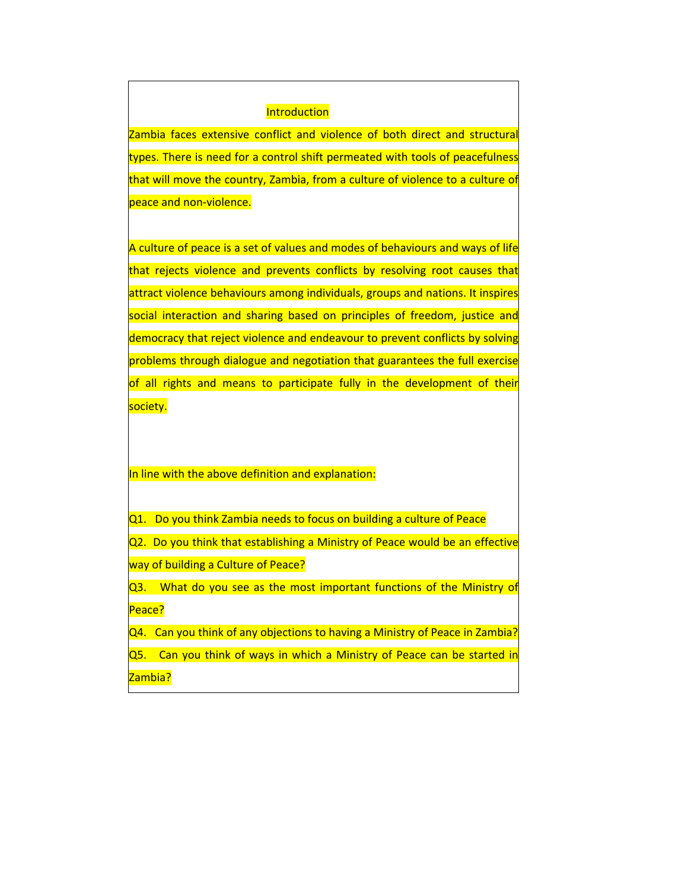#### **Introduction**

Zambia faces extensive conflict and violence of both direct and structura types. There is need for a control shift permeated with tools of peacefulness that will move the country, Zambia, from a culture of violence to a culture of peace and non-violence.

A culture of peace is a set of values and modes of behaviours and ways of life that rejects violence and prevents conflicts by resolving root causes that attract violence behaviours among individuals, groups and nations. It inspires social interaction and sharing based on principles of freedom, justice and democracy that reject violence and endeavour to prevent conflicts by solving problems through dialogue and negotiation that guarantees the full exercise of all rights and means to participate fully in the development of their society.

#### In line with the above definition and explanation:

Q1. Do you think Zambia needs to focus on building a culture of Peace Q2. Do you think that establishing a Ministry of Peace would be an effective way of building a Culture of Peace?

Q3. What do you see as the most important functions of the Ministry of Peace?

Q4. Can you think of any objections to having a Ministry of Peace in Zambia?

Q5. Can you think of ways in which a Ministry of Peace can be started in Zambia?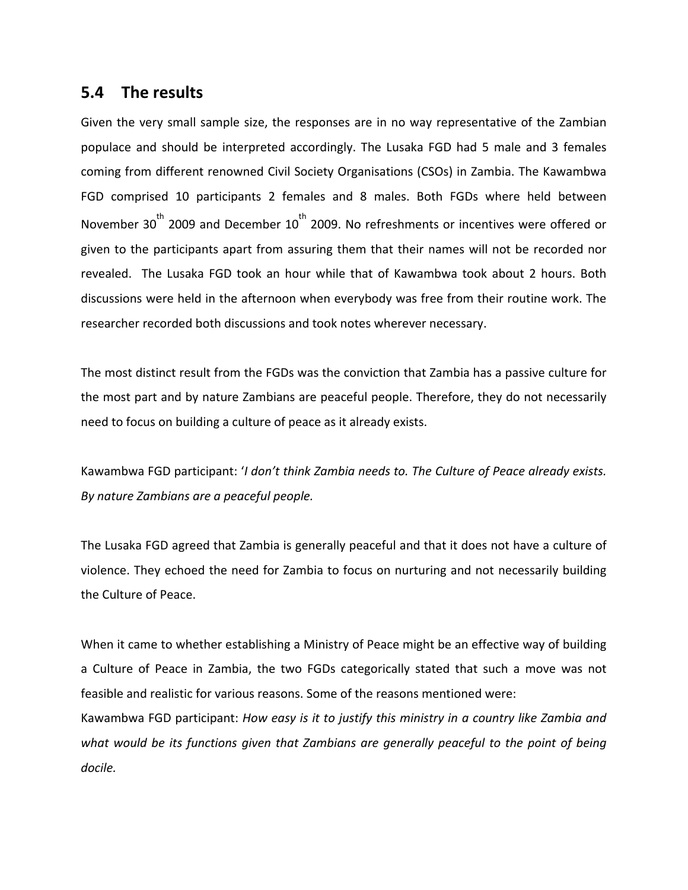### **5.4 The results**

Given the very small sample size, the responses are in no way representative of the Zambian populace and should be interpreted accordingly. The Lusaka FGD had 5 male and 3 females coming from different renowned Civil Society Organisations (CSOs) in Zambia. The Kawambwa FGD comprised 10 participants 2 females and 8 males. Both FGDs where held between November 30 $^{\text{th}}$  2009 and December 10 $^{\text{th}}$  2009. No refreshments or incentives were offered or given to the participants apart from assuring them that their names will not be recorded nor revealed. The Lusaka FGD took an hour while that of Kawambwa took about 2 hours. Both discussions were held in the afternoon when everybody was free from their routine work. The researcher recorded both discussions and took notes wherever necessary.

The most distinct result from the FGDs was the conviction that Zambia has a passive culture for the most part and by nature Zambians are peaceful people. Therefore, they do not necessarily need to focus on building a culture of peace as it already exists.

Kawambwa FGD participant: '*I don't think Zambia needs to. The Culture of Peace already exists. By nature Zambians are a peaceful people.*

The Lusaka FGD agreed that Zambia is generally peaceful and that it does not have a culture of violence. They echoed the need for Zambia to focus on nurturing and not necessarily building the Culture of Peace.

When it came to whether establishing a Ministry of Peace might be an effective way of building a Culture of Peace in Zambia, the two FGDs categorically stated that such a move was not feasible and realistic for various reasons. Some of the reasons mentioned were: Kawambwa FGD participant: *How easy is it to justify this ministry in a country like Zambia and*

*what would be its functions given that Zambians are generally peaceful to the point of being docile.*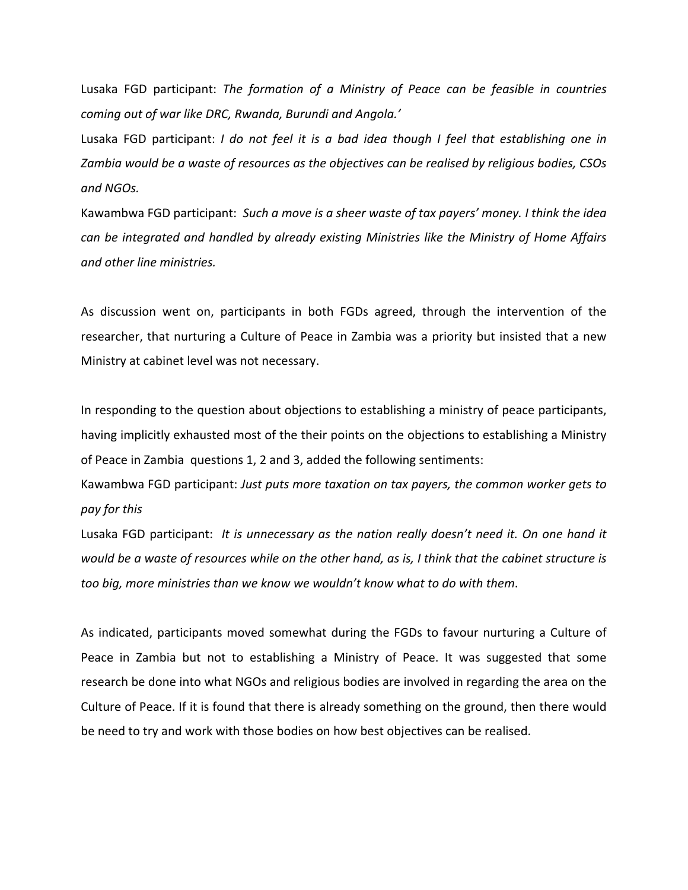Lusaka FGD participant: *The formation of a Ministry of Peace can be feasible in countries coming out of war like DRC, Rwanda, Burundi and Angola.'*

Lusaka FGD participant: *I do not feel it is a bad idea though I feel that establishing one in Zambia would be a waste of resources as the objectives can be realised by religious bodies, CSOs and NGOs.*

Kawambwa FGD participant: *Such a move is a sheer waste of tax payers' money. I think the idea can be integrated and handled by already existing Ministries like the Ministry of Home Affairs and other line ministries.*

As discussion went on, participants in both FGDs agreed, through the intervention of the researcher, that nurturing a Culture of Peace in Zambia was a priority but insisted that a new Ministry at cabinet level was not necessary.

In responding to the question about objections to establishing a ministry of peace participants, having implicitly exhausted most of the their points on the objections to establishing a Ministry of Peace in Zambia questions 1, 2 and 3, added the following sentiments:

Kawambwa FGD participant: *Just puts more taxation on tax payers, the common worker gets to pay for this*

Lusaka FGD participant: *It is unnecessary as the nation really doesn't need it. On one hand it* would be a waste of resources while on the other hand, as is, I think that the cabinet structure is *too big, more ministries than we know we wouldn't know what to do with them*.

As indicated, participants moved somewhat during the FGDs to favour nurturing a Culture of Peace in Zambia but not to establishing a Ministry of Peace. It was suggested that some research be done into what NGOs and religious bodies are involved in regarding the area on the Culture of Peace. If it is found that there is already something on the ground, then there would be need to try and work with those bodies on how best objectives can be realised.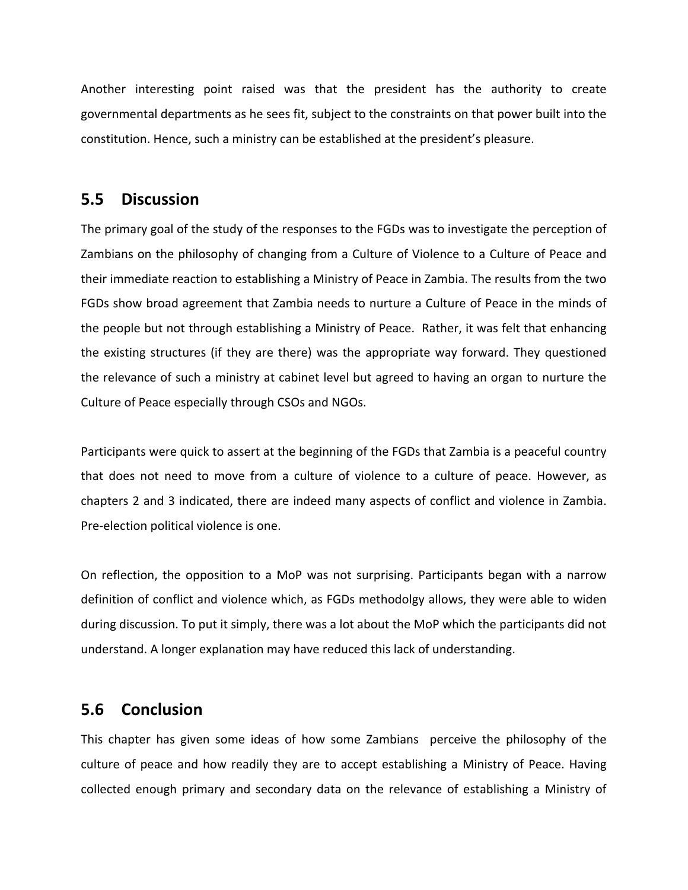Another interesting point raised was that the president has the authority to create governmental departments as he sees fit, subject to the constraints on that power built into the constitution. Hence, such a ministry can be established at the president's pleasure.

### **5.5 Discussion**

The primary goal of the study of the responses to the FGDs was to investigate the perception of Zambians on the philosophy of changing from a Culture of Violence to a Culture of Peace and their immediate reaction to establishing a Ministry of Peace in Zambia. The results from the two FGDs show broad agreement that Zambia needs to nurture a Culture of Peace in the minds of the people but not through establishing a Ministry of Peace. Rather, it was felt that enhancing the existing structures (if they are there) was the appropriate way forward. They questioned the relevance of such a ministry at cabinet level but agreed to having an organ to nurture the Culture of Peace especially through CSOs and NGOs.

Participants were quick to assert at the beginning of the FGDs that Zambia is a peaceful country that does not need to move from a culture of violence to a culture of peace. However, as chapters 2 and 3 indicated, there are indeed many aspects of conflict and violence in Zambia. Pre‐election political violence is one.

On reflection, the opposition to a MoP was not surprising. Participants began with a narrow definition of conflict and violence which, as FGDs methodolgy allows, they were able to widen during discussion. To put it simply, there was a lot about the MoP which the participants did not understand. A longer explanation may have reduced this lack of understanding.

### **5.6 Conclusion**

This chapter has given some ideas of how some Zambians perceive the philosophy of the culture of peace and how readily they are to accept establishing a Ministry of Peace. Having collected enough primary and secondary data on the relevance of establishing a Ministry of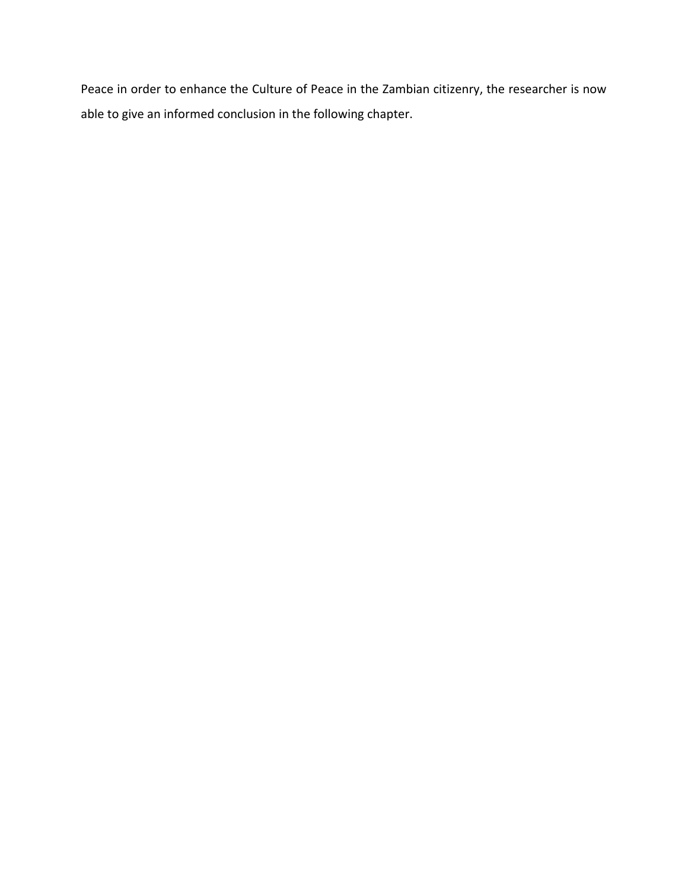Peace in order to enhance the Culture of Peace in the Zambian citizenry, the researcher is now able to give an informed conclusion in the following chapter.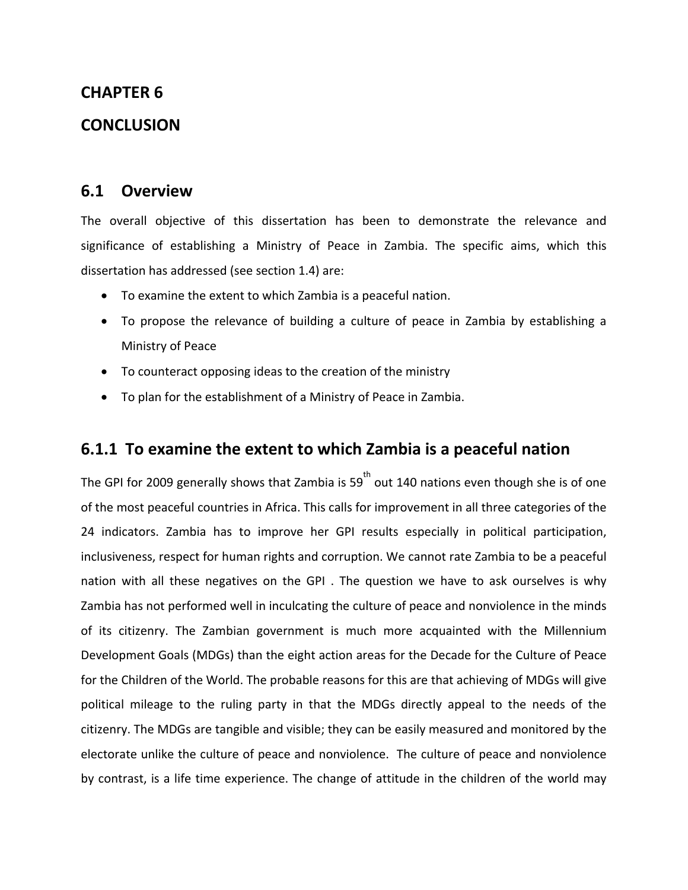#### **CHAPTER 6**

### **CONCLUSION**

### **6.1 Overview**

The overall objective of this dissertation has been to demonstrate the relevance and significance of establishing a Ministry of Peace in Zambia. The specific aims, which this dissertation has addressed (see section 1.4) are:

- To examine the extent to which Zambia is a peaceful nation.
- To propose the relevance of building a culture of peace in Zambia by establishing a Ministry of Peace
- To counteract opposing ideas to the creation of the ministry
- To plan for the establishment of a Ministry of Peace in Zambia.

### **6.1.1 To examine the extent to which Zambia is a peaceful nation**

The GPI for 2009 generally shows that Zambia is 59 $^{\text{th}}$  out 140 nations even though she is of one of the most peaceful countries in Africa. This calls for improvement in all three categories of the 24 indicators. Zambia has to improve her GPI results especially in political participation, inclusiveness, respect for human rights and corruption. We cannot rate Zambia to be a peaceful nation with all these negatives on the GPI . The question we have to ask ourselves is why Zambia has not performed well in inculcating the culture of peace and nonviolence in the minds of its citizenry. The Zambian government is much more acquainted with the Millennium Development Goals (MDGs) than the eight action areas for the Decade for the Culture of Peace for the Children of the World. The probable reasons for this are that achieving of MDGs will give political mileage to the ruling party in that the MDGs directly appeal to the needs of the citizenry. The MDGs are tangible and visible; they can be easily measured and monitored by the electorate unlike the culture of peace and nonviolence. The culture of peace and nonviolence by contrast, is a life time experience. The change of attitude in the children of the world may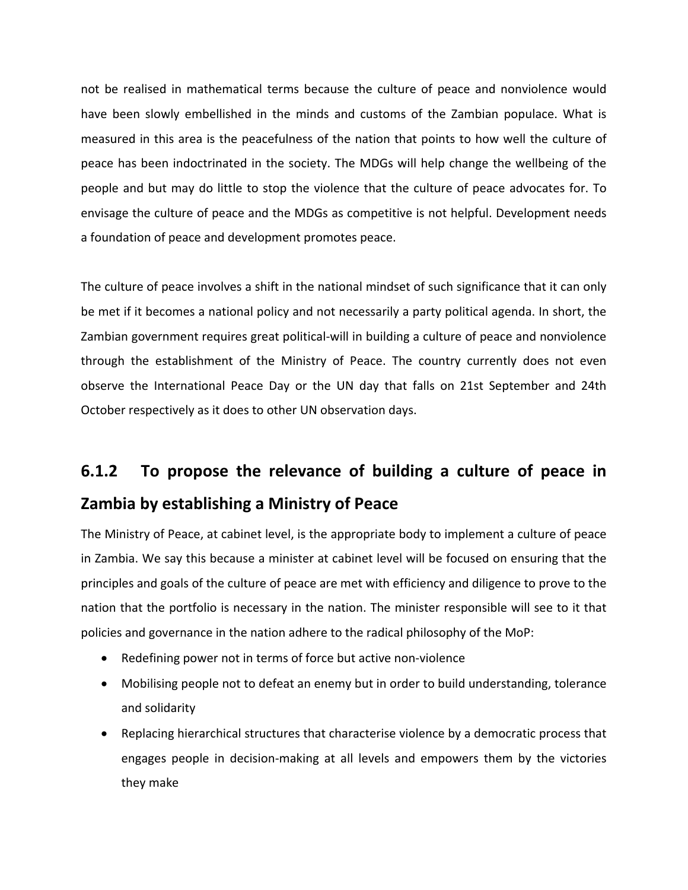not be realised in mathematical terms because the culture of peace and nonviolence would have been slowly embellished in the minds and customs of the Zambian populace. What is measured in this area is the peacefulness of the nation that points to how well the culture of peace has been indoctrinated in the society. The MDGs will help change the wellbeing of the people and but may do little to stop the violence that the culture of peace advocates for. To envisage the culture of peace and the MDGs as competitive is not helpful. Development needs a foundation of peace and development promotes peace.

The culture of peace involves a shift in the national mindset of such significance that it can only be met if it becomes a national policy and not necessarily a party political agenda. In short, the Zambian government requires great political-will in building a culture of peace and nonviolence through the establishment of the Ministry of Peace. The country currently does not even observe the International Peace Day or the UN day that falls on 21st September and 24th October respectively as it does to other UN observation days.

# **6.1.2 To propose the relevance of building a culture of peace in Zambia by establishing a Ministry of Peace**

The Ministry of Peace, at cabinet level, is the appropriate body to implement a culture of peace in Zambia. We say this because a minister at cabinet level will be focused on ensuring that the principles and goals of the culture of peace are met with efficiency and diligence to prove to the nation that the portfolio is necessary in the nation. The minister responsible will see to it that policies and governance in the nation adhere to the radical philosophy of the MoP:

- Redefining power not in terms of force but active non-violence
- Mobilising people not to defeat an enemy but in order to build understanding, tolerance and solidarity
- Replacing hierarchical structures that characterise violence by a democratic process that engages people in decision‐making at all levels and empowers them by the victories they make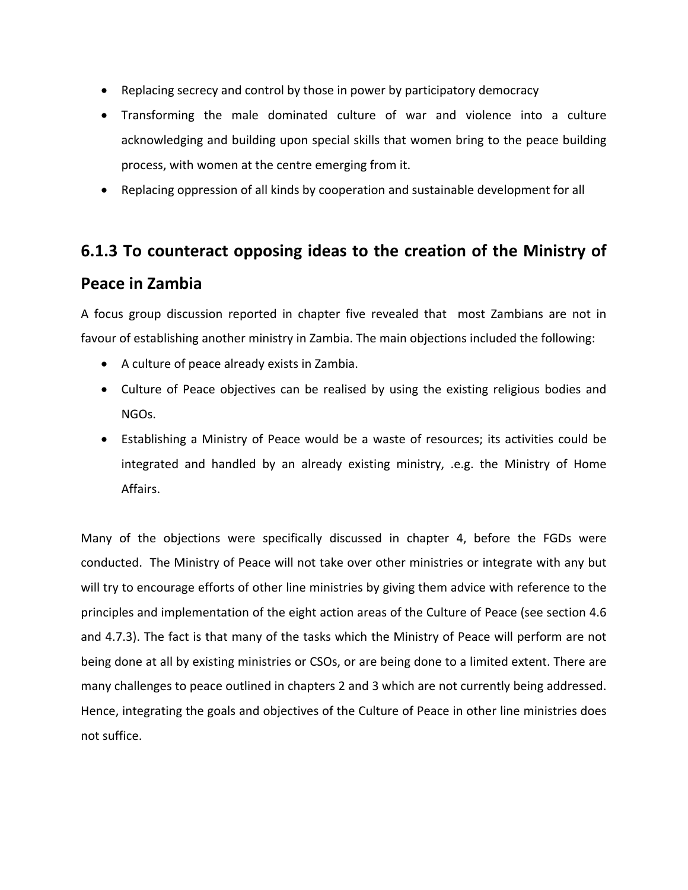- Replacing secrecy and control by those in power by participatory democracy
- Transforming the male dominated culture of war and violence into a culture acknowledging and building upon special skills that women bring to the peace building process, with women at the centre emerging from it.
- Replacing oppression of all kinds by cooperation and sustainable development for all

# **6.1.3 To counteract opposing ideas to the creation of the Ministry of Peace in Zambia**

A focus group discussion reported in chapter five revealed that most Zambians are not in favour of establishing another ministry in Zambia. The main objections included the following:

- A culture of peace already exists in Zambia.
- Culture of Peace objectives can be realised by using the existing religious bodies and NGOs.
- Establishing a Ministry of Peace would be a waste of resources; its activities could be integrated and handled by an already existing ministry, .e.g. the Ministry of Home Affairs.

Many of the objections were specifically discussed in chapter 4, before the FGDs were conducted. The Ministry of Peace will not take over other ministries or integrate with any but will try to encourage efforts of other line ministries by giving them advice with reference to the principles and implementation of the eight action areas of the Culture of Peace (see section 4.6 and 4.7.3). The fact is that many of the tasks which the Ministry of Peace will perform are not being done at all by existing ministries or CSOs, or are being done to a limited extent. There are many challenges to peace outlined in chapters 2 and 3 which are not currently being addressed. Hence, integrating the goals and objectives of the Culture of Peace in other line ministries does not suffice.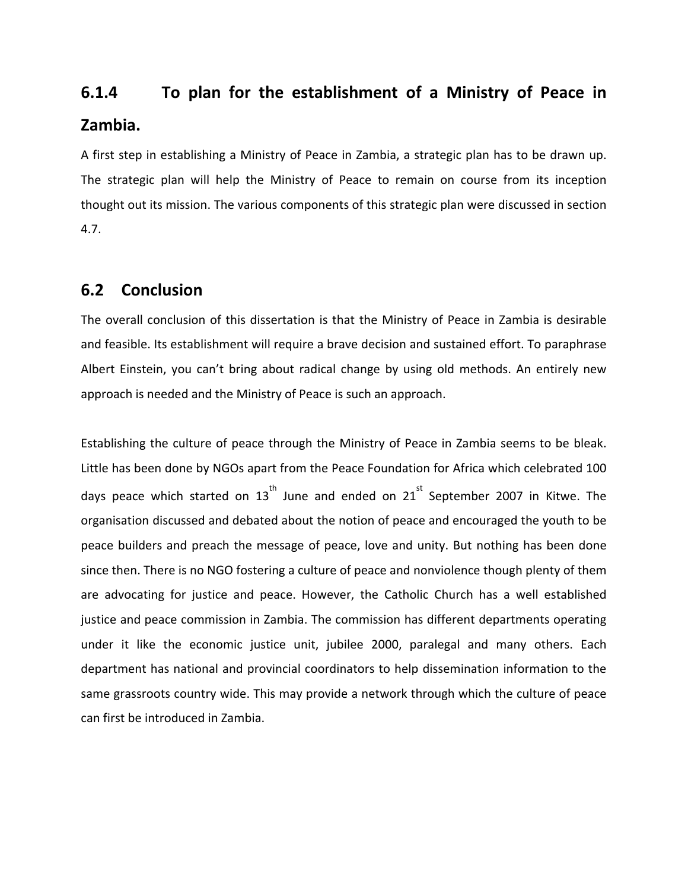# **6.1.4 To plan for the establishment of a Ministry of Peace in Zambia.**

A first step in establishing a Ministry of Peace in Zambia, a strategic plan has to be drawn up. The strategic plan will help the Ministry of Peace to remain on course from its inception thought out its mission. The various components of this strategic plan were discussed in section 4.7.

### **6.2 Conclusion**

The overall conclusion of this dissertation is that the Ministry of Peace in Zambia is desirable and feasible. Its establishment will require a brave decision and sustained effort. To paraphrase Albert Einstein, you can't bring about radical change by using old methods. An entirely new approach is needed and the Ministry of Peace is such an approach.

Establishing the culture of peace through the Ministry of Peace in Zambia seems to be bleak. Little has been done by NGOs apart from the Peace Foundation for Africa which celebrated 100 days peace which started on  $13^{\text{th}}$  June and ended on  $21^{\text{st}}$  September 2007 in Kitwe. The organisation discussed and debated about the notion of peace and encouraged the youth to be peace builders and preach the message of peace, love and unity. But nothing has been done since then. There is no NGO fostering a culture of peace and nonviolence though plenty of them are advocating for justice and peace. However, the Catholic Church has a well established justice and peace commission in Zambia. The commission has different departments operating under it like the economic justice unit, jubilee 2000, paralegal and many others. Each department has national and provincial coordinators to help dissemination information to the same grassroots country wide. This may provide a network through which the culture of peace can first be introduced in Zambia.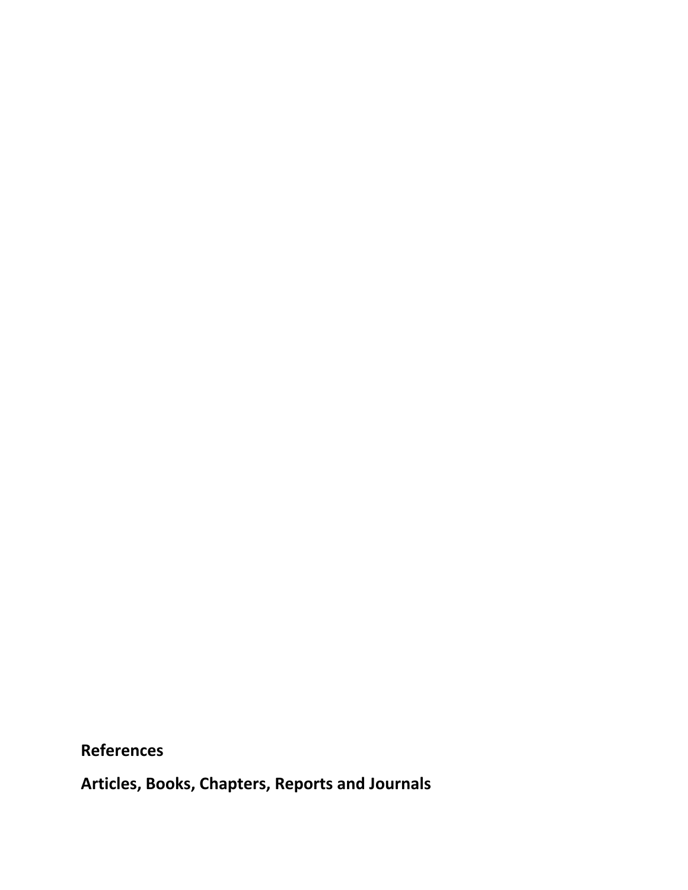**References**

**Articles, Books, Chapters, Reports and Journals**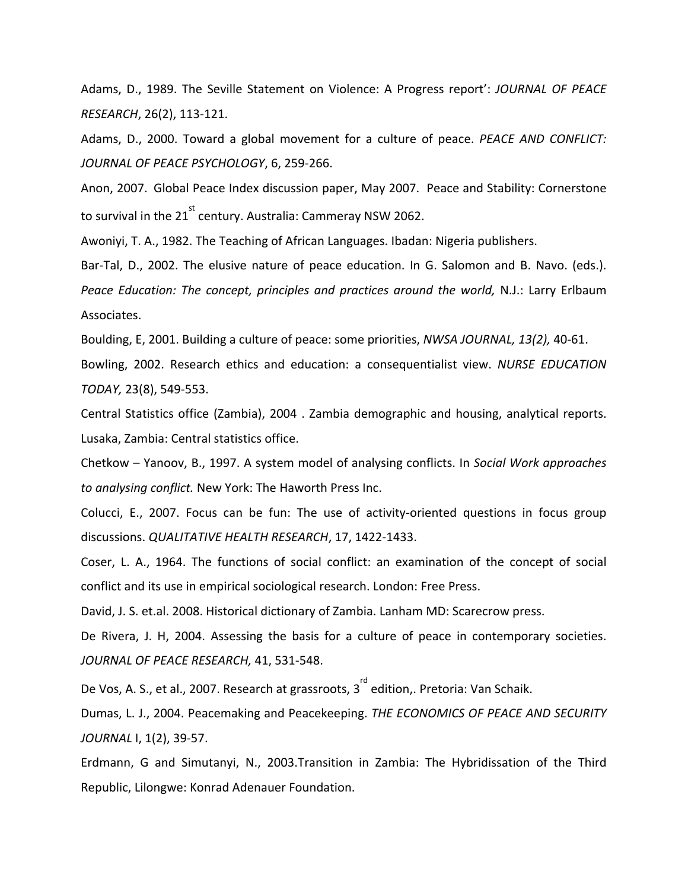Adams, D., 1989. The Seville Statement on Violence: A Progress report': *JOURNAL OF PEACE RESEARCH*, 26(2), 113‐121.

Adams, D., 2000. Toward a global movement for a culture of peace. *PEACE AND CONFLICT: JOURNAL OF PEACE PSYCHOLOGY*, 6, 259‐266.

Anon, 2007. Global Peace Index discussion paper, May 2007. Peace and Stability: Cornerstone to survival in the 21 $^{\rm st}$  century. Australia: Cammeray NSW 2062.

Awoniyi, T. A., 1982. The Teaching of African Languages. Ibadan: Nigeria publishers.

Bar-Tal, D., 2002. The elusive nature of peace education. In G. Salomon and B. Navo. (eds.). *Peace Education: The concept, principles and practices around the world,* N.J.: Larry Erlbaum Associates.

Boulding, E, 2001. Building a culture of peace: some priorities, *NWSA JOURNAL, 13(2),* 40‐61.

Bowling, 2002. Research ethics and education: a consequentialist view. *NURSE EDUCATION TODAY,* 23(8), 549‐553.

Central Statistics office (Zambia), 2004 . Zambia demographic and housing, analytical reports. Lusaka, Zambia: Central statistics office.

Chetkow – Yanoov, B., 1997. A system model of analysing conflicts. In *Social Work approaches to analysing conflict.* New York: The Haworth Press Inc.

Colucci, E., 2007. Focus can be fun: The use of activity‐oriented questions in focus group discussions. *QUALITATIVE HEALTH RESEARCH*, 17, 1422‐1433.

Coser, L. A., 1964. The functions of social conflict: an examination of the concept of social conflict and its use in empirical sociological research. London: Free Press.

David, J. S. et.al. 2008. Historical dictionary of Zambia. Lanham MD: Scarecrow press.

De Rivera, J. H, 2004. Assessing the basis for a culture of peace in contemporary societies. *JOURNAL OF PEACE RESEARCH,* 41, 531‐548.

De Vos, A. S., et al., 2007. Research at grassroots, 3<sup>rd</sup> edition,. Pretoria: Van Schaik.

Dumas, L. J., 2004. Peacemaking and Peacekeeping. *THE ECONOMICS OF PEACE AND SECURITY JOURNAL* I, 1(2), 39‐57.

Erdmann, G and Simutanyi, N., 2003.Transition in Zambia: The Hybridissation of the Third Republic, Lilongwe: Konrad Adenauer Foundation.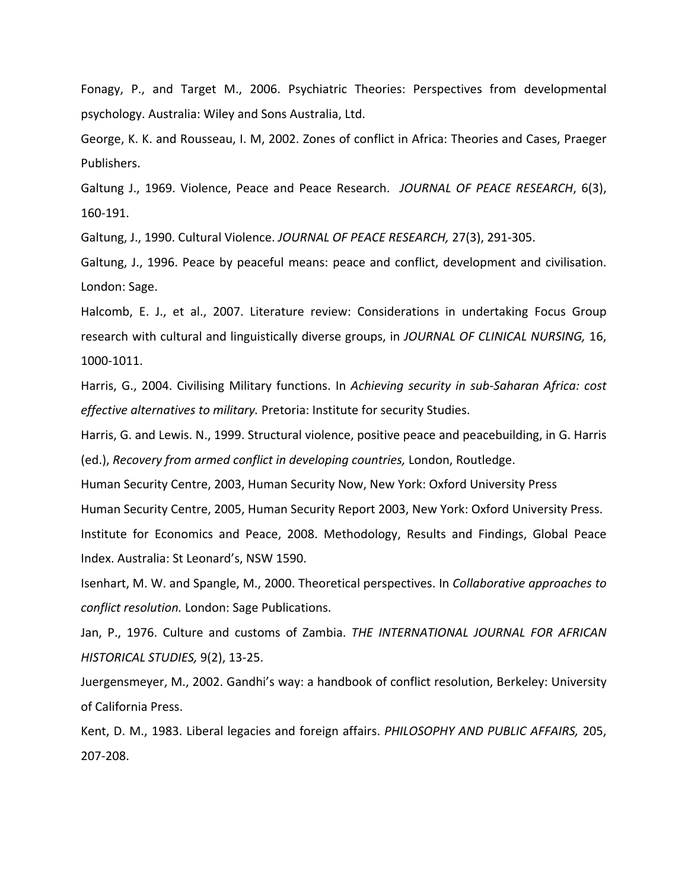Fonagy, P., and Target M., 2006. Psychiatric Theories: Perspectives from developmental psychology. Australia: Wiley and Sons Australia, Ltd.

George, K. K. and Rousseau, I. M, 2002. Zones of conflict in Africa: Theories and Cases, Praeger Publishers.

Galtung J., 1969. Violence, Peace and Peace Research. *JOURNAL OF PEACE RESEARCH*, 6(3), 160‐191.

Galtung, J., 1990. Cultural Violence. *JOURNAL OF PEACE RESEARCH,* 27(3), 291‐305.

Galtung, J., 1996. Peace by peaceful means: peace and conflict, development and civilisation. London: Sage.

Halcomb, E. J., et al., 2007. Literature review: Considerations in undertaking Focus Group research with cultural and linguistically diverse groups, in *JOURNAL OF CLINICAL NURSING,* 16, 1000‐1011.

Harris, G., 2004. Civilising Military functions. In *Achieving security in sub‐Saharan Africa: cost effective alternatives to military.* Pretoria: Institute for security Studies.

Harris, G. and Lewis. N., 1999. Structural violence, positive peace and peacebuilding, in G. Harris (ed.), *Recovery from armed conflict in developing countries,* London, Routledge.

Human Security Centre, 2003, Human Security Now, New York: Oxford University Press

Human Security Centre, 2005, Human Security Report 2003, New York: Oxford University Press.

Institute for Economics and Peace, 2008. Methodology, Results and Findings, Global Peace Index. Australia: St Leonard's, NSW 1590.

Isenhart, M. W. and Spangle, M., 2000. Theoretical perspectives. In *Collaborative approaches to conflict resolution.* London: Sage Publications.

Jan, P., 1976. Culture and customs of Zambia. *THE INTERNATIONAL JOURNAL FOR AFRICAN HISTORICAL STUDIES,* 9(2), 13‐25.

Juergensmeyer, M., 2002. Gandhi's way: a handbook of conflict resolution, Berkeley: University of California Press.

Kent, D. M., 1983. Liberal legacies and foreign affairs. *PHILOSOPHY AND PUBLIC AFFAIRS,* 205, 207‐208.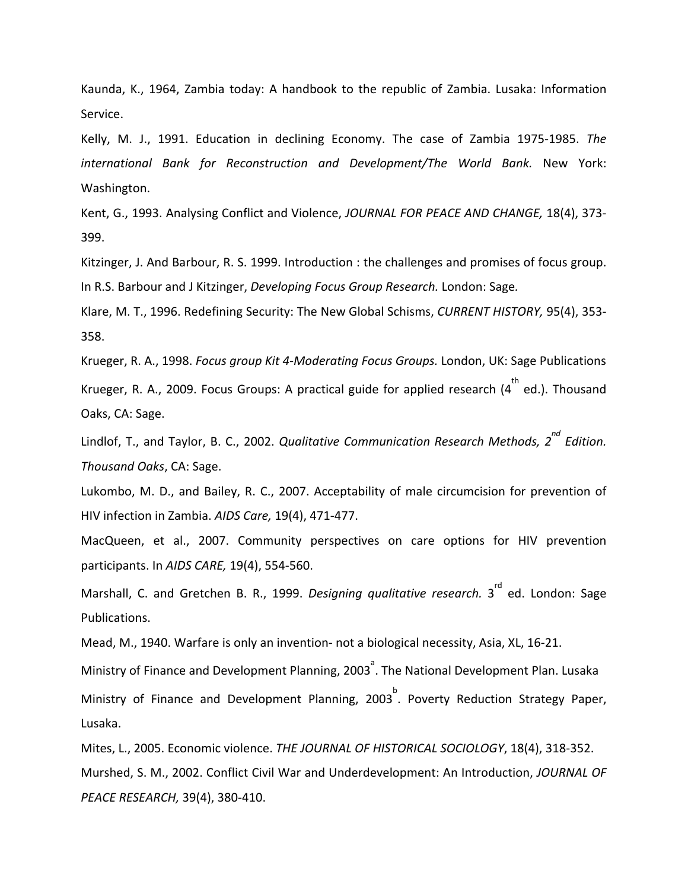Kaunda, K., 1964, Zambia today: A handbook to the republic of Zambia. Lusaka: Information Service.

Kelly, M. J., 1991. Education in declining Economy. The case of Zambia 1975‐1985. *The international Bank for Reconstruction and Development/The World Bank.* New York: Washington.

Kent, G., 1993. Analysing Conflict and Violence, *JOURNAL FOR PEACE AND CHANGE,* 18(4), 373‐ 399.

Kitzinger, J. And Barbour, R. S. 1999. Introduction : the challenges and promises of focus group. In R.S. Barbour and J Kitzinger, *Developing Focus Group Research.* London: Sage*.*

Klare, M. T., 1996. Redefining Security: The New Global Schisms, *CURRENT HISTORY,* 95(4), 353‐ 358.

Krueger, R. A., 1998. *Focus group Kit 4‐Moderating Focus Groups.* London, UK: Sage Publications

Krueger, R. A., 2009. Focus Groups: A practical guide for applied research (4 $^{\rm th}$  ed.). Thousand Oaks, CA: Sage.

Lindlof, T., and Taylor, B. C., 2002. *Qualitative Communication Research Methods, 2 nd Edition. Thousand Oaks*, CA: Sage.

Lukombo, M. D., and Bailey, R. C., 2007. Acceptability of male circumcision for prevention of HIV infection in Zambia. *AIDS Care,* 19(4), 471‐477.

MacQueen, et al., 2007. Community perspectives on care options for HIV prevention participants. In *AIDS CARE,* 19(4), 554‐560.

Marshall, C. and Gretchen B. R., 1999. *Designing qualitative research.* 3<sup>rd</sup> ed. London: Sage Publications.

Mead, M., 1940. Warfare is only an invention‐ not a biological necessity, Asia, XL, 16‐21.

Ministry of Finance and Development Planning, 2003<sup><sup>2</sup></sup>. The National Development Plan. Lusaka Ministry of Finance and Development Planning, 2003<sup>b</sup>. Poverty Reduction Strategy Paper, Lusaka.

Mites, L., 2005. Economic violence. *THE JOURNAL OF HISTORICAL SOCIOLOGY*, 18(4), 318‐352. Murshed, S. M., 2002. Conflict Civil War and Underdevelopment: An Introduction, *JOURNAL OF PEACE RESEARCH,* 39(4), 380‐410.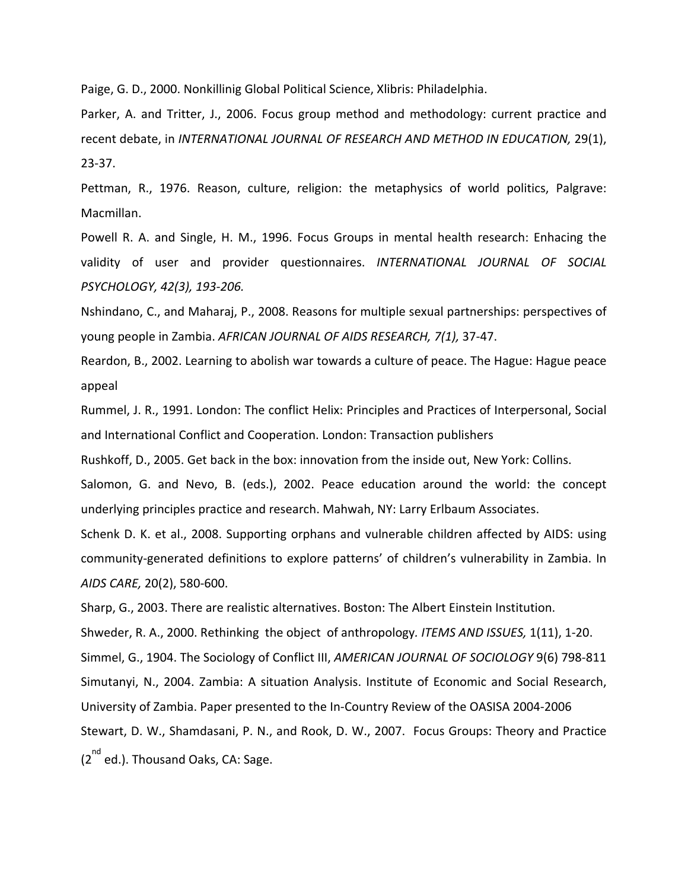Paige, G. D., 2000. Nonkillinig Global Political Science, Xlibris: Philadelphia.

Parker, A. and Tritter, J., 2006. Focus group method and methodology: current practice and recent debate, in *INTERNATIONAL JOURNAL OF RESEARCH AND METHOD IN EDUCATION,* 29(1), 23‐37.

Pettman, R., 1976. Reason, culture, religion: the metaphysics of world politics, Palgrave: Macmillan.

Powell R. A. and Single, H. M., 1996. Focus Groups in mental health research: Enhacing the validity of user and provider questionnaires. *INTERNATIONAL JOURNAL OF SOCIAL PSYCHOLOGY, 42(3), 193‐206.*

Nshindano, C., and Maharaj, P., 2008. Reasons for multiple sexual partnerships: perspectives of young people in Zambia. *AFRICAN JOURNAL OF AIDS RESEARCH, 7(1),* 37‐47.

Reardon, B., 2002. Learning to abolish war towards a culture of peace. The Hague: Hague peace appeal

Rummel, J. R., 1991. London: The conflict Helix: Principles and Practices of Interpersonal, Social and International Conflict and Cooperation. London: Transaction publishers

Rushkoff, D., 2005. Get back in the box: innovation from the inside out, New York: Collins.

Salomon, G. and Nevo, B. (eds.), 2002. Peace education around the world: the concept underlying principles practice and research. Mahwah, NY: Larry Erlbaum Associates.

Schenk D. K. et al., 2008. Supporting orphans and vulnerable children affected by AIDS: using community‐generated definitions to explore patterns' of children's vulnerability in Zambia. In *AIDS CARE,* 20(2), 580‐600.

Sharp, G., 2003. There are realistic alternatives. Boston: The Albert Einstein Institution.

Shweder, R. A., 2000. Rethinking the object of anthropology*. ITEMS AND ISSUES,* 1(11), 1‐20.

Simmel, G., 1904. The Sociology of Conflict III, *AMERICAN JOURNAL OF SOCIOLOGY* 9(6) 798‐811

Simutanyi, N., 2004. Zambia: A situation Analysis. Institute of Economic and Social Research,

University of Zambia. Paper presented to the In‐Country Review of the OASISA 2004‐2006

Stewart, D. W., Shamdasani, P. N., and Rook, D. W., 2007. Focus Groups: Theory and Practice

(2<sup>nd</sup> ed.). Thousand Oaks, CA: Sage.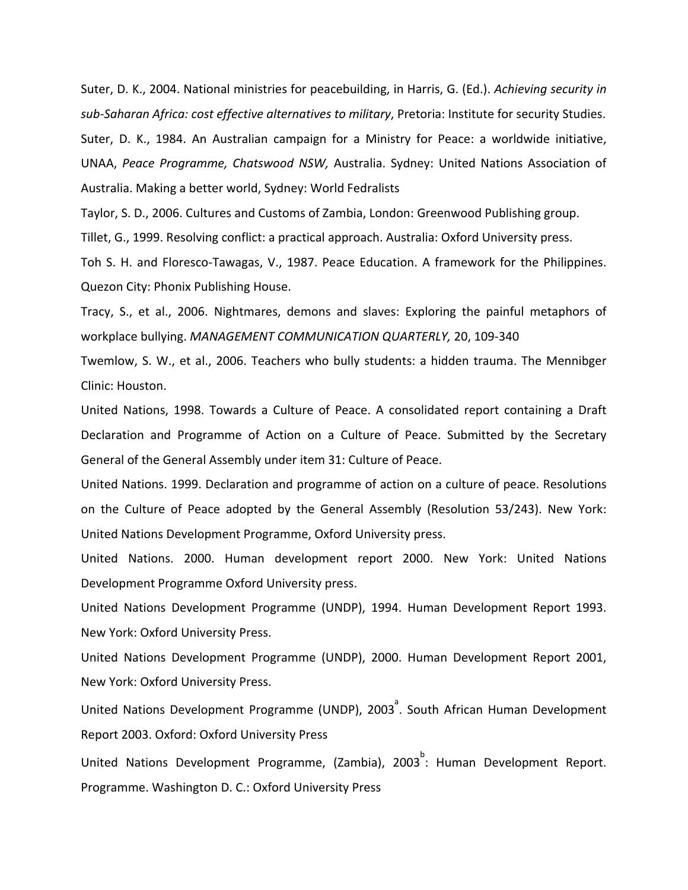Suter, D. K., 2004. National ministries for peacebuilding, in Harris, G. (Ed.). *Achieving security in sub‐Saharan Africa: cost effective alternatives to military*, Pretoria: Institute for security Studies. Suter, D. K., 1984. An Australian campaign for a Ministry for Peace: a worldwide initiative, UNAA, *Peace Programme, Chatswood NSW,* Australia. Sydney: United Nations Association of Australia. Making a better world, Sydney: World Fedralists

Taylor, S. D., 2006. Cultures and Customs of Zambia, London: Greenwood Publishing group.

Tillet, G., 1999. Resolving conflict: a practical approach. Australia: Oxford University press.

Toh S. H. and Floresco-Tawagas, V., 1987. Peace Education. A framework for the Philippines. Quezon City: Phonix Publishing House.

Tracy, S., et al., 2006. Nightmares, demons and slaves: Exploring the painful metaphors of workplace bullying. *MANAGEMENT COMMUNICATION QUARTERLY,* 20, 109‐340

Twemlow, S. W., et al., 2006. Teachers who bully students: a hidden trauma. The Mennibger Clinic: Houston.

United Nations, 1998. Towards a Culture of Peace. A consolidated report containing a Draft Declaration and Programme of Action on a Culture of Peace. Submitted by the Secretary General of the General Assembly under item 31: Culture of Peace.

United Nations. 1999. Declaration and programme of action on a culture of peace. Resolutions on the Culture of Peace adopted by the General Assembly (Resolution 53/243). New York: United Nations Development Programme, Oxford University press.

United Nations. 2000. Human development report 2000. New York: United Nations Development Programme Oxford University press.

United Nations Development Programme (UNDP), 1994. Human Development Report 1993. New York: Oxford University Press.

United Nations Development Programme (UNDP), 2000. Human Development Report 2001, New York: Oxford University Press.

United Nations Development Programme (UNDP), 2003<sup>a</sup>. South African Human Development Report 2003. Oxford: Oxford University Press

United Nations Development Programme, (Zambia), 2003<sup>b</sup>: Human Development Report. Programme. Washington D. C.: Oxford University Press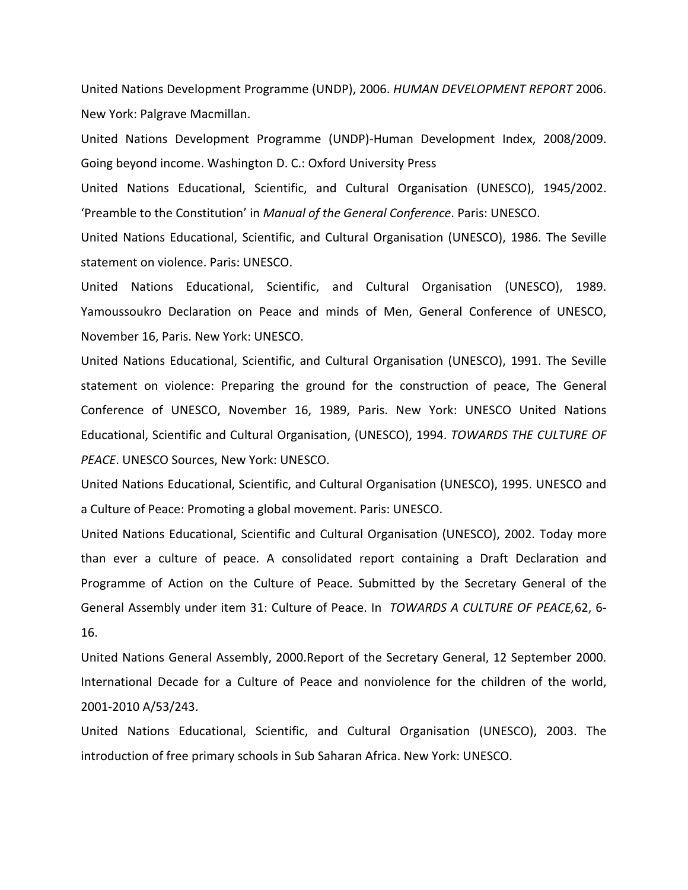United Nations Development Programme (UNDP), 2006. *HUMAN DEVELOPMENT REPORT* 2006. New York: Palgrave Macmillan.

United Nations Development Programme (UNDP)‐Human Development Index, 2008/2009. Going beyond income. Washington D. C.: Oxford University Press

United Nations Educational, Scientific, and Cultural Organisation (UNESCO), 1945/2002. 'Preamble to the Constitution' in *Manual of the General Conference*. Paris: UNESCO.

United Nations Educational, Scientific, and Cultural Organisation (UNESCO), 1986. The Seville statement on violence. Paris: UNESCO.

United Nations Educational, Scientific, and Cultural Organisation (UNESCO), 1989. Yamoussoukro Declaration on Peace and minds of Men, General Conference of UNESCO, November 16, Paris. New York: UNESCO.

United Nations Educational, Scientific, and Cultural Organisation (UNESCO), 1991. The Seville statement on violence: Preparing the ground for the construction of peace, The General Conference of UNESCO, November 16, 1989, Paris. New York: UNESCO United Nations Educational, Scientific and Cultural Organisation, (UNESCO), 1994. *TOWARDS THE CULTURE OF PEACE*. UNESCO Sources, New York: UNESCO.

United Nations Educational, Scientific, and Cultural Organisation (UNESCO), 1995. UNESCO and a Culture of Peace: Promoting a global movement. Paris: UNESCO.

United Nations Educational, Scientific and Cultural Organisation (UNESCO), 2002. Today more than ever a culture of peace. A consolidated report containing a Draft Declaration and Programme of Action on the Culture of Peace. Submitted by the Secretary General of the General Assembly under item 31: Culture of Peace. In *TOWARDS A CULTURE OF PEACE,*62, 6‐ 16.

United Nations General Assembly, 2000.Report of the Secretary General, 12 September 2000. International Decade for a Culture of Peace and nonviolence for the children of the world, 2001‐2010 A/53/243.

United Nations Educational, Scientific, and Cultural Organisation (UNESCO), 2003. The introduction of free primary schools in Sub Saharan Africa. New York: UNESCO.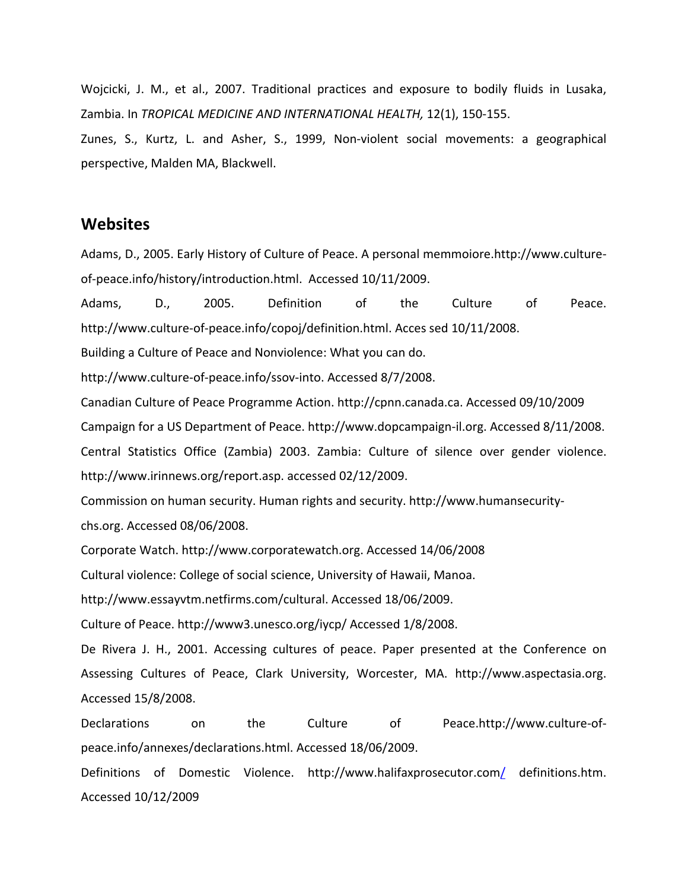Wojcicki, J. M., et al., 2007. Traditional practices and exposure to bodily fluids in Lusaka, Zambia. In *TROPICAL MEDICINE AND INTERNATIONAL HEALTH,* 12(1), 150‐155.

Zunes, S., Kurtz, L. and Asher, S., 1999, Non‐violent social movements: a geographical perspective, Malden MA, Blackwell.

#### **Websites**

Adams, D., 2005. Early History of Culture of Peace. A personal memmoiore.http://www.culture‐ of‐peace.info/history/introduction.html. Accessed 10/11/2009.

Adams, D., 2005. Definition of the Culture of Peace. http://www.culture‐of‐peace.info/copoj/definition.html. Acces sed 10/11/2008.

Building a Culture of Peace and Nonviolence: What you can do.

http://www.culture‐of‐peace.info/ssov‐into. Accessed 8/7/2008.

Canadian Culture of Peace Programme Action. http://cpnn.canada.ca. Accessed 09/10/2009 Campaign for a US Department of Peace. http://www.dopcampaign‐il.org. Accessed 8/11/2008. Central Statistics Office (Zambia) 2003. Zambia: Culture of silence over gender violence. http://www.irinnews.org/report.asp. accessed 02/12/2009.

Commission on human security. Human rights and security. http://www.humansecurity‐ chs.org. Accessed 08/06/2008.

Corporate Watch. http://www.corporatewatch.org. Accessed 14/06/2008

Cultural violence: College of social science, University of Hawaii, Manoa.

http://www.essayvtm.netfirms.com/cultural. Accessed 18/06/2009.

Culture of Peace. http://www3.unesco.org/iycp/ Accessed 1/8/2008.

De Rivera J. H., 2001. Accessing cultures of peace. Paper presented at the Conference on Assessing Cultures of Peace, Clark University, Worcester, MA. http://www.aspectasia.org. Accessed 15/8/2008.

Declarations on the Culture of Peace.http://www.culture-ofpeace.info/annexes/declarations.html. Accessed 18/06/2009.

Definitions of Domestic Violence. http://www.halifaxprosecutor.com/ definitions.htm. Accessed 10/12/2009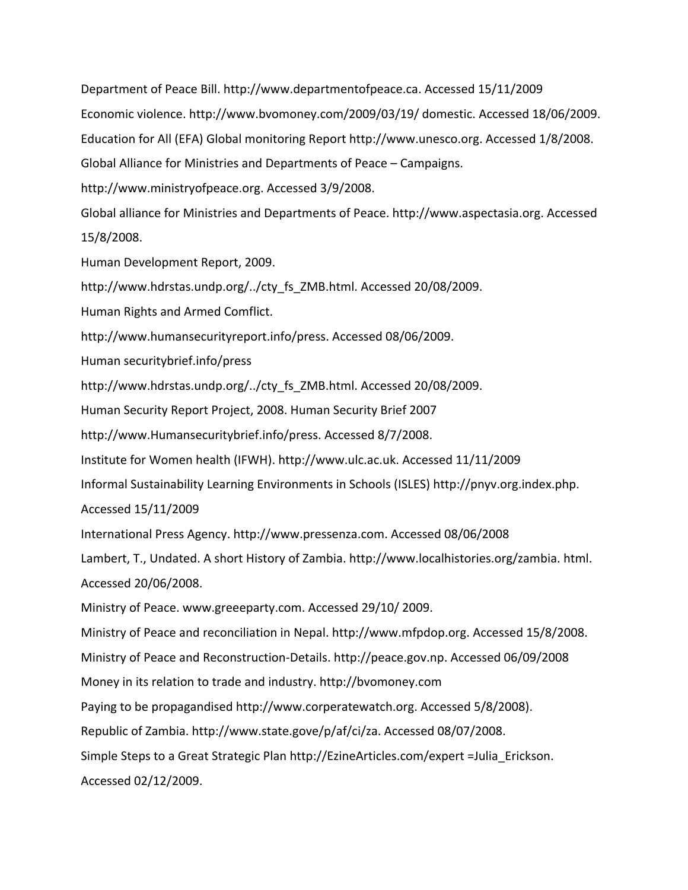Department of Peace Bill. http://www.departmentofpeace.ca. Accessed 15/11/2009 Economic violence. http://www.bvomoney.com/2009/03/19/ domestic. Accessed 18/06/2009. Education for All (EFA) Global monitoring Report http://www.unesco.org. Accessed 1/8/2008. Global Alliance for Ministries and Departments of Peace – Campaigns. http://www.ministryofpeace.org. Accessed 3/9/2008. Global alliance for Ministries and Departments of Peace. http://www.aspectasia.org. Accessed 15/8/2008.

Human Development Report, 2009.

http://www.hdrstas.undp.org/../cty\_fs\_ZMB.html. Accessed 20/08/2009.

Human Rights and Armed Comflict.

http://www.humansecurityreport.info/press. Accessed 08/06/2009.

Human securitybrief.info/press

http://www.hdrstas.undp.org/../cty\_fs\_ZMB.html. Accessed 20/08/2009.

Human Security Report Project, 2008. Human Security Brief 2007

http://www.Humansecuritybrief.info/press. Accessed 8/7/2008.

Institute for Women health (IFWH). http://www.ulc.ac.uk. Accessed 11/11/2009

Informal Sustainability Learning Environments in Schools (ISLES) http://pnyv.org.index.php.

Accessed 15/11/2009

International Press Agency. http://www.pressenza.com. Accessed 08/06/2008

Lambert, T., Undated. A short History of Zambia. http://www.localhistories.org/zambia. html. Accessed 20/06/2008.

Ministry of Peace. www.greeeparty.com. Accessed 29/10/ 2009.

Ministry of Peace and reconciliation in Nepal. http://www.mfpdop.org. Accessed 15/8/2008. Ministry of Peace and Reconstruction‐Details. http://peace.gov.np. Accessed 06/09/2008 Money in its relation to trade and industry. http://bvomoney.com

Paying to be propagandised http://www.corperatewatch.org. Accessed 5/8/2008).

Republic of Zambia. http://www.state.gove/p/af/ci/za. Accessed 08/07/2008.

Simple Steps to a Great Strategic Plan http://EzineArticles.com/expert =Julia\_Erickson. Accessed 02/12/2009.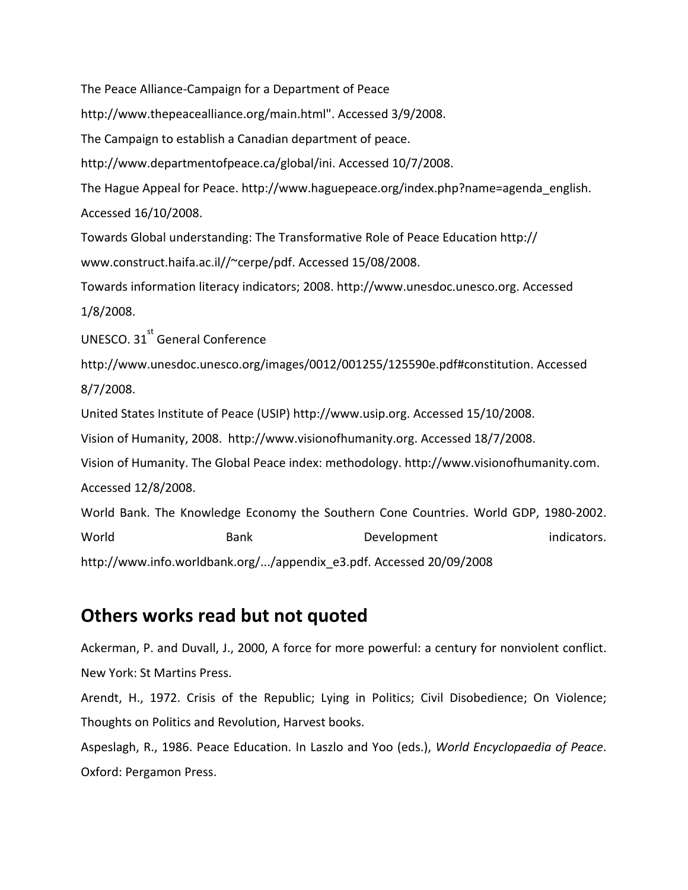The Peace Alliance‐Campaign for a Department of Peace

http://www.thepeacealliance.org/main.html". Accessed 3/9/2008.

The Campaign to establish a Canadian department of peace.

http://www.departmentofpeace.ca/global/ini. Accessed 10/7/2008.

The Hague Appeal for Peace. http://www.haguepeace.org/index.php?name=agenda\_english. Accessed 16/10/2008.

Towards Global understanding: The Transformative Role of Peace Education http://

www.construct.haifa.ac.il//~cerpe/pdf. Accessed 15/08/2008.

Towards information literacy indicators; 2008. http://www.unesdoc.unesco.org. Accessed 1/8/2008.

UNESCO.  $31^{st}$  General Conference

http://www.unesdoc.unesco.org/images/0012/001255/125590e.pdf#constitution. Accessed 8/7/2008.

United States Institute of Peace (USIP) http://www.usip.org. Accessed 15/10/2008.

Vision of Humanity, 2008. http://www.visionofhumanity.org. Accessed 18/7/2008.

Vision of Humanity. The Global Peace index: methodology. http://www.visionofhumanity.com. Accessed 12/8/2008.

World Bank. The Knowledge Economy the Southern Cone Countries. World GDP, 1980‐2002.

World Bank Bevelopment indicators. http://www.info.worldbank.org/.../appendix\_e3.pdf. Accessed 20/09/2008

## **Others works read but not quoted**

Ackerman, P. and Duvall, J., 2000, A force for more powerful: a century for nonviolent conflict. New York: St Martins Press.

Arendt, H., 1972. Crisis of the Republic; Lying in Politics; Civil Disobedience; On Violence; Thoughts on Politics and Revolution, Harvest books.

Aspeslagh, R., 1986. Peace Education. In Laszlo and Yoo (eds.), *World Encyclopaedia of Peace*. Oxford: Pergamon Press.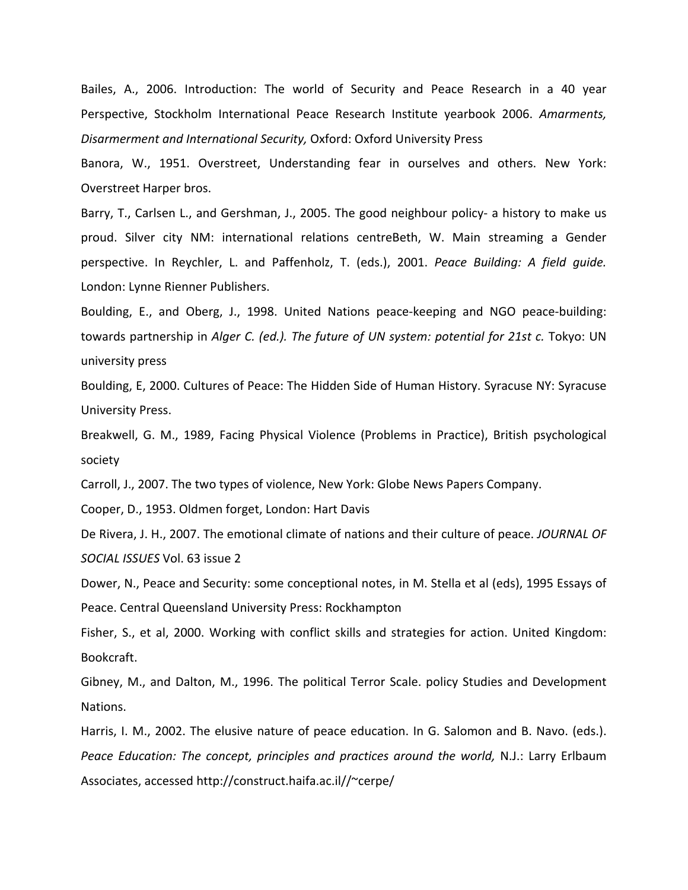Bailes, A., 2006. Introduction: The world of Security and Peace Research in a 40 year Perspective, Stockholm International Peace Research Institute yearbook 2006. *Amarments, Disarmerment and International Security,* Oxford: Oxford University Press

Banora, W., 1951. Overstreet, Understanding fear in ourselves and others. New York: Overstreet Harper bros.

Barry, T., Carlsen L., and Gershman, J., 2005. The good neighbour policy‐ a history to make us proud. Silver city NM: international relations centreBeth, W. Main streaming a Gender perspective. In Reychler, L. and Paffenholz, T. (eds.), 2001. *Peace Building: A field guide.* London: Lynne Rienner Publishers.

Boulding, E., and Oberg, J., 1998. United Nations peace‐keeping and NGO peace‐building: towards partnership in *Alger C. (ed.). The future of UN system: potential for 21st c.* Tokyo: UN university press

Boulding, E, 2000. Cultures of Peace: The Hidden Side of Human History. Syracuse NY: Syracuse University Press.

Breakwell, G. M., 1989, Facing Physical Violence (Problems in Practice), British psychological society

Carroll, J., 2007. The two types of violence, New York: Globe News Papers Company.

Cooper, D., 1953. Oldmen forget, London: Hart Davis

De Rivera, J. H., 2007. The emotional climate of nations and their culture of peace. *JOURNAL OF SOCIAL ISSUES* Vol. 63 issue 2

Dower, N., Peace and Security: some conceptional notes, in M. Stella et al (eds), 1995 Essays of Peace. Central Queensland University Press: Rockhampton

Fisher, S., et al, 2000. Working with conflict skills and strategies for action. United Kingdom: Bookcraft.

Gibney, M., and Dalton, M., 1996. The political Terror Scale. policy Studies and Development Nations.

Harris, I. M., 2002. The elusive nature of peace education. In G. Salomon and B. Navo. (eds.). *Peace Education: The concept, principles and practices around the world,* N.J.: Larry Erlbaum Associates, accessed http://construct.haifa.ac.il//~cerpe/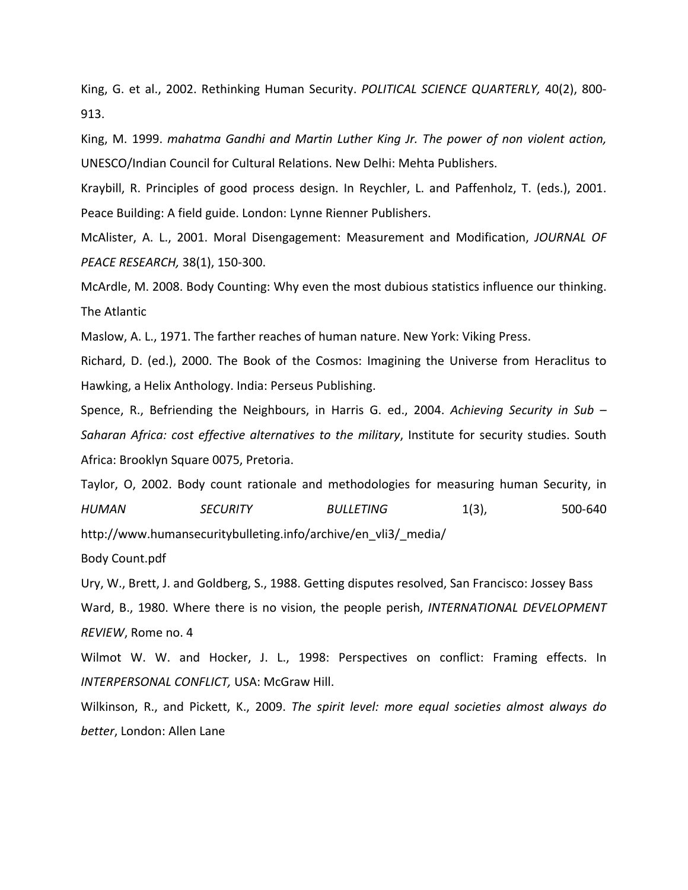King, G. et al., 2002. Rethinking Human Security. *POLITICAL SCIENCE QUARTERLY,* 40(2), 800‐ 913.

King, M. 1999. *mahatma Gandhi and Martin Luther King Jr. The power of non violent action,* UNESCO/Indian Council for Cultural Relations. New Delhi: Mehta Publishers.

Kraybill, R. Principles of good process design. In Reychler, L. and Paffenholz, T. (eds.), 2001. Peace Building: A field guide. London: Lynne Rienner Publishers.

McAlister, A. L., 2001. Moral Disengagement: Measurement and Modification, *JOURNAL OF PEACE RESEARCH,* 38(1), 150‐300.

McArdle, M. 2008. Body Counting: Why even the most dubious statistics influence our thinking. The Atlantic

Maslow, A. L., 1971. The farther reaches of human nature. New York: Viking Press.

Richard, D. (ed.), 2000. The Book of the Cosmos: Imagining the Universe from Heraclitus to Hawking, a Helix Anthology. India: Perseus Publishing.

Spence, R., Befriending the Neighbours, in Harris G. ed., 2004. *Achieving Security in Sub – Saharan Africa: cost effective alternatives to the military*, Institute for security studies. South Africa: Brooklyn Square 0075, Pretoria.

Taylor, O, 2002. Body count rationale and methodologies for measuring human Security, in *HUMAN SECURITY BULLETING* 1(3), 500‐640 http://www.humansecuritybulleting.info/archive/en\_vli3/\_media/

Body Count.pdf

Ury, W., Brett, J. and Goldberg, S., 1988. Getting disputes resolved, San Francisco: Jossey Bass Ward, B., 1980. Where there is no vision, the people perish, *INTERNATIONAL DEVELOPMENT REVIEW*, Rome no. 4

Wilmot W. W. and Hocker, J. L., 1998: Perspectives on conflict: Framing effects. In *INTERPERSONAL CONFLICT,* USA: McGraw Hill.

Wilkinson, R., and Pickett, K., 2009. *The spirit level: more equal societies almost always do better*, London: Allen Lane